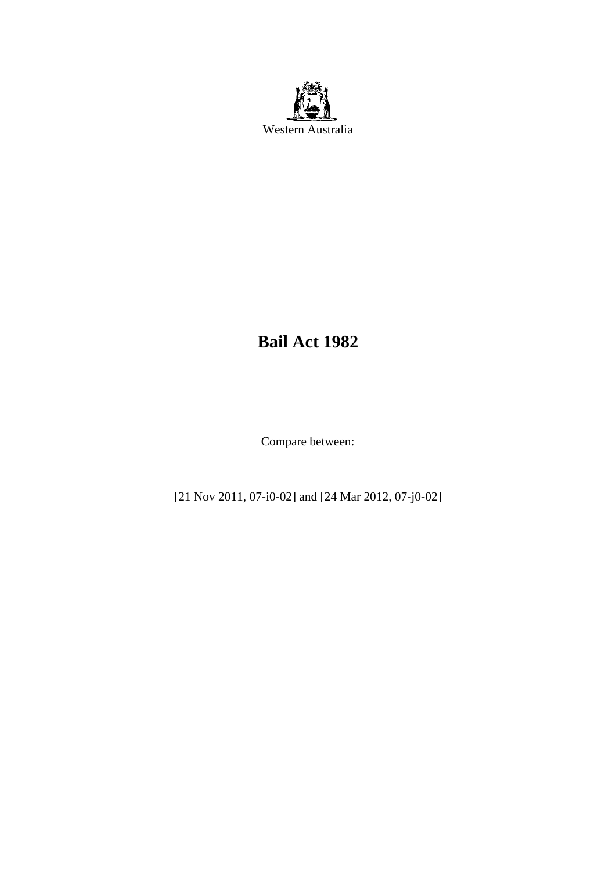

# **Bail Act 1982**

Compare between:

[21 Nov 2011, 07-i0-02] and [24 Mar 2012, 07-j0-02]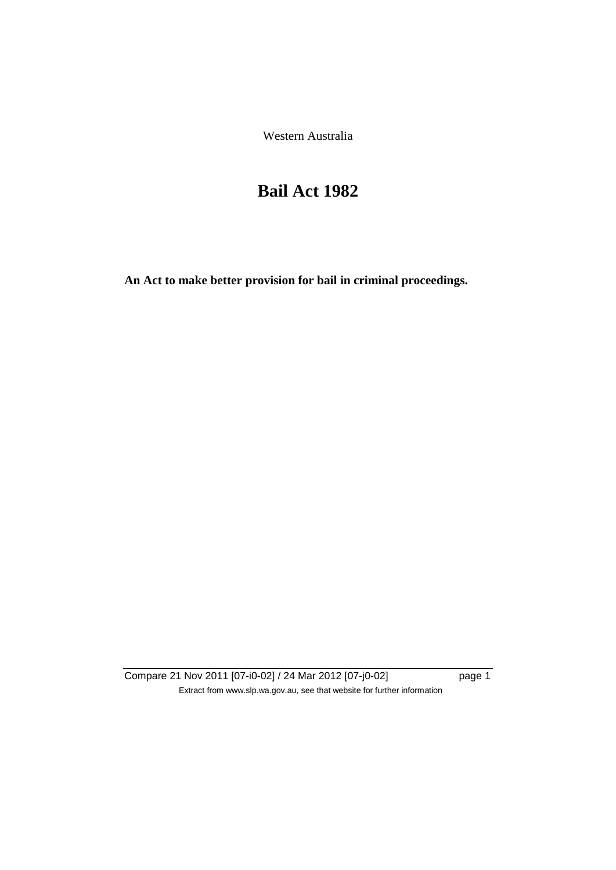Western Australia

# **Bail Act 1982**

**An Act to make better provision for bail in criminal proceedings.** 

Compare 21 Nov 2011 [07-i0-02] / 24 Mar 2012 [07-j0-02] page 1 Extract from www.slp.wa.gov.au, see that website for further information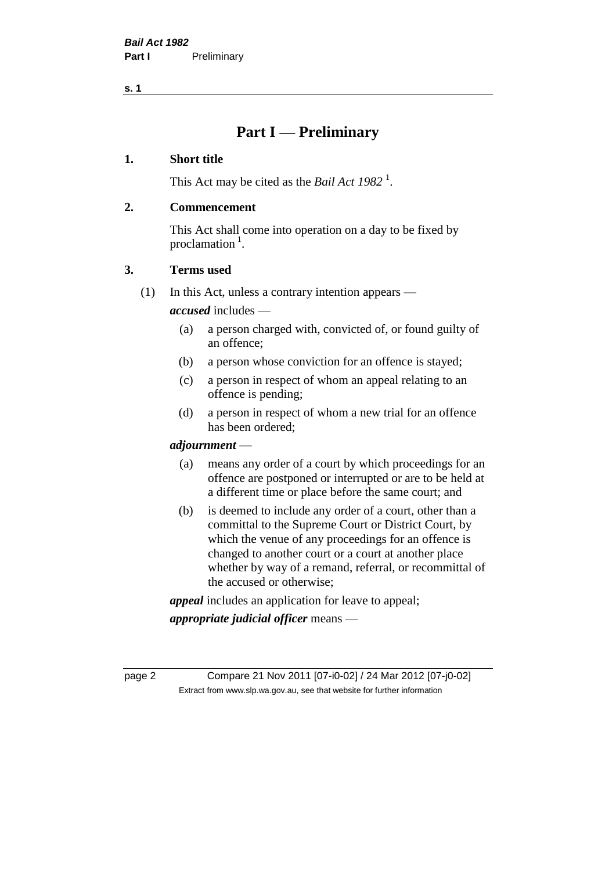**s. 1**

## **Part I — Preliminary**

### **1. Short title**

This Act may be cited as the *Bail Act* 1982<sup>1</sup>.

### **2. Commencement**

This Act shall come into operation on a day to be fixed by proclamation  $<sup>1</sup>$ .</sup>

### **3. Terms used**

(1) In this Act, unless a contrary intention appears —

*accused* includes —

- (a) a person charged with, convicted of, or found guilty of an offence;
- (b) a person whose conviction for an offence is stayed;
- (c) a person in respect of whom an appeal relating to an offence is pending;
- (d) a person in respect of whom a new trial for an offence has been ordered;

### *adjournment* —

- (a) means any order of a court by which proceedings for an offence are postponed or interrupted or are to be held at a different time or place before the same court; and
- (b) is deemed to include any order of a court, other than a committal to the Supreme Court or District Court, by which the venue of any proceedings for an offence is changed to another court or a court at another place whether by way of a remand, referral, or recommittal of the accused or otherwise;

*appeal* includes an application for leave to appeal;

*appropriate judicial officer* means —

page 2 Compare 21 Nov 2011 [07-i0-02] / 24 Mar 2012 [07-j0-02] Extract from www.slp.wa.gov.au, see that website for further information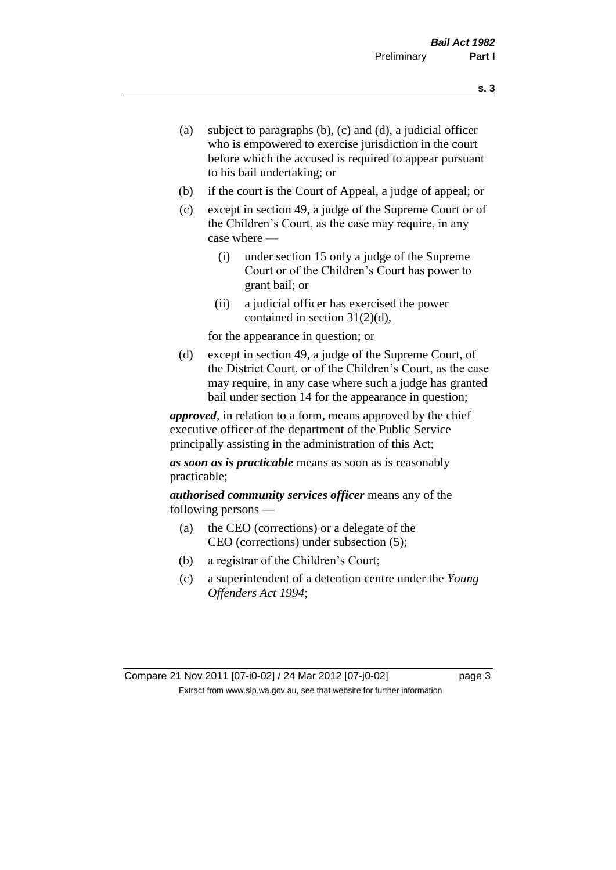- (a) subject to paragraphs (b), (c) and (d), a judicial officer who is empowered to exercise jurisdiction in the court before which the accused is required to appear pursuant to his bail undertaking; or
- (b) if the court is the Court of Appeal, a judge of appeal; or
- (c) except in section 49, a judge of the Supreme Court or of the Children's Court, as the case may require, in any case where —
	- (i) under section 15 only a judge of the Supreme Court or of the Children's Court has power to grant bail; or
	- (ii) a judicial officer has exercised the power contained in section 31(2)(d),

for the appearance in question; or

(d) except in section 49, a judge of the Supreme Court, of the District Court, or of the Children's Court, as the case may require, in any case where such a judge has granted bail under section 14 for the appearance in question;

*approved*, in relation to a form, means approved by the chief executive officer of the department of the Public Service principally assisting in the administration of this Act;

*as soon as is practicable* means as soon as is reasonably practicable;

*authorised community services officer* means any of the following persons —

- (a) the CEO (corrections) or a delegate of the CEO (corrections) under subsection (5);
- (b) a registrar of the Children's Court;
- (c) a superintendent of a detention centre under the *Young Offenders Act 1994*;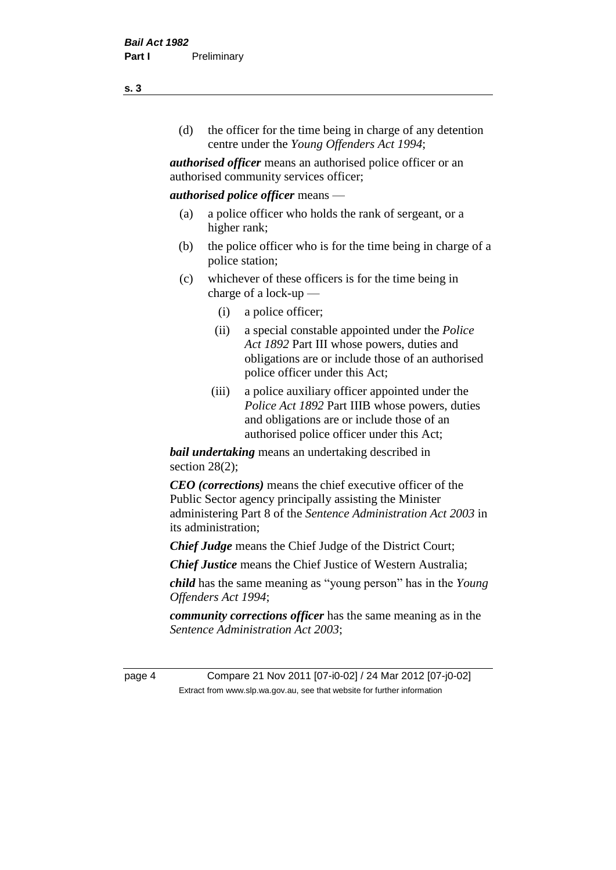(d) the officer for the time being in charge of any detention centre under the *Young Offenders Act 1994*;

*authorised officer* means an authorised police officer or an authorised community services officer;

### *authorised police officer* means —

- (a) a police officer who holds the rank of sergeant, or a higher rank;
- (b) the police officer who is for the time being in charge of a police station;
- (c) whichever of these officers is for the time being in charge of a lock-up —
	- (i) a police officer;
	- (ii) a special constable appointed under the *Police Act 1892* Part III whose powers, duties and obligations are or include those of an authorised police officer under this Act;
	- (iii) a police auxiliary officer appointed under the *Police Act 1892* Part IIIB whose powers, duties and obligations are or include those of an authorised police officer under this Act;

*bail undertaking* means an undertaking described in section  $28(2)$ ;

*CEO (corrections)* means the chief executive officer of the Public Sector agency principally assisting the Minister administering Part 8 of the *Sentence Administration Act 2003* in its administration;

*Chief Judge* means the Chief Judge of the District Court;

*Chief Justice* means the Chief Justice of Western Australia;

*child* has the same meaning as "young person" has in the *Young Offenders Act 1994*;

*community corrections officer* has the same meaning as in the *Sentence Administration Act 2003*;

page 4 Compare 21 Nov 2011 [07-i0-02] / 24 Mar 2012 [07-j0-02] Extract from www.slp.wa.gov.au, see that website for further information

**s. 3**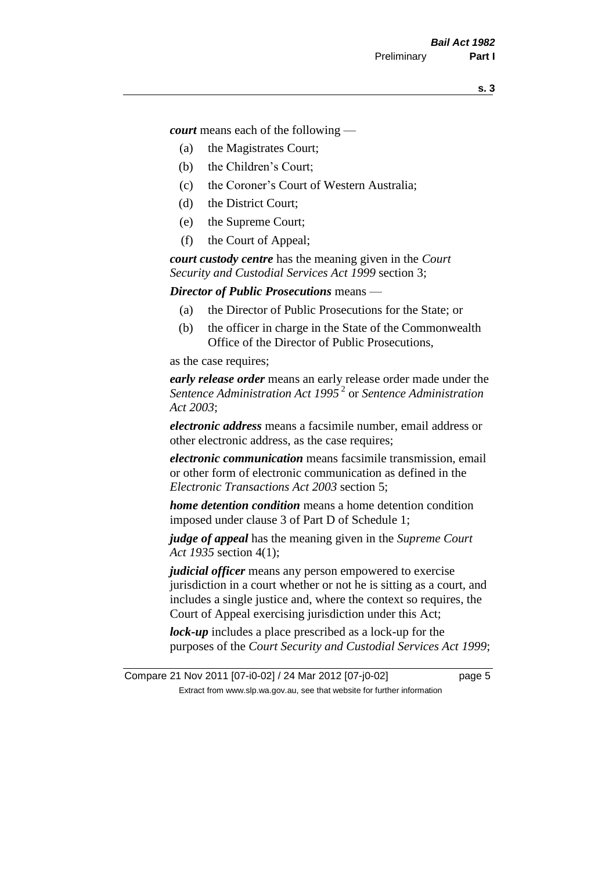*court* means each of the following —

- (a) the Magistrates Court;
- (b) the Children's Court;
- (c) the Coroner's Court of Western Australia;
- (d) the District Court;
- (e) the Supreme Court;
- (f) the Court of Appeal;

*court custody centre* has the meaning given in the *Court Security and Custodial Services Act 1999* section 3;

*Director of Public Prosecutions* means —

- (a) the Director of Public Prosecutions for the State; or
- (b) the officer in charge in the State of the Commonwealth Office of the Director of Public Prosecutions,

as the case requires;

*early release order* means an early release order made under the *Sentence Administration Act 1995* <sup>2</sup> or *Sentence Administration Act 2003*;

*electronic address* means a facsimile number, email address or other electronic address, as the case requires;

*electronic communication* means facsimile transmission, email or other form of electronic communication as defined in the *Electronic Transactions Act 2003* section 5;

*home detention condition* means a home detention condition imposed under clause 3 of Part D of Schedule 1;

*judge of appeal* has the meaning given in the *Supreme Court Act 1935* section 4(1);

*judicial officer* means any person empowered to exercise jurisdiction in a court whether or not he is sitting as a court, and includes a single justice and, where the context so requires, the Court of Appeal exercising jurisdiction under this Act;

*lock-up* includes a place prescribed as a lock-up for the purposes of the *Court Security and Custodial Services Act 1999*;

Compare 21 Nov 2011 [07-i0-02] / 24 Mar 2012 [07-j0-02] page 5 Extract from www.slp.wa.gov.au, see that website for further information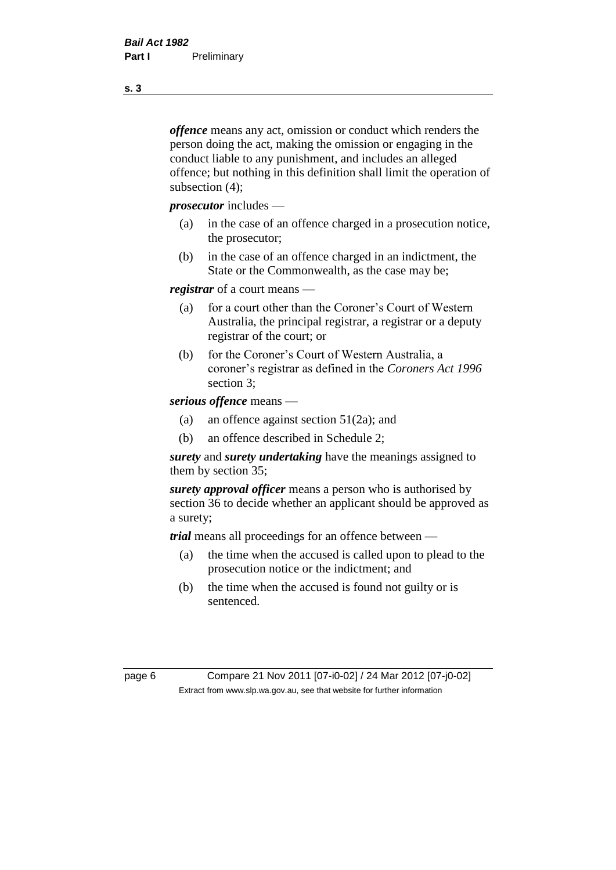*offence* means any act, omission or conduct which renders the person doing the act, making the omission or engaging in the conduct liable to any punishment, and includes an alleged offence; but nothing in this definition shall limit the operation of subsection (4);

*prosecutor* includes —

- (a) in the case of an offence charged in a prosecution notice, the prosecutor;
- (b) in the case of an offence charged in an indictment, the State or the Commonwealth, as the case may be;

*registrar* of a court means —

- (a) for a court other than the Coroner's Court of Western Australia, the principal registrar, a registrar or a deputy registrar of the court; or
- (b) for the Coroner's Court of Western Australia, a coroner's registrar as defined in the *Coroners Act 1996* section 3;

*serious offence* means —

- (a) an offence against section 51(2a); and
- (b) an offence described in Schedule 2;

*surety* and *surety undertaking* have the meanings assigned to them by section 35;

*surety approval officer* means a person who is authorised by section 36 to decide whether an applicant should be approved as a surety;

*trial* means all proceedings for an offence between —

- (a) the time when the accused is called upon to plead to the prosecution notice or the indictment; and
- (b) the time when the accused is found not guilty or is sentenced.

page 6 Compare 21 Nov 2011 [07-i0-02] / 24 Mar 2012 [07-j0-02] Extract from www.slp.wa.gov.au, see that website for further information

**s. 3**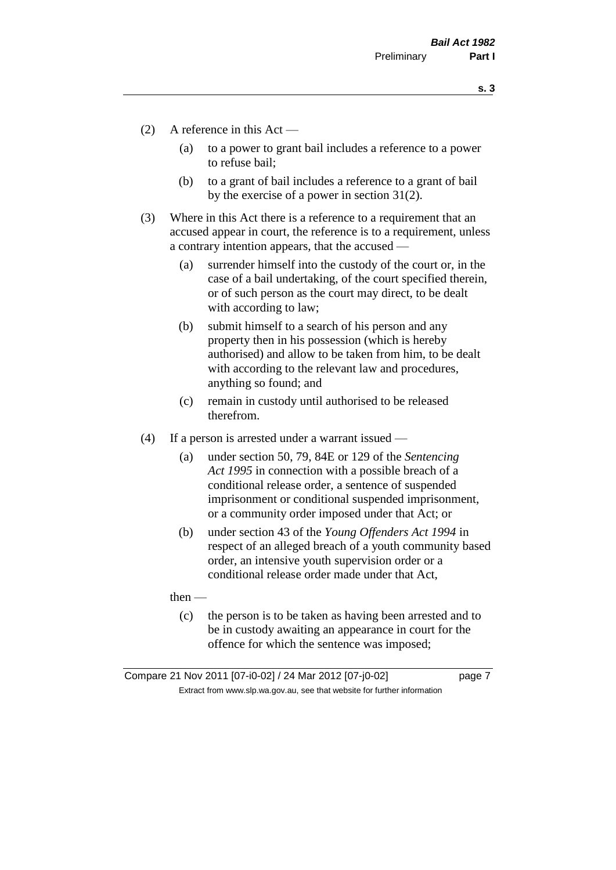**s. 3**

- (2) A reference in this Act
	- (a) to a power to grant bail includes a reference to a power to refuse bail;
	- (b) to a grant of bail includes a reference to a grant of bail by the exercise of a power in section 31(2).
- (3) Where in this Act there is a reference to a requirement that an accused appear in court, the reference is to a requirement, unless a contrary intention appears, that the accused —
	- (a) surrender himself into the custody of the court or, in the case of a bail undertaking, of the court specified therein, or of such person as the court may direct, to be dealt with according to law;
	- (b) submit himself to a search of his person and any property then in his possession (which is hereby authorised) and allow to be taken from him, to be dealt with according to the relevant law and procedures, anything so found; and
	- (c) remain in custody until authorised to be released therefrom.
- (4) If a person is arrested under a warrant issued
	- (a) under section 50, 79, 84E or 129 of the *Sentencing Act 1995* in connection with a possible breach of a conditional release order, a sentence of suspended imprisonment or conditional suspended imprisonment, or a community order imposed under that Act; or
	- (b) under section 43 of the *Young Offenders Act 1994* in respect of an alleged breach of a youth community based order, an intensive youth supervision order or a conditional release order made under that Act,

then —

(c) the person is to be taken as having been arrested and to be in custody awaiting an appearance in court for the offence for which the sentence was imposed;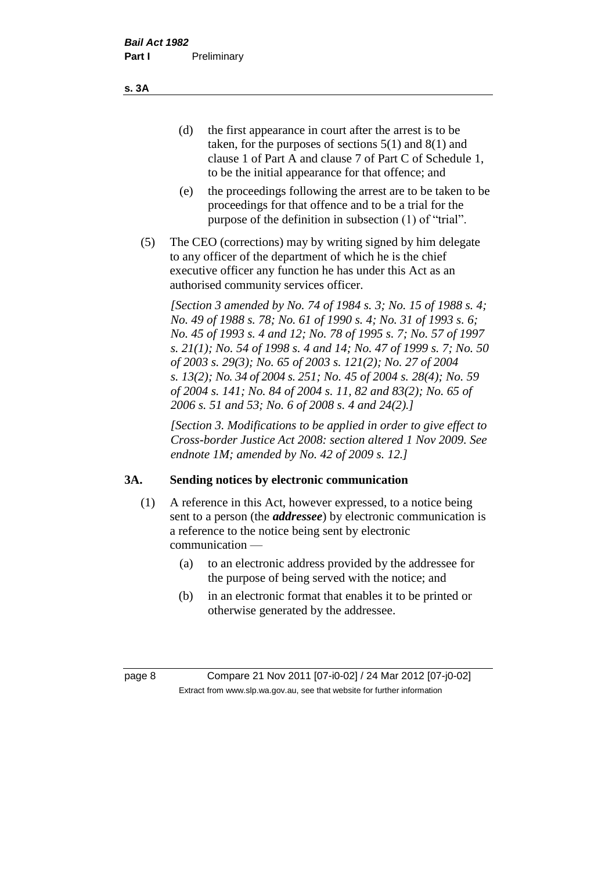(d) the first appearance in court after the arrest is to be taken, for the purposes of sections 5(1) and 8(1) and clause 1 of Part A and clause 7 of Part C of Schedule 1, to be the initial appearance for that offence; and

- (e) the proceedings following the arrest are to be taken to be proceedings for that offence and to be a trial for the purpose of the definition in subsection (1) of "trial".
- (5) The CEO (corrections) may by writing signed by him delegate to any officer of the department of which he is the chief executive officer any function he has under this Act as an authorised community services officer.

*[Section 3 amended by No. 74 of 1984 s. 3; No. 15 of 1988 s. 4; No. 49 of 1988 s. 78; No. 61 of 1990 s. 4; No. 31 of 1993 s. 6; No. 45 of 1993 s. 4 and 12; No. 78 of 1995 s. 7; No. 57 of 1997 s. 21(1); No. 54 of 1998 s. 4 and 14; No. 47 of 1999 s. 7; No. 50 of 2003 s. 29(3); No. 65 of 2003 s. 121(2); No. 27 of 2004 s. 13(2); No. 34 of 2004 s. 251; No. 45 of 2004 s. 28(4); No. 59 of 2004 s. 141; No. 84 of 2004 s. 11, 82 and 83(2); No. 65 of 2006 s. 51 and 53; No. 6 of 2008 s. 4 and 24(2).]* 

*[Section 3. Modifications to be applied in order to give effect to Cross-border Justice Act 2008: section altered 1 Nov 2009. See endnote 1M; amended by No. 42 of 2009 s. 12.]*

### **3A. Sending notices by electronic communication**

- (1) A reference in this Act, however expressed, to a notice being sent to a person (the *addressee*) by electronic communication is a reference to the notice being sent by electronic communication —
	- (a) to an electronic address provided by the addressee for the purpose of being served with the notice; and
	- (b) in an electronic format that enables it to be printed or otherwise generated by the addressee.

page 8 Compare 21 Nov 2011 [07-i0-02] / 24 Mar 2012 [07-j0-02] Extract from www.slp.wa.gov.au, see that website for further information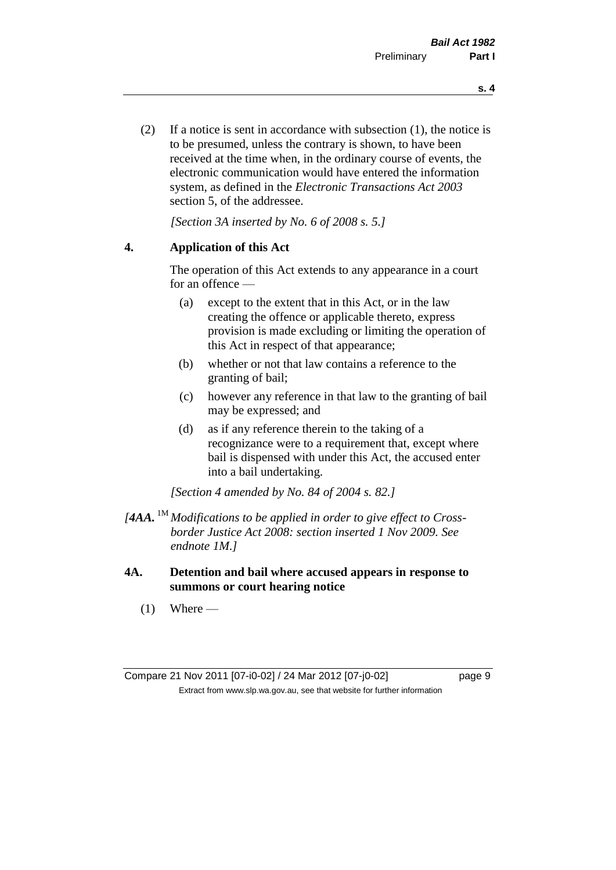(2) If a notice is sent in accordance with subsection (1), the notice is to be presumed, unless the contrary is shown, to have been received at the time when, in the ordinary course of events, the electronic communication would have entered the information system, as defined in the *Electronic Transactions Act 2003* section 5, of the addressee.

*[Section 3A inserted by No. 6 of 2008 s. 5.]*

### **4. Application of this Act**

The operation of this Act extends to any appearance in a court for an offence —

- (a) except to the extent that in this Act, or in the law creating the offence or applicable thereto, express provision is made excluding or limiting the operation of this Act in respect of that appearance;
- (b) whether or not that law contains a reference to the granting of bail;
- (c) however any reference in that law to the granting of bail may be expressed; and
- (d) as if any reference therein to the taking of a recognizance were to a requirement that, except where bail is dispensed with under this Act, the accused enter into a bail undertaking.

*[Section 4 amended by No. 84 of 2004 s. 82.]*

- *[4AA.* 1M *Modifications to be applied in order to give effect to Crossborder Justice Act 2008: section inserted 1 Nov 2009. See endnote 1M.]*
- **4A. Detention and bail where accused appears in response to summons or court hearing notice**
	- $(1)$  Where —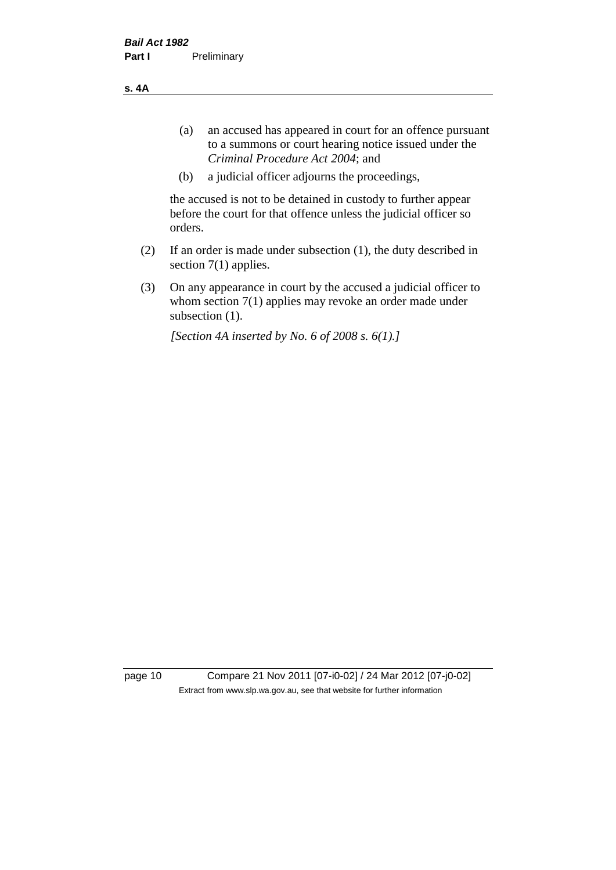**s. 4A**

- (a) an accused has appeared in court for an offence pursuant to a summons or court hearing notice issued under the *Criminal Procedure Act 2004*; and
- (b) a judicial officer adjourns the proceedings,

the accused is not to be detained in custody to further appear before the court for that offence unless the judicial officer so orders.

- (2) If an order is made under subsection (1), the duty described in section 7(1) applies.
- (3) On any appearance in court by the accused a judicial officer to whom section 7(1) applies may revoke an order made under subsection (1).

*[Section 4A inserted by No. 6 of 2008 s. 6(1).]*

page 10 Compare 21 Nov 2011 [07-i0-02] / 24 Mar 2012 [07-j0-02] Extract from www.slp.wa.gov.au, see that website for further information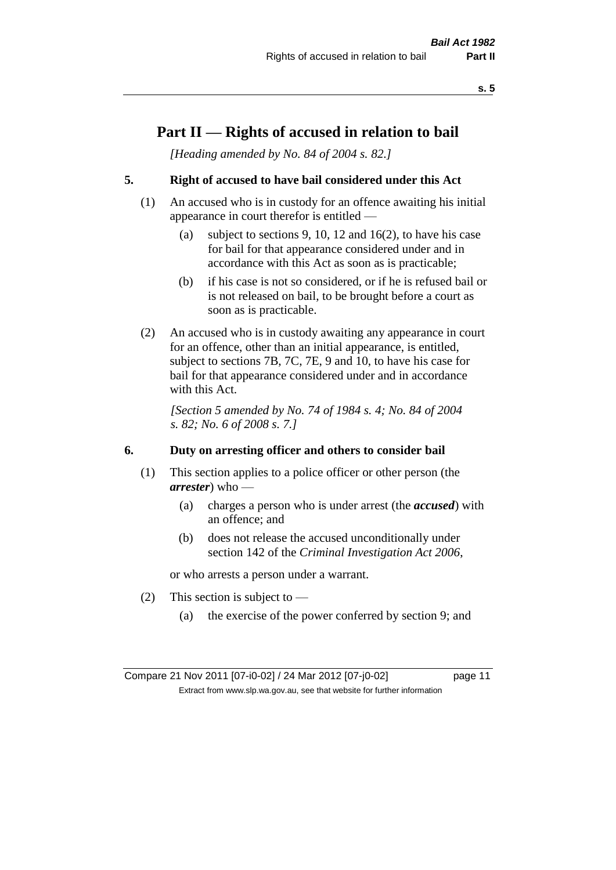## **Part II — Rights of accused in relation to bail**

*[Heading amended by No. 84 of 2004 s. 82.]* 

### **5. Right of accused to have bail considered under this Act**

- (1) An accused who is in custody for an offence awaiting his initial appearance in court therefor is entitled —
	- (a) subject to sections 9, 10, 12 and 16(2), to have his case for bail for that appearance considered under and in accordance with this Act as soon as is practicable;
	- (b) if his case is not so considered, or if he is refused bail or is not released on bail, to be brought before a court as soon as is practicable.
- (2) An accused who is in custody awaiting any appearance in court for an offence, other than an initial appearance, is entitled, subject to sections 7B, 7C, 7E, 9 and 10, to have his case for bail for that appearance considered under and in accordance with this Act.

*[Section 5 amended by No. 74 of 1984 s. 4; No. 84 of 2004 s. 82; No. 6 of 2008 s. 7.]* 

### **6. Duty on arresting officer and others to consider bail**

- (1) This section applies to a police officer or other person (the *arrester*) who —
	- (a) charges a person who is under arrest (the *accused*) with an offence; and
	- (b) does not release the accused unconditionally under section 142 of the *Criminal Investigation Act 2006*,

or who arrests a person under a warrant.

- (2) This section is subject to  $-$ 
	- (a) the exercise of the power conferred by section 9; and

Compare 21 Nov 2011 [07-i0-02] / 24 Mar 2012 [07-j0-02] page 11 Extract from www.slp.wa.gov.au, see that website for further information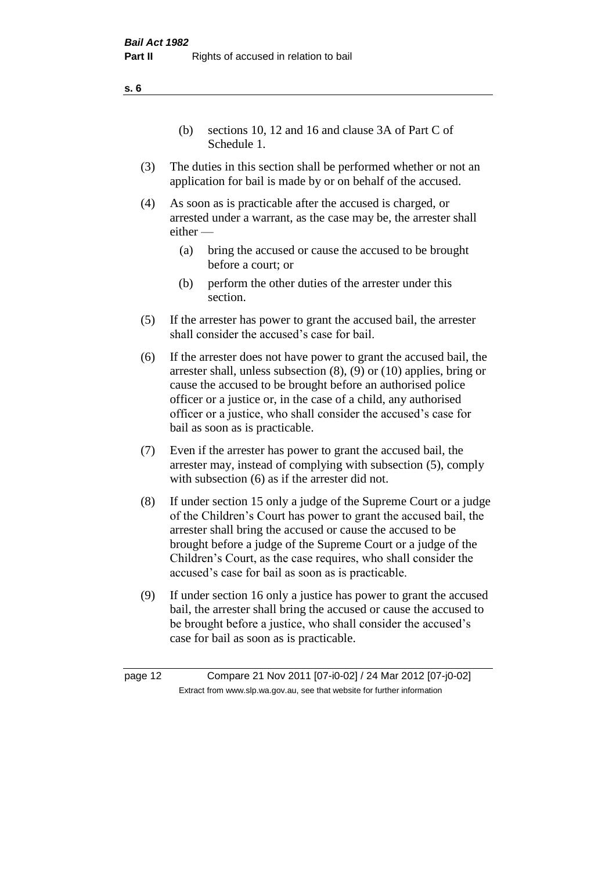(b) sections 10, 12 and 16 and clause 3A of Part C of Schedule 1.

- (3) The duties in this section shall be performed whether or not an application for bail is made by or on behalf of the accused.
- (4) As soon as is practicable after the accused is charged, or arrested under a warrant, as the case may be, the arrester shall either —
	- (a) bring the accused or cause the accused to be brought before a court; or
	- (b) perform the other duties of the arrester under this section.
- (5) If the arrester has power to grant the accused bail, the arrester shall consider the accused's case for bail.
- (6) If the arrester does not have power to grant the accused bail, the arrester shall, unless subsection (8), (9) or (10) applies, bring or cause the accused to be brought before an authorised police officer or a justice or, in the case of a child, any authorised officer or a justice, who shall consider the accused's case for bail as soon as is practicable.
- (7) Even if the arrester has power to grant the accused bail, the arrester may, instead of complying with subsection (5), comply with subsection  $(6)$  as if the arrester did not.
- (8) If under section 15 only a judge of the Supreme Court or a judge of the Children's Court has power to grant the accused bail, the arrester shall bring the accused or cause the accused to be brought before a judge of the Supreme Court or a judge of the Children's Court, as the case requires, who shall consider the accused's case for bail as soon as is practicable.
- (9) If under section 16 only a justice has power to grant the accused bail, the arrester shall bring the accused or cause the accused to be brought before a justice, who shall consider the accused's case for bail as soon as is practicable.

page 12 Compare 21 Nov 2011 [07-i0-02] / 24 Mar 2012 [07-j0-02] Extract from www.slp.wa.gov.au, see that website for further information

**s. 6**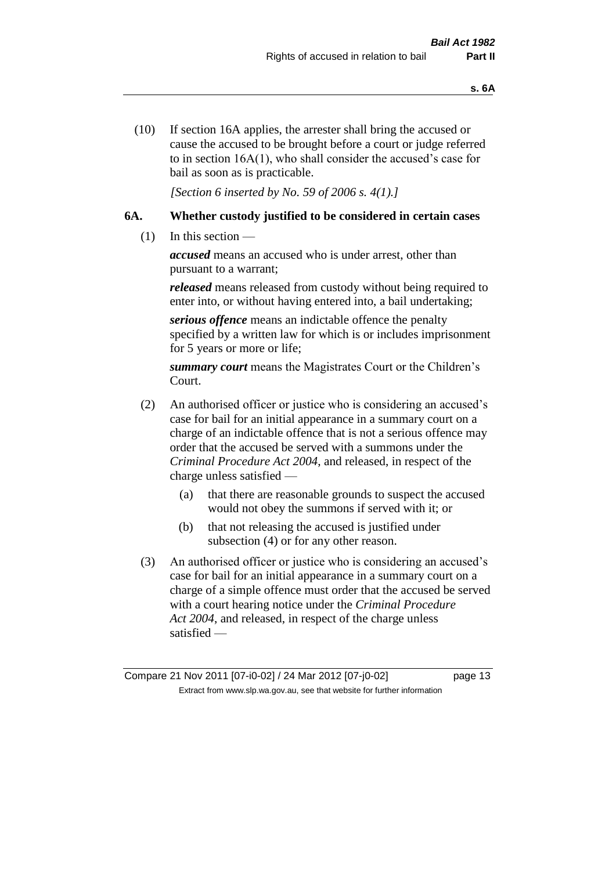(10) If section 16A applies, the arrester shall bring the accused or cause the accused to be brought before a court or judge referred to in section 16A(1), who shall consider the accused's case for bail as soon as is practicable.

*[Section 6 inserted by No. 59 of 2006 s. 4(1).]* 

### **6A. Whether custody justified to be considered in certain cases**

(1) In this section —

*accused* means an accused who is under arrest, other than pursuant to a warrant;

*released* means released from custody without being required to enter into, or without having entered into, a bail undertaking;

*serious offence* means an indictable offence the penalty specified by a written law for which is or includes imprisonment for 5 years or more or life;

*summary court* means the Magistrates Court or the Children's Court.

- (2) An authorised officer or justice who is considering an accused's case for bail for an initial appearance in a summary court on a charge of an indictable offence that is not a serious offence may order that the accused be served with a summons under the *Criminal Procedure Act 2004*, and released, in respect of the charge unless satisfied —
	- (a) that there are reasonable grounds to suspect the accused would not obey the summons if served with it; or
	- (b) that not releasing the accused is justified under subsection (4) or for any other reason.
- (3) An authorised officer or justice who is considering an accused's case for bail for an initial appearance in a summary court on a charge of a simple offence must order that the accused be served with a court hearing notice under the *Criminal Procedure Act 2004*, and released, in respect of the charge unless satisfied —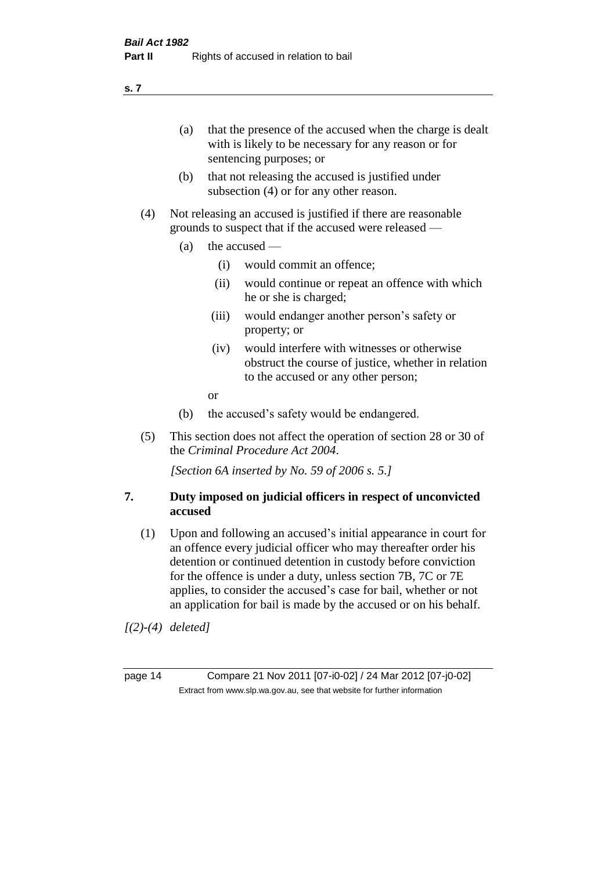(a) that the presence of the accused when the charge is dealt with is likely to be necessary for any reason or for sentencing purposes; or

- (b) that not releasing the accused is justified under subsection (4) or for any other reason.
- (4) Not releasing an accused is justified if there are reasonable grounds to suspect that if the accused were released —
	- (a) the accused
		- (i) would commit an offence;
		- (ii) would continue or repeat an offence with which he or she is charged;
		- (iii) would endanger another person's safety or property; or
		- (iv) would interfere with witnesses or otherwise obstruct the course of justice, whether in relation to the accused or any other person;
		- or
	- (b) the accused's safety would be endangered.
- (5) This section does not affect the operation of section 28 or 30 of the *Criminal Procedure Act 2004*.

*[Section 6A inserted by No. 59 of 2006 s. 5.]* 

### **7. Duty imposed on judicial officers in respect of unconvicted accused**

(1) Upon and following an accused's initial appearance in court for an offence every judicial officer who may thereafter order his detention or continued detention in custody before conviction for the offence is under a duty, unless section 7B, 7C or 7E applies, to consider the accused's case for bail, whether or not an application for bail is made by the accused or on his behalf.

*[(2)-(4) deleted]*

page 14 Compare 21 Nov 2011 [07-i0-02] / 24 Mar 2012 [07-j0-02] Extract from www.slp.wa.gov.au, see that website for further information

**s. 7**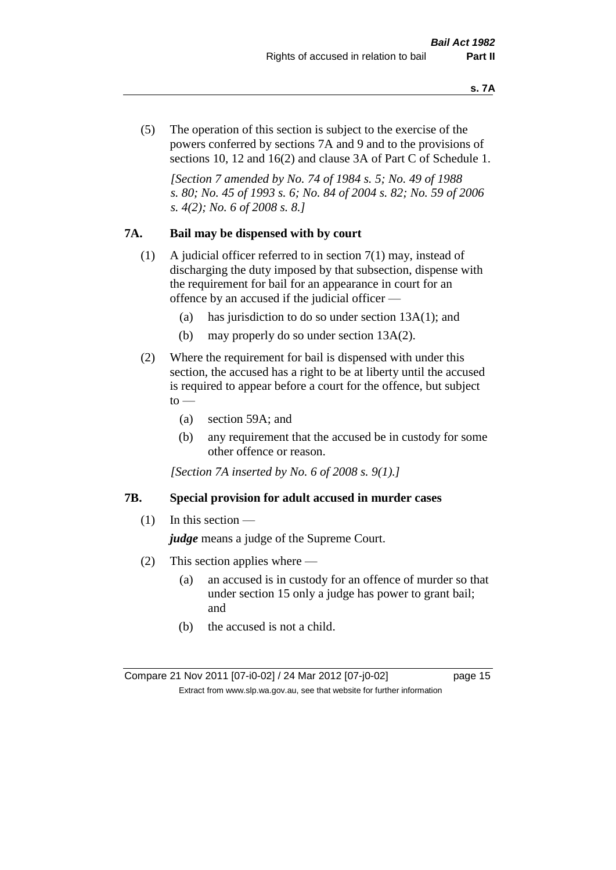(5) The operation of this section is subject to the exercise of the powers conferred by sections 7A and 9 and to the provisions of sections 10, 12 and 16(2) and clause 3A of Part C of Schedule 1.

*[Section 7 amended by No. 74 of 1984 s. 5; No. 49 of 1988 s. 80; No. 45 of 1993 s. 6; No. 84 of 2004 s. 82; No. 59 of 2006 s. 4(2); No. 6 of 2008 s. 8.]* 

### **7A. Bail may be dispensed with by court**

- (1) A judicial officer referred to in section 7(1) may, instead of discharging the duty imposed by that subsection, dispense with the requirement for bail for an appearance in court for an offence by an accused if the judicial officer —
	- (a) has jurisdiction to do so under section 13A(1); and
	- (b) may properly do so under section 13A(2).
- (2) Where the requirement for bail is dispensed with under this section, the accused has a right to be at liberty until the accused is required to appear before a court for the offence, but subject  $\mathrm{to}$  —
	- (a) section 59A; and
	- (b) any requirement that the accused be in custody for some other offence or reason.

*[Section 7A inserted by No. 6 of 2008 s. 9(1).]*

### **7B. Special provision for adult accused in murder cases**

 $(1)$  In this section —

*judge* means a judge of the Supreme Court.

- (2) This section applies where
	- (a) an accused is in custody for an offence of murder so that under section 15 only a judge has power to grant bail; and
	- (b) the accused is not a child.

Compare 21 Nov 2011 [07-i0-02] / 24 Mar 2012 [07-j0-02] page 15 Extract from www.slp.wa.gov.au, see that website for further information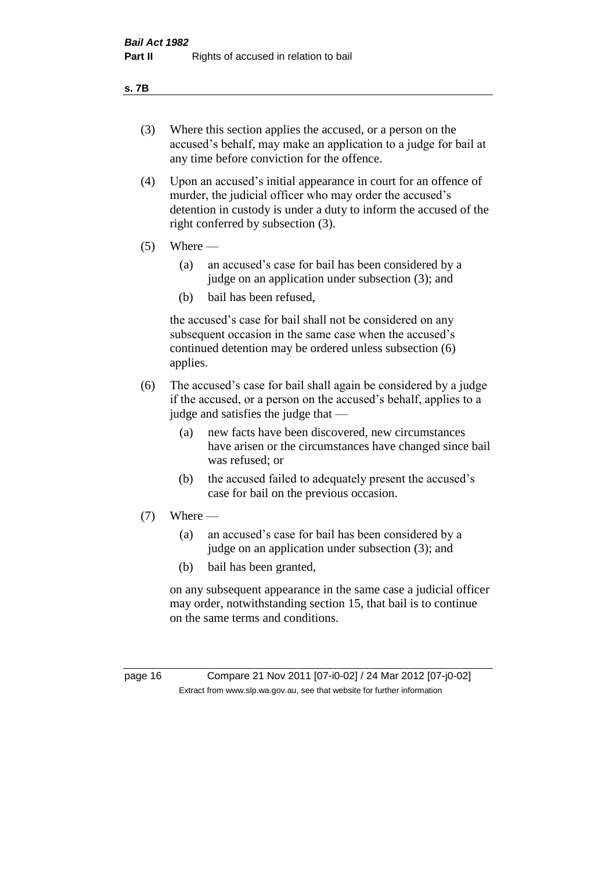#### **s. 7B**

- (3) Where this section applies the accused, or a person on the accused's behalf, may make an application to a judge for bail at any time before conviction for the offence.
- (4) Upon an accused's initial appearance in court for an offence of murder, the judicial officer who may order the accused's detention in custody is under a duty to inform the accused of the right conferred by subsection (3).
- $(5)$  Where
	- (a) an accused's case for bail has been considered by a judge on an application under subsection (3); and
	- (b) bail has been refused,

the accused's case for bail shall not be considered on any subsequent occasion in the same case when the accused's continued detention may be ordered unless subsection (6) applies.

- (6) The accused's case for bail shall again be considered by a judge if the accused, or a person on the accused's behalf, applies to a judge and satisfies the judge that —
	- (a) new facts have been discovered, new circumstances have arisen or the circumstances have changed since bail was refused; or
	- (b) the accused failed to adequately present the accused's case for bail on the previous occasion.
- $(7)$  Where
	- (a) an accused's case for bail has been considered by a judge on an application under subsection (3); and
	- (b) bail has been granted,

on any subsequent appearance in the same case a judicial officer may order, notwithstanding section 15, that bail is to continue on the same terms and conditions.

page 16 Compare 21 Nov 2011 [07-i0-02] / 24 Mar 2012 [07-j0-02] Extract from www.slp.wa.gov.au, see that website for further information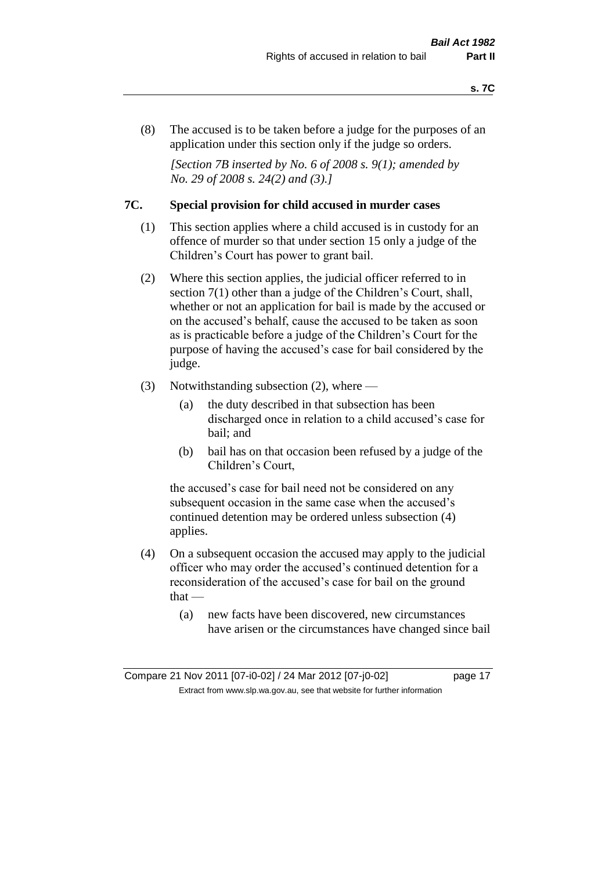(8) The accused is to be taken before a judge for the purposes of an application under this section only if the judge so orders.

*[Section 7B inserted by No. 6 of 2008 s. 9(1); amended by No. 29 of 2008 s. 24(2) and (3).]*

### **7C. Special provision for child accused in murder cases**

- (1) This section applies where a child accused is in custody for an offence of murder so that under section 15 only a judge of the Children's Court has power to grant bail.
- (2) Where this section applies, the judicial officer referred to in section 7(1) other than a judge of the Children's Court, shall, whether or not an application for bail is made by the accused or on the accused's behalf, cause the accused to be taken as soon as is practicable before a judge of the Children's Court for the purpose of having the accused's case for bail considered by the judge.
- (3) Notwithstanding subsection (2), where
	- (a) the duty described in that subsection has been discharged once in relation to a child accused's case for bail; and
	- (b) bail has on that occasion been refused by a judge of the Children's Court,

the accused's case for bail need not be considered on any subsequent occasion in the same case when the accused's continued detention may be ordered unless subsection (4) applies.

- (4) On a subsequent occasion the accused may apply to the judicial officer who may order the accused's continued detention for a reconsideration of the accused's case for bail on the ground  $that -$ 
	- (a) new facts have been discovered, new circumstances have arisen or the circumstances have changed since bail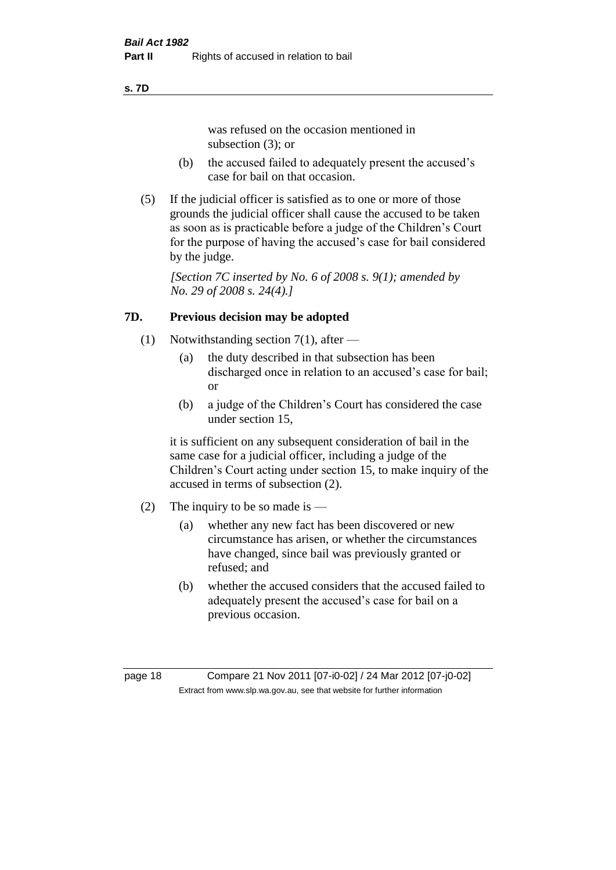#### **s. 7D**

was refused on the occasion mentioned in subsection (3); or

- (b) the accused failed to adequately present the accused's case for bail on that occasion.
- (5) If the judicial officer is satisfied as to one or more of those grounds the judicial officer shall cause the accused to be taken as soon as is practicable before a judge of the Children's Court for the purpose of having the accused's case for bail considered by the judge.

*[Section 7C inserted by No. 6 of 2008 s. 9(1); amended by No. 29 of 2008 s. 24(4).]*

### **7D. Previous decision may be adopted**

- (1) Notwithstanding section 7(1), after
	- (a) the duty described in that subsection has been discharged once in relation to an accused's case for bail; or
	- (b) a judge of the Children's Court has considered the case under section 15,

it is sufficient on any subsequent consideration of bail in the same case for a judicial officer, including a judge of the Children's Court acting under section 15, to make inquiry of the accused in terms of subsection (2).

- (2) The inquiry to be so made is  $-$ 
	- (a) whether any new fact has been discovered or new circumstance has arisen, or whether the circumstances have changed, since bail was previously granted or refused; and
	- (b) whether the accused considers that the accused failed to adequately present the accused's case for bail on a previous occasion.

page 18 Compare 21 Nov 2011 [07-i0-02] / 24 Mar 2012 [07-j0-02] Extract from www.slp.wa.gov.au, see that website for further information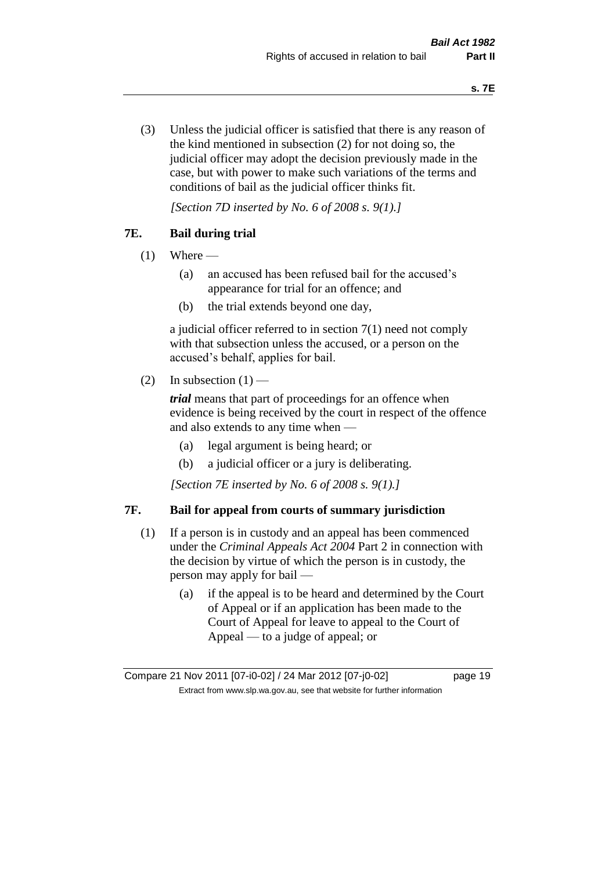(3) Unless the judicial officer is satisfied that there is any reason of the kind mentioned in subsection (2) for not doing so, the judicial officer may adopt the decision previously made in the case, but with power to make such variations of the terms and conditions of bail as the judicial officer thinks fit.

*[Section 7D inserted by No. 6 of 2008 s. 9(1).]*

### **7E. Bail during trial**

- $(1)$  Where
	- (a) an accused has been refused bail for the accused's appearance for trial for an offence; and
	- (b) the trial extends beyond one day,

a judicial officer referred to in section 7(1) need not comply with that subsection unless the accused, or a person on the accused's behalf, applies for bail.

(2) In subsection  $(1)$  —

*trial* means that part of proceedings for an offence when evidence is being received by the court in respect of the offence and also extends to any time when —

- (a) legal argument is being heard; or
- (b) a judicial officer or a jury is deliberating.

*[Section 7E inserted by No. 6 of 2008 s. 9(1).]*

### **7F. Bail for appeal from courts of summary jurisdiction**

- (1) If a person is in custody and an appeal has been commenced under the *Criminal Appeals Act 2004* Part 2 in connection with the decision by virtue of which the person is in custody, the person may apply for bail —
	- (a) if the appeal is to be heard and determined by the Court of Appeal or if an application has been made to the Court of Appeal for leave to appeal to the Court of Appeal — to a judge of appeal; or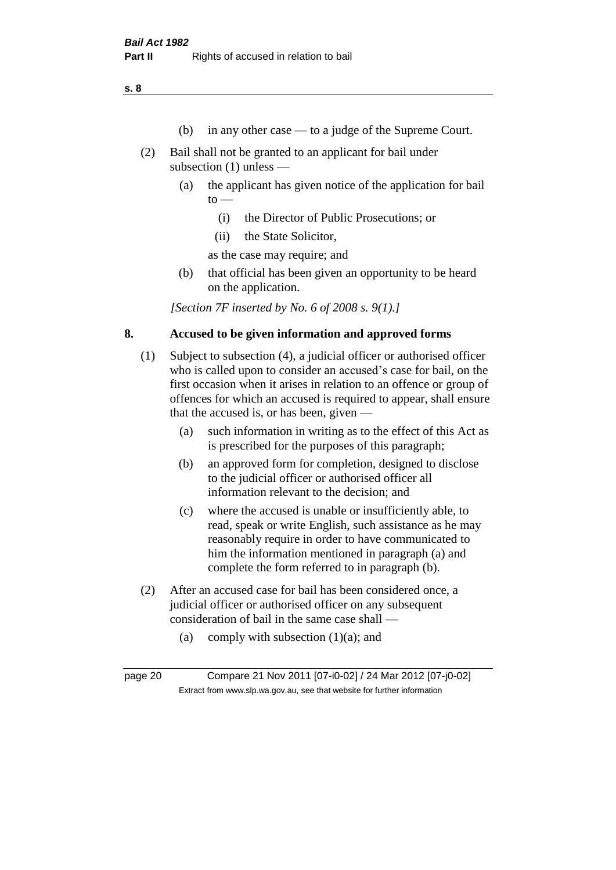**s. 8**

- (b) in any other case to a judge of the Supreme Court.
- (2) Bail shall not be granted to an applicant for bail under subsection (1) unless —
	- (a) the applicant has given notice of the application for bail  $to -$ 
		- (i) the Director of Public Prosecutions; or
		- (ii) the State Solicitor,

as the case may require; and

(b) that official has been given an opportunity to be heard on the application.

*[Section 7F inserted by No. 6 of 2008 s. 9(1).]*

### **8. Accused to be given information and approved forms**

- (1) Subject to subsection (4), a judicial officer or authorised officer who is called upon to consider an accused's case for bail, on the first occasion when it arises in relation to an offence or group of offences for which an accused is required to appear, shall ensure that the accused is, or has been, given —
	- (a) such information in writing as to the effect of this Act as is prescribed for the purposes of this paragraph;
	- (b) an approved form for completion, designed to disclose to the judicial officer or authorised officer all information relevant to the decision; and
	- (c) where the accused is unable or insufficiently able, to read, speak or write English, such assistance as he may reasonably require in order to have communicated to him the information mentioned in paragraph (a) and complete the form referred to in paragraph (b).
- (2) After an accused case for bail has been considered once, a judicial officer or authorised officer on any subsequent consideration of bail in the same case shall —
	- (a) comply with subsection  $(1)(a)$ ; and

page 20 Compare 21 Nov 2011 [07-i0-02] / 24 Mar 2012 [07-j0-02] Extract from www.slp.wa.gov.au, see that website for further information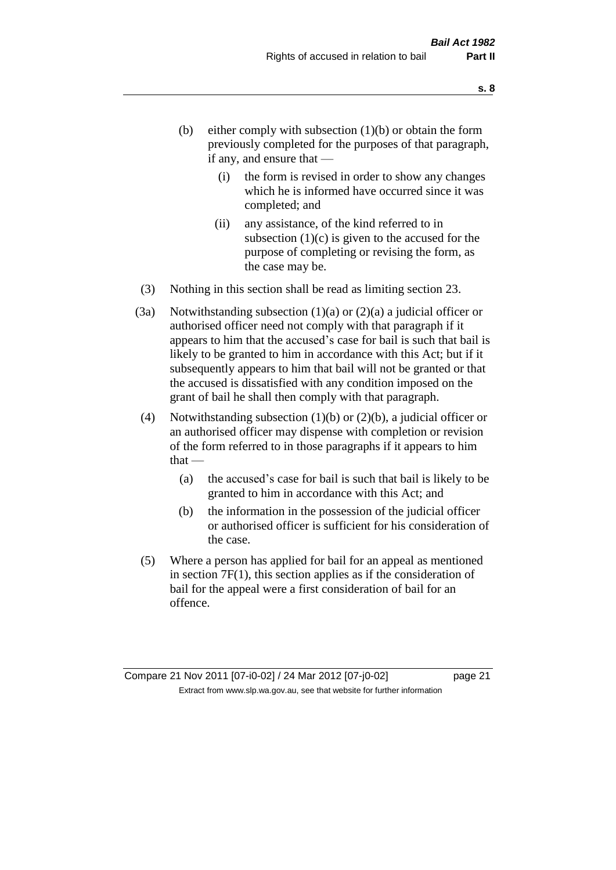- (b) either comply with subsection  $(1)(b)$  or obtain the form previously completed for the purposes of that paragraph, if any, and ensure that —
	- (i) the form is revised in order to show any changes which he is informed have occurred since it was completed; and
	- (ii) any assistance, of the kind referred to in subsection  $(1)(c)$  is given to the accused for the purpose of completing or revising the form, as the case may be.
- (3) Nothing in this section shall be read as limiting section 23.
- (3a) Notwithstanding subsection  $(1)(a)$  or  $(2)(a)$  a judicial officer or authorised officer need not comply with that paragraph if it appears to him that the accused's case for bail is such that bail is likely to be granted to him in accordance with this Act; but if it subsequently appears to him that bail will not be granted or that the accused is dissatisfied with any condition imposed on the grant of bail he shall then comply with that paragraph.
- (4) Notwithstanding subsection (1)(b) or (2)(b), a judicial officer or an authorised officer may dispense with completion or revision of the form referred to in those paragraphs if it appears to him  $that -$ 
	- (a) the accused's case for bail is such that bail is likely to be granted to him in accordance with this Act; and
	- (b) the information in the possession of the judicial officer or authorised officer is sufficient for his consideration of the case.
- (5) Where a person has applied for bail for an appeal as mentioned in section 7F(1), this section applies as if the consideration of bail for the appeal were a first consideration of bail for an offence.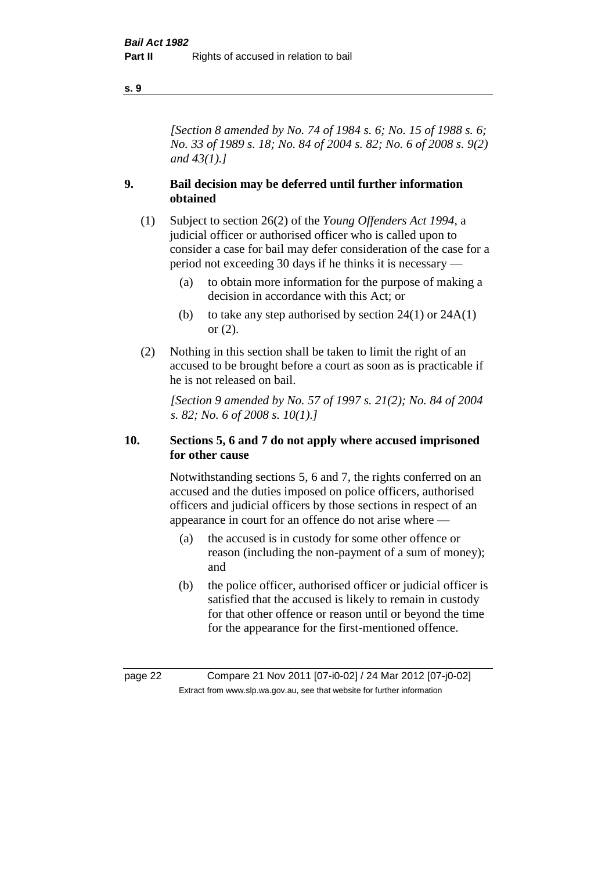#### **s. 9**

*[Section 8 amended by No. 74 of 1984 s. 6; No. 15 of 1988 s. 6; No. 33 of 1989 s. 18; No. 84 of 2004 s. 82; No. 6 of 2008 s. 9(2) and 43(1).]* 

### **9. Bail decision may be deferred until further information obtained**

- (1) Subject to section 26(2) of the *Young Offenders Act 1994*, a judicial officer or authorised officer who is called upon to consider a case for bail may defer consideration of the case for a period not exceeding 30 days if he thinks it is necessary —
	- (a) to obtain more information for the purpose of making a decision in accordance with this Act; or
	- (b) to take any step authorised by section  $24(1)$  or  $24A(1)$ or (2).
- (2) Nothing in this section shall be taken to limit the right of an accused to be brought before a court as soon as is practicable if he is not released on bail.

*[Section 9 amended by No. 57 of 1997 s. 21(2); No. 84 of 2004 s. 82; No. 6 of 2008 s. 10(1).]*

### **10. Sections 5, 6 and 7 do not apply where accused imprisoned for other cause**

Notwithstanding sections 5, 6 and 7, the rights conferred on an accused and the duties imposed on police officers, authorised officers and judicial officers by those sections in respect of an appearance in court for an offence do not arise where —

- (a) the accused is in custody for some other offence or reason (including the non-payment of a sum of money); and
- (b) the police officer, authorised officer or judicial officer is satisfied that the accused is likely to remain in custody for that other offence or reason until or beyond the time for the appearance for the first-mentioned offence.

page 22 Compare 21 Nov 2011 [07-i0-02] / 24 Mar 2012 [07-j0-02] Extract from www.slp.wa.gov.au, see that website for further information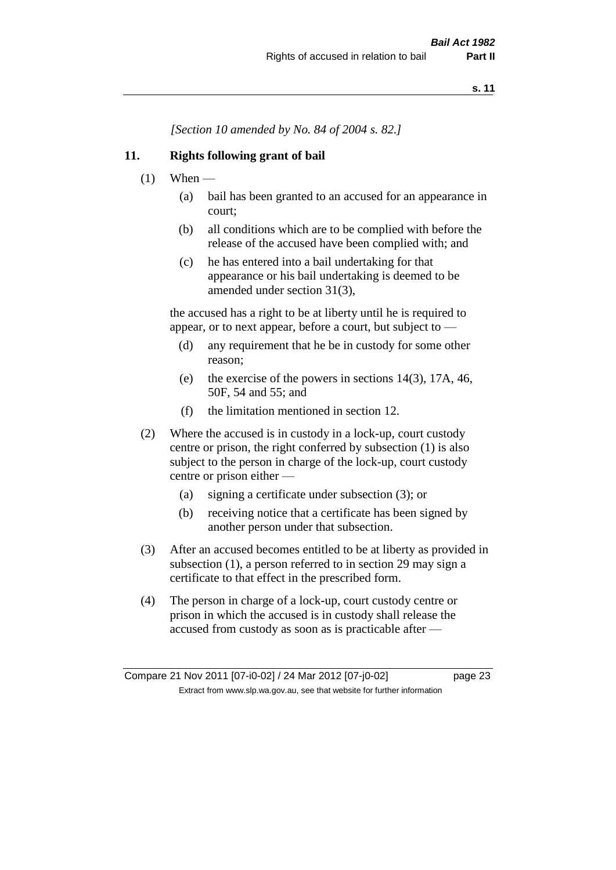*[Section 10 amended by No. 84 of 2004 s. 82.]*

### **11. Rights following grant of bail**

- $(1)$  When
	- (a) bail has been granted to an accused for an appearance in court;
	- (b) all conditions which are to be complied with before the release of the accused have been complied with; and
	- (c) he has entered into a bail undertaking for that appearance or his bail undertaking is deemed to be amended under section 31(3),

the accused has a right to be at liberty until he is required to appear, or to next appear, before a court, but subject to —

- (d) any requirement that he be in custody for some other reason;
- (e) the exercise of the powers in sections 14(3), 17A, 46, 50F, 54 and 55; and
- (f) the limitation mentioned in section 12.
- (2) Where the accused is in custody in a lock-up, court custody centre or prison, the right conferred by subsection (1) is also subject to the person in charge of the lock-up, court custody centre or prison either —
	- (a) signing a certificate under subsection (3); or
	- (b) receiving notice that a certificate has been signed by another person under that subsection.
- (3) After an accused becomes entitled to be at liberty as provided in subsection (1), a person referred to in section 29 may sign a certificate to that effect in the prescribed form.
- (4) The person in charge of a lock-up, court custody centre or prison in which the accused is in custody shall release the accused from custody as soon as is practicable after —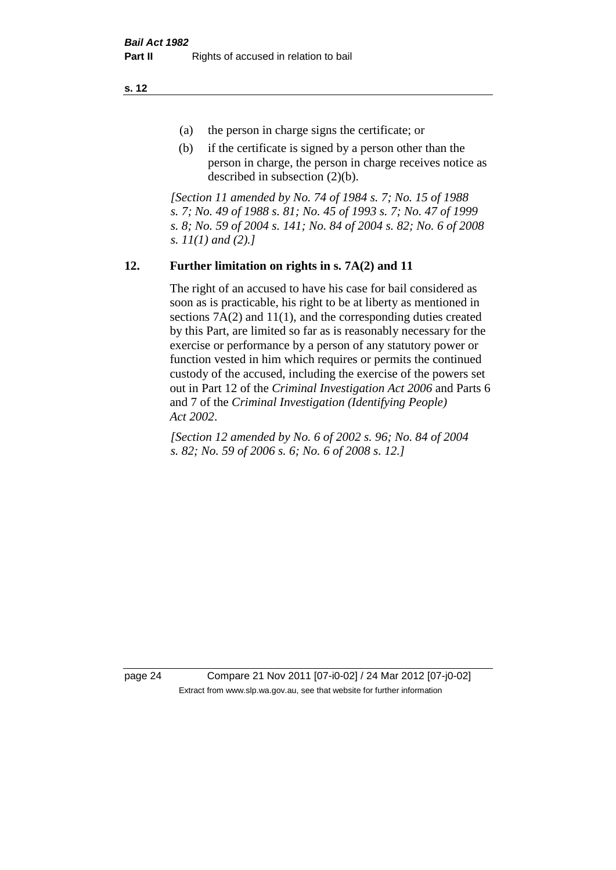**s. 12**

- (a) the person in charge signs the certificate; or
- (b) if the certificate is signed by a person other than the person in charge, the person in charge receives notice as described in subsection (2)(b).

*[Section 11 amended by No. 74 of 1984 s. 7; No. 15 of 1988 s. 7; No. 49 of 1988 s. 81; No. 45 of 1993 s. 7; No. 47 of 1999 s. 8; No. 59 of 2004 s. 141; No. 84 of 2004 s. 82; No. 6 of 2008 s. 11(1) and (2).]* 

### **12. Further limitation on rights in s. 7A(2) and 11**

The right of an accused to have his case for bail considered as soon as is practicable, his right to be at liberty as mentioned in sections 7A(2) and 11(1), and the corresponding duties created by this Part, are limited so far as is reasonably necessary for the exercise or performance by a person of any statutory power or function vested in him which requires or permits the continued custody of the accused, including the exercise of the powers set out in Part 12 of the *Criminal Investigation Act 2006* and Parts 6 and 7 of the *Criminal Investigation (Identifying People) Act 2002*.

*[Section 12 amended by No. 6 of 2002 s. 96; No. 84 of 2004 s. 82; No. 59 of 2006 s. 6; No. 6 of 2008 s. 12.]*

page 24 Compare 21 Nov 2011 [07-i0-02] / 24 Mar 2012 [07-j0-02] Extract from www.slp.wa.gov.au, see that website for further information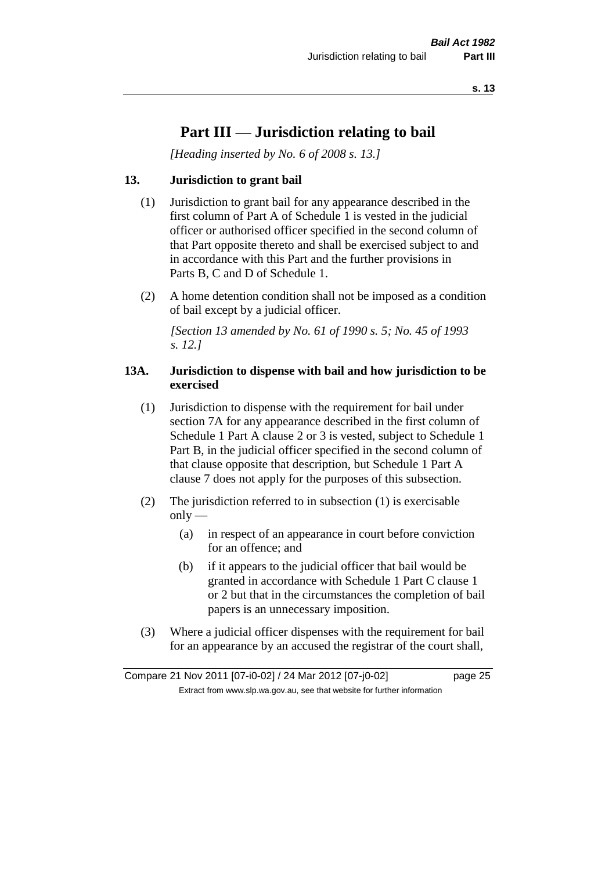# **Part III — Jurisdiction relating to bail**

*[Heading inserted by No. 6 of 2008 s. 13.]*

### **13. Jurisdiction to grant bail**

- (1) Jurisdiction to grant bail for any appearance described in the first column of Part A of Schedule 1 is vested in the judicial officer or authorised officer specified in the second column of that Part opposite thereto and shall be exercised subject to and in accordance with this Part and the further provisions in Parts B, C and D of Schedule 1.
- (2) A home detention condition shall not be imposed as a condition of bail except by a judicial officer.

*[Section 13 amended by No. 61 of 1990 s. 5; No. 45 of 1993 s. 12.]* 

### **13A. Jurisdiction to dispense with bail and how jurisdiction to be exercised**

- (1) Jurisdiction to dispense with the requirement for bail under section 7A for any appearance described in the first column of Schedule 1 Part A clause 2 or 3 is vested, subject to Schedule 1 Part B, in the judicial officer specified in the second column of that clause opposite that description, but Schedule 1 Part A clause 7 does not apply for the purposes of this subsection.
- (2) The jurisdiction referred to in subsection (1) is exercisable  $only$ —
	- (a) in respect of an appearance in court before conviction for an offence; and
	- (b) if it appears to the judicial officer that bail would be granted in accordance with Schedule 1 Part C clause 1 or 2 but that in the circumstances the completion of bail papers is an unnecessary imposition.
- (3) Where a judicial officer dispenses with the requirement for bail for an appearance by an accused the registrar of the court shall,

Compare 21 Nov 2011 [07-i0-02] / 24 Mar 2012 [07-j0-02] page 25 Extract from www.slp.wa.gov.au, see that website for further information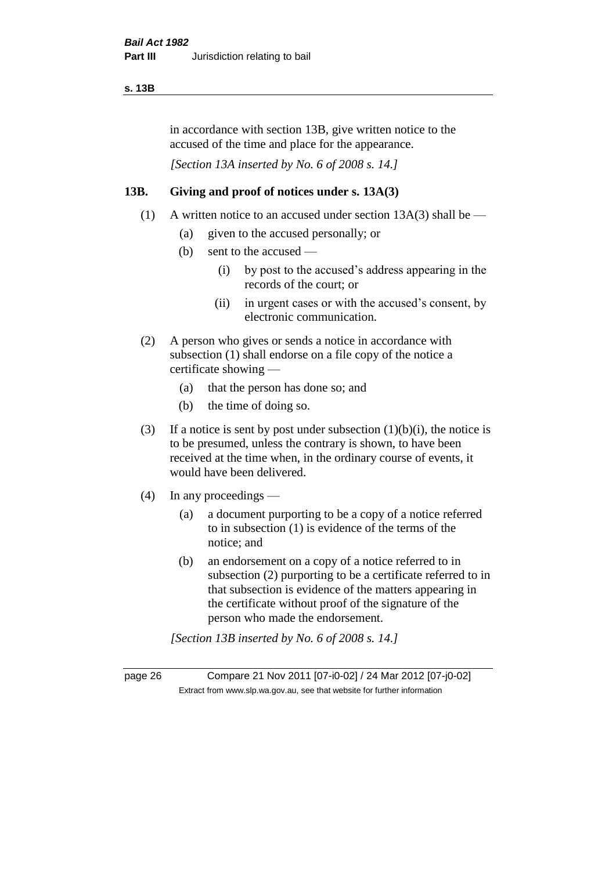### **s. 13B**

in accordance with section 13B, give written notice to the accused of the time and place for the appearance.

*[Section 13A inserted by No. 6 of 2008 s. 14.]*

### **13B. Giving and proof of notices under s. 13A(3)**

- (1) A written notice to an accused under section  $13A(3)$  shall be
	- (a) given to the accused personally; or
	- (b) sent to the accused
		- (i) by post to the accused's address appearing in the records of the court; or
		- (ii) in urgent cases or with the accused's consent, by electronic communication.
- (2) A person who gives or sends a notice in accordance with subsection (1) shall endorse on a file copy of the notice a certificate showing —
	- (a) that the person has done so; and
	- (b) the time of doing so.
- (3) If a notice is sent by post under subsection  $(1)(b)(i)$ , the notice is to be presumed, unless the contrary is shown, to have been received at the time when, in the ordinary course of events, it would have been delivered.
- (4) In any proceedings
	- (a) a document purporting to be a copy of a notice referred to in subsection (1) is evidence of the terms of the notice; and
	- (b) an endorsement on a copy of a notice referred to in subsection (2) purporting to be a certificate referred to in that subsection is evidence of the matters appearing in the certificate without proof of the signature of the person who made the endorsement.

*[Section 13B inserted by No. 6 of 2008 s. 14.]*

page 26 Compare 21 Nov 2011 [07-i0-02] / 24 Mar 2012 [07-j0-02] Extract from www.slp.wa.gov.au, see that website for further information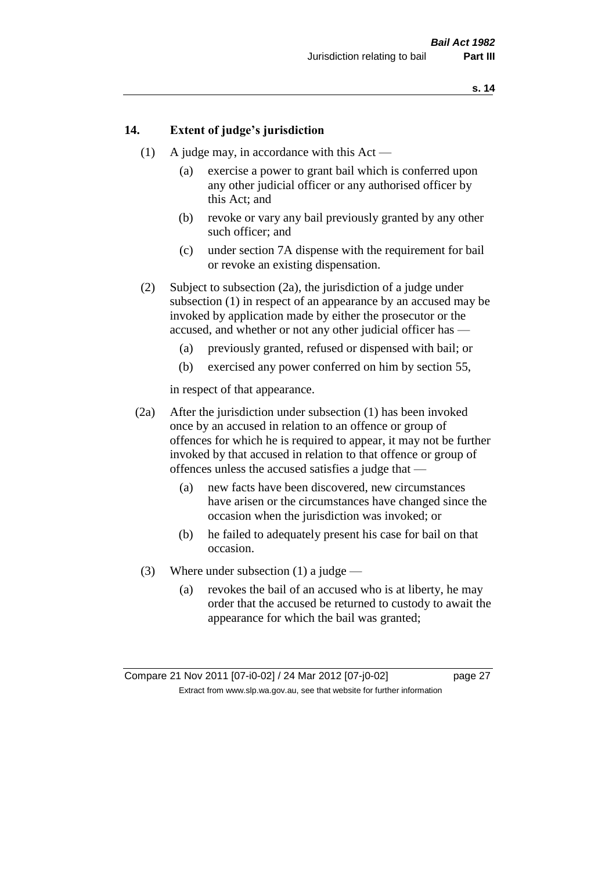### **14. Extent of judge's jurisdiction**

- (1) A judge may, in accordance with this Act
	- (a) exercise a power to grant bail which is conferred upon any other judicial officer or any authorised officer by this Act; and
	- (b) revoke or vary any bail previously granted by any other such officer; and
	- (c) under section 7A dispense with the requirement for bail or revoke an existing dispensation.
- (2) Subject to subsection (2a), the jurisdiction of a judge under subsection (1) in respect of an appearance by an accused may be invoked by application made by either the prosecutor or the accused, and whether or not any other judicial officer has —
	- (a) previously granted, refused or dispensed with bail; or
	- (b) exercised any power conferred on him by section 55,

in respect of that appearance.

- (2a) After the jurisdiction under subsection (1) has been invoked once by an accused in relation to an offence or group of offences for which he is required to appear, it may not be further invoked by that accused in relation to that offence or group of offences unless the accused satisfies a judge that —
	- (a) new facts have been discovered, new circumstances have arisen or the circumstances have changed since the occasion when the jurisdiction was invoked; or
	- (b) he failed to adequately present his case for bail on that occasion.
- (3) Where under subsection (1) a judge
	- (a) revokes the bail of an accused who is at liberty, he may order that the accused be returned to custody to await the appearance for which the bail was granted;

Compare 21 Nov 2011 [07-i0-02] / 24 Mar 2012 [07-j0-02] page 27 Extract from www.slp.wa.gov.au, see that website for further information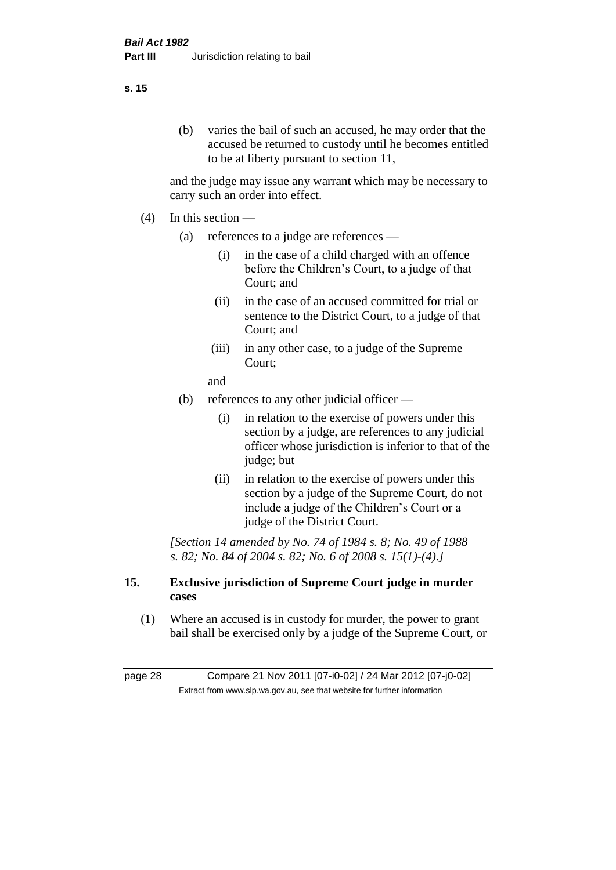#### **s. 15**

(b) varies the bail of such an accused, he may order that the accused be returned to custody until he becomes entitled to be at liberty pursuant to section 11,

and the judge may issue any warrant which may be necessary to carry such an order into effect.

- $(4)$  In this section
	- (a) references to a judge are references
		- (i) in the case of a child charged with an offence before the Children's Court, to a judge of that Court; and
		- (ii) in the case of an accused committed for trial or sentence to the District Court, to a judge of that Court; and
		- (iii) in any other case, to a judge of the Supreme Court;

and

- (b) references to any other judicial officer
	- (i) in relation to the exercise of powers under this section by a judge, are references to any judicial officer whose jurisdiction is inferior to that of the judge; but
	- (ii) in relation to the exercise of powers under this section by a judge of the Supreme Court, do not include a judge of the Children's Court or a judge of the District Court.

*[Section 14 amended by No. 74 of 1984 s. 8; No. 49 of 1988 s. 82; No. 84 of 2004 s. 82; No. 6 of 2008 s. 15(1)-(4).]* 

### **15. Exclusive jurisdiction of Supreme Court judge in murder cases**

(1) Where an accused is in custody for murder, the power to grant bail shall be exercised only by a judge of the Supreme Court, or

page 28 Compare 21 Nov 2011 [07-i0-02] / 24 Mar 2012 [07-j0-02] Extract from www.slp.wa.gov.au, see that website for further information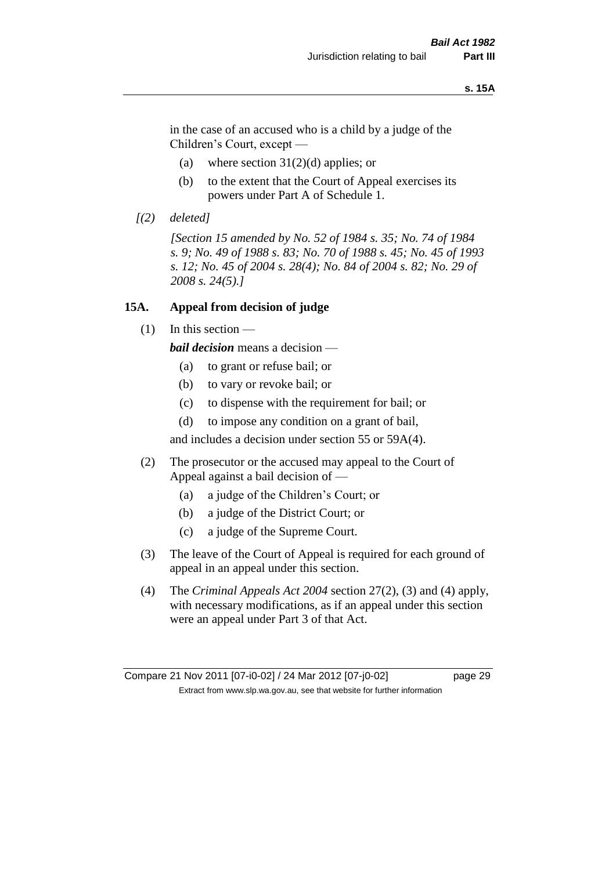#### **s. 15A**

in the case of an accused who is a child by a judge of the Children's Court, except —

- (a) where section  $31(2)(d)$  applies; or
- (b) to the extent that the Court of Appeal exercises its powers under Part A of Schedule 1.
- *[(2) deleted]*

*[Section 15 amended by No. 52 of 1984 s. 35; No. 74 of 1984 s. 9; No. 49 of 1988 s. 83; No. 70 of 1988 s. 45; No. 45 of 1993 s. 12; No. 45 of 2004 s. 28(4); No. 84 of 2004 s. 82; No. 29 of 2008 s. 24(5).]* 

### **15A. Appeal from decision of judge**

(1) In this section —

*bail decision* means a decision —

- (a) to grant or refuse bail; or
- (b) to vary or revoke bail; or
- (c) to dispense with the requirement for bail; or
- (d) to impose any condition on a grant of bail,

and includes a decision under section 55 or 59A(4).

- (2) The prosecutor or the accused may appeal to the Court of Appeal against a bail decision of —
	- (a) a judge of the Children's Court; or
	- (b) a judge of the District Court; or
	- (c) a judge of the Supreme Court.
- (3) The leave of the Court of Appeal is required for each ground of appeal in an appeal under this section.
- (4) The *Criminal Appeals Act 2004* section 27(2), (3) and (4) apply, with necessary modifications, as if an appeal under this section were an appeal under Part 3 of that Act.

Compare 21 Nov 2011 [07-i0-02] / 24 Mar 2012 [07-j0-02] page 29 Extract from www.slp.wa.gov.au, see that website for further information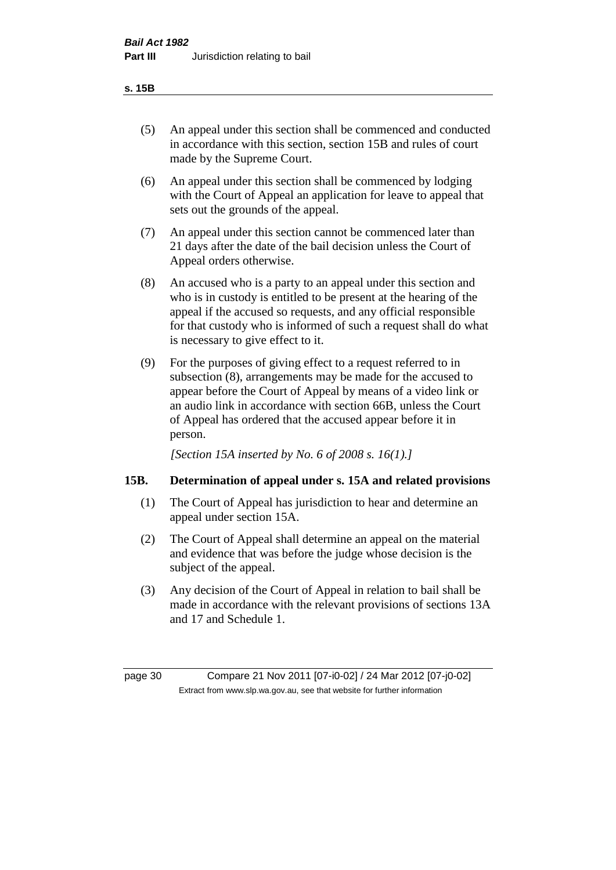- (5) An appeal under this section shall be commenced and conducted in accordance with this section, section 15B and rules of court made by the Supreme Court.
- (6) An appeal under this section shall be commenced by lodging with the Court of Appeal an application for leave to appeal that sets out the grounds of the appeal.
- (7) An appeal under this section cannot be commenced later than 21 days after the date of the bail decision unless the Court of Appeal orders otherwise.
- (8) An accused who is a party to an appeal under this section and who is in custody is entitled to be present at the hearing of the appeal if the accused so requests, and any official responsible for that custody who is informed of such a request shall do what is necessary to give effect to it.
- (9) For the purposes of giving effect to a request referred to in subsection (8), arrangements may be made for the accused to appear before the Court of Appeal by means of a video link or an audio link in accordance with section 66B, unless the Court of Appeal has ordered that the accused appear before it in person.

*[Section 15A inserted by No. 6 of 2008 s. 16(1).]*

### **15B. Determination of appeal under s. 15A and related provisions**

- (1) The Court of Appeal has jurisdiction to hear and determine an appeal under section 15A.
- (2) The Court of Appeal shall determine an appeal on the material and evidence that was before the judge whose decision is the subject of the appeal.
- (3) Any decision of the Court of Appeal in relation to bail shall be made in accordance with the relevant provisions of sections 13A and 17 and Schedule 1.

page 30 Compare 21 Nov 2011 [07-i0-02] / 24 Mar 2012 [07-j0-02] Extract from www.slp.wa.gov.au, see that website for further information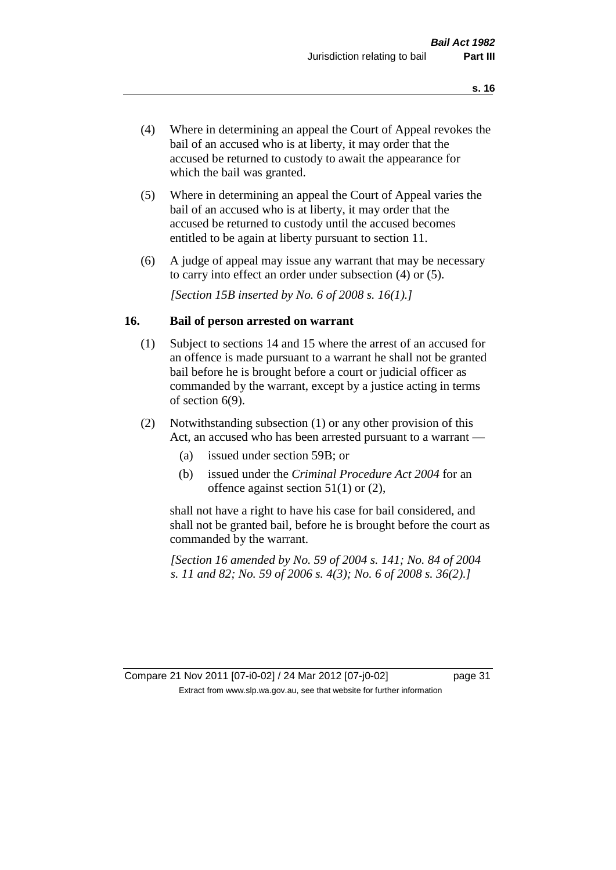- (4) Where in determining an appeal the Court of Appeal revokes the bail of an accused who is at liberty, it may order that the accused be returned to custody to await the appearance for which the bail was granted.
- (5) Where in determining an appeal the Court of Appeal varies the bail of an accused who is at liberty, it may order that the accused be returned to custody until the accused becomes entitled to be again at liberty pursuant to section 11.
- (6) A judge of appeal may issue any warrant that may be necessary to carry into effect an order under subsection (4) or (5).

*[Section 15B inserted by No. 6 of 2008 s. 16(1).]*

### **16. Bail of person arrested on warrant**

- (1) Subject to sections 14 and 15 where the arrest of an accused for an offence is made pursuant to a warrant he shall not be granted bail before he is brought before a court or judicial officer as commanded by the warrant, except by a justice acting in terms of section 6(9).
- (2) Notwithstanding subsection (1) or any other provision of this Act, an accused who has been arrested pursuant to a warrant —
	- (a) issued under section 59B; or
	- (b) issued under the *Criminal Procedure Act 2004* for an offence against section 51(1) or (2),

shall not have a right to have his case for bail considered, and shall not be granted bail, before he is brought before the court as commanded by the warrant.

*[Section 16 amended by No. 59 of 2004 s. 141; No. 84 of 2004 s. 11 and 82; No. 59 of 2006 s. 4(3); No. 6 of 2008 s. 36(2).]*

Compare 21 Nov 2011 [07-i0-02] / 24 Mar 2012 [07-j0-02] page 31 Extract from www.slp.wa.gov.au, see that website for further information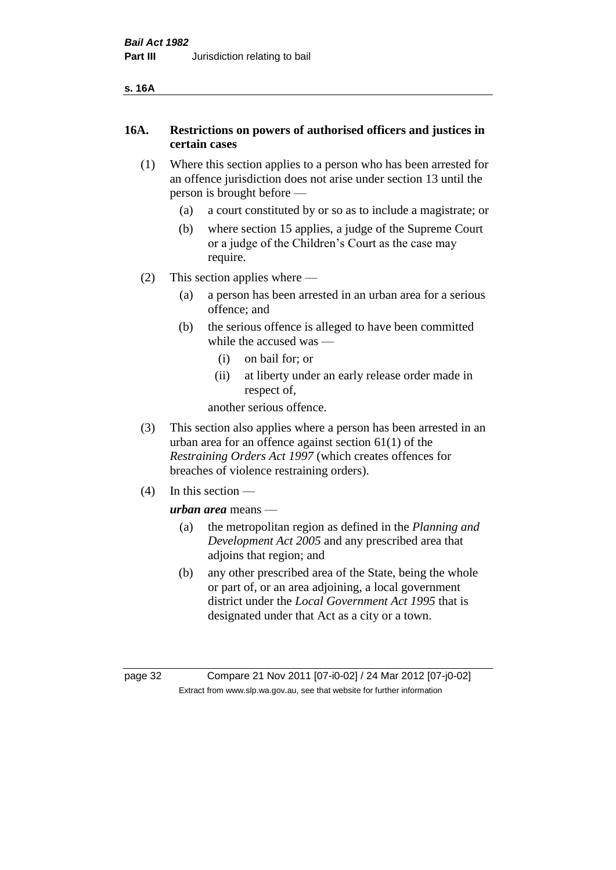### **16A. Restrictions on powers of authorised officers and justices in certain cases**

- (1) Where this section applies to a person who has been arrested for an offence jurisdiction does not arise under section 13 until the person is brought before —
	- (a) a court constituted by or so as to include a magistrate; or
	- (b) where section 15 applies, a judge of the Supreme Court or a judge of the Children's Court as the case may require.
- (2) This section applies where
	- (a) a person has been arrested in an urban area for a serious offence; and
	- (b) the serious offence is alleged to have been committed while the accused was —
		- (i) on bail for; or
		- (ii) at liberty under an early release order made in respect of,

another serious offence.

- (3) This section also applies where a person has been arrested in an urban area for an offence against section 61(1) of the *Restraining Orders Act 1997* (which creates offences for breaches of violence restraining orders).
- (4) In this section —

*urban area* means —

- (a) the metropolitan region as defined in the *Planning and Development Act 2005* and any prescribed area that adjoins that region; and
- (b) any other prescribed area of the State, being the whole or part of, or an area adjoining, a local government district under the *Local Government Act 1995* that is designated under that Act as a city or a town.

page 32 Compare 21 Nov 2011 [07-i0-02] / 24 Mar 2012 [07-j0-02] Extract from www.slp.wa.gov.au, see that website for further information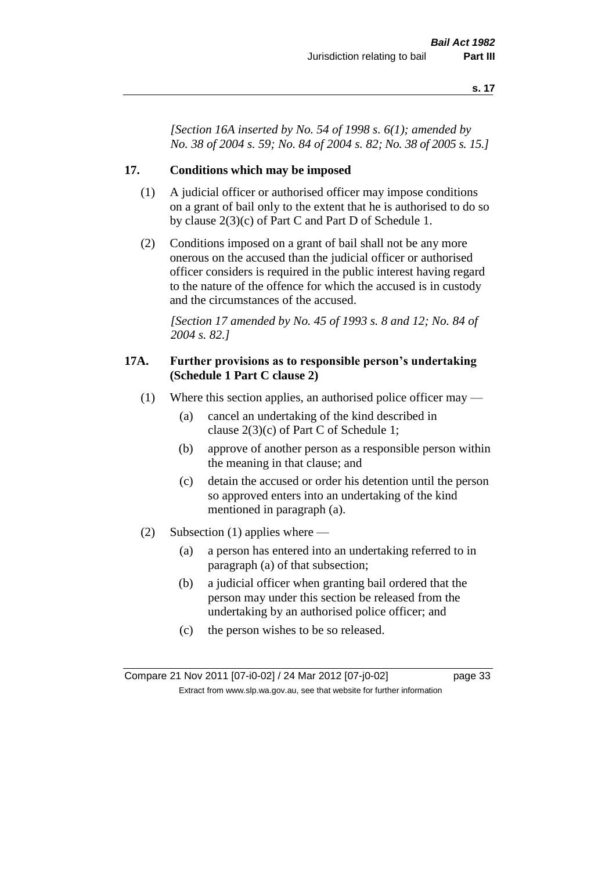*[Section 16A inserted by No. 54 of 1998 s. 6(1); amended by No. 38 of 2004 s. 59; No. 84 of 2004 s. 82; No. 38 of 2005 s. 15.]*

### **17. Conditions which may be imposed**

- (1) A judicial officer or authorised officer may impose conditions on a grant of bail only to the extent that he is authorised to do so by clause 2(3)(c) of Part C and Part D of Schedule 1.
- (2) Conditions imposed on a grant of bail shall not be any more onerous on the accused than the judicial officer or authorised officer considers is required in the public interest having regard to the nature of the offence for which the accused is in custody and the circumstances of the accused.

*[Section 17 amended by No. 45 of 1993 s. 8 and 12; No. 84 of 2004 s. 82.]* 

### **17A. Further provisions as to responsible person's undertaking (Schedule 1 Part C clause 2)**

- (1) Where this section applies, an authorised police officer may
	- (a) cancel an undertaking of the kind described in clause 2(3)(c) of Part C of Schedule 1;
	- (b) approve of another person as a responsible person within the meaning in that clause; and
	- (c) detain the accused or order his detention until the person so approved enters into an undertaking of the kind mentioned in paragraph (a).
- (2) Subsection (1) applies where
	- (a) a person has entered into an undertaking referred to in paragraph (a) of that subsection;
	- (b) a judicial officer when granting bail ordered that the person may under this section be released from the undertaking by an authorised police officer; and
	- (c) the person wishes to be so released.

Compare 21 Nov 2011 [07-i0-02] / 24 Mar 2012 [07-j0-02] page 33 Extract from www.slp.wa.gov.au, see that website for further information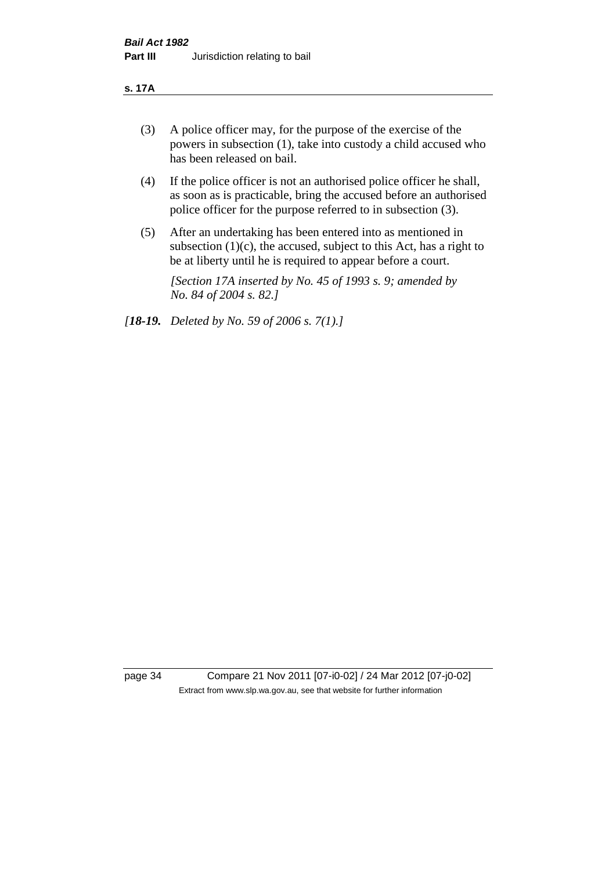#### **s. 17A**

- (3) A police officer may, for the purpose of the exercise of the powers in subsection (1), take into custody a child accused who has been released on bail.
- (4) If the police officer is not an authorised police officer he shall, as soon as is practicable, bring the accused before an authorised police officer for the purpose referred to in subsection (3).
- (5) After an undertaking has been entered into as mentioned in subsection  $(1)(c)$ , the accused, subject to this Act, has a right to be at liberty until he is required to appear before a court.

*[Section 17A inserted by No. 45 of 1993 s. 9; amended by No. 84 of 2004 s. 82.]* 

*[18-19. Deleted by No. 59 of 2006 s. 7(1).]*

page 34 Compare 21 Nov 2011 [07-i0-02] / 24 Mar 2012 [07-j0-02] Extract from www.slp.wa.gov.au, see that website for further information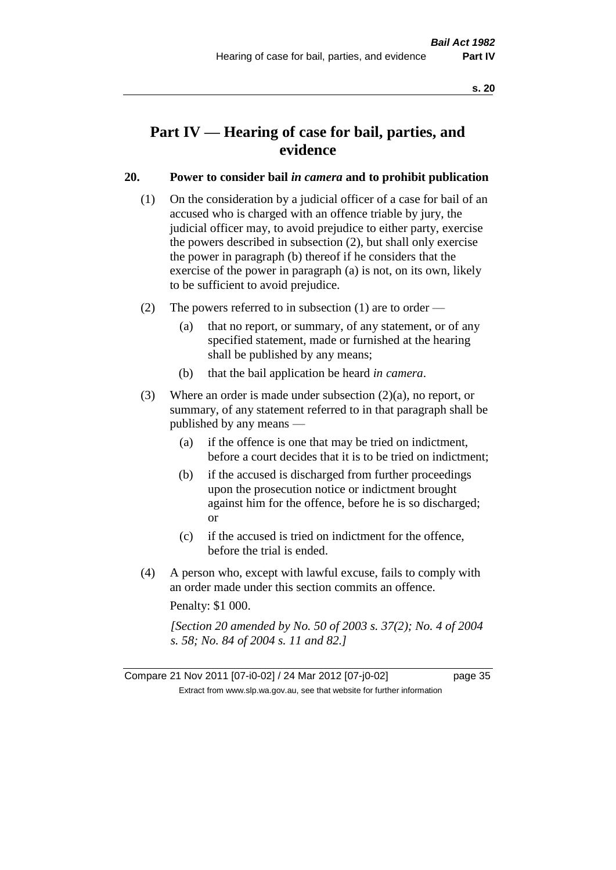# **Part IV — Hearing of case for bail, parties, and evidence**

## **20. Power to consider bail** *in camera* **and to prohibit publication**

- (1) On the consideration by a judicial officer of a case for bail of an accused who is charged with an offence triable by jury, the judicial officer may, to avoid prejudice to either party, exercise the powers described in subsection (2), but shall only exercise the power in paragraph (b) thereof if he considers that the exercise of the power in paragraph (a) is not, on its own, likely to be sufficient to avoid prejudice.
- (2) The powers referred to in subsection (1) are to order
	- (a) that no report, or summary, of any statement, or of any specified statement, made or furnished at the hearing shall be published by any means;
	- (b) that the bail application be heard *in camera*.
- (3) Where an order is made under subsection (2)(a), no report, or summary, of any statement referred to in that paragraph shall be published by any means —
	- (a) if the offence is one that may be tried on indictment, before a court decides that it is to be tried on indictment;
	- (b) if the accused is discharged from further proceedings upon the prosecution notice or indictment brought against him for the offence, before he is so discharged; or
	- (c) if the accused is tried on indictment for the offence, before the trial is ended.
- (4) A person who, except with lawful excuse, fails to comply with an order made under this section commits an offence.

Penalty: \$1 000.

*[Section 20 amended by No. 50 of 2003 s. 37(2); No. 4 of 2004 s. 58; No. 84 of 2004 s. 11 and 82.]*

Compare 21 Nov 2011 [07-i0-02] / 24 Mar 2012 [07-j0-02] page 35 Extract from www.slp.wa.gov.au, see that website for further information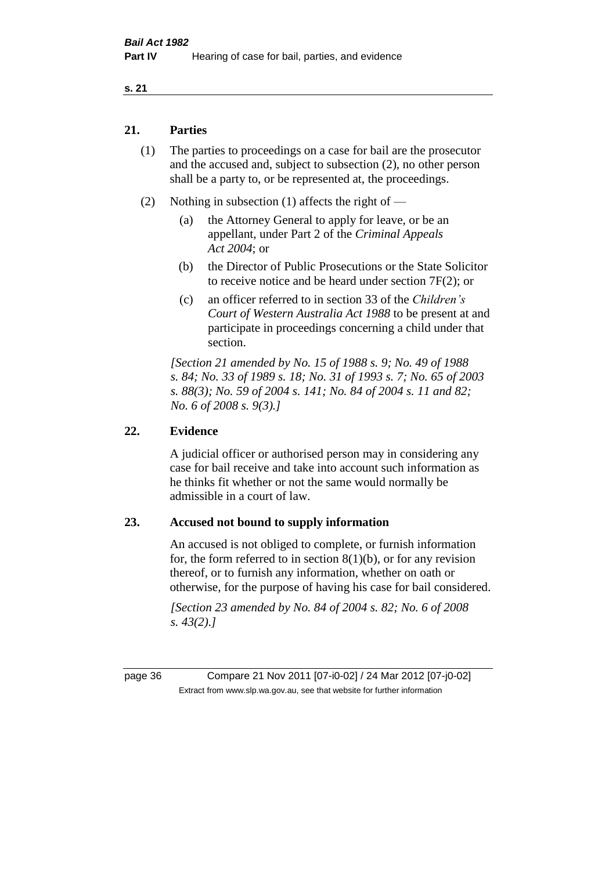## **21. Parties**

- (1) The parties to proceedings on a case for bail are the prosecutor and the accused and, subject to subsection (2), no other person shall be a party to, or be represented at, the proceedings.
- (2) Nothing in subsection (1) affects the right of
	- (a) the Attorney General to apply for leave, or be an appellant, under Part 2 of the *Criminal Appeals Act 2004*; or
	- (b) the Director of Public Prosecutions or the State Solicitor to receive notice and be heard under section 7F(2); or
	- (c) an officer referred to in section 33 of the *Children's Court of Western Australia Act 1988* to be present at and participate in proceedings concerning a child under that section.

*[Section 21 amended by No. 15 of 1988 s. 9; No. 49 of 1988 s. 84; No. 33 of 1989 s. 18; No. 31 of 1993 s. 7; No. 65 of 2003 s. 88(3); No. 59 of 2004 s. 141; No. 84 of 2004 s. 11 and 82; No. 6 of 2008 s. 9(3).]* 

## **22. Evidence**

A judicial officer or authorised person may in considering any case for bail receive and take into account such information as he thinks fit whether or not the same would normally be admissible in a court of law.

### **23. Accused not bound to supply information**

An accused is not obliged to complete, or furnish information for, the form referred to in section  $8(1)(b)$ , or for any revision thereof, or to furnish any information, whether on oath or otherwise, for the purpose of having his case for bail considered.

*[Section 23 amended by No. 84 of 2004 s. 82; No. 6 of 2008 s. 43(2).]* 

page 36 Compare 21 Nov 2011 [07-i0-02] / 24 Mar 2012 [07-j0-02] Extract from www.slp.wa.gov.au, see that website for further information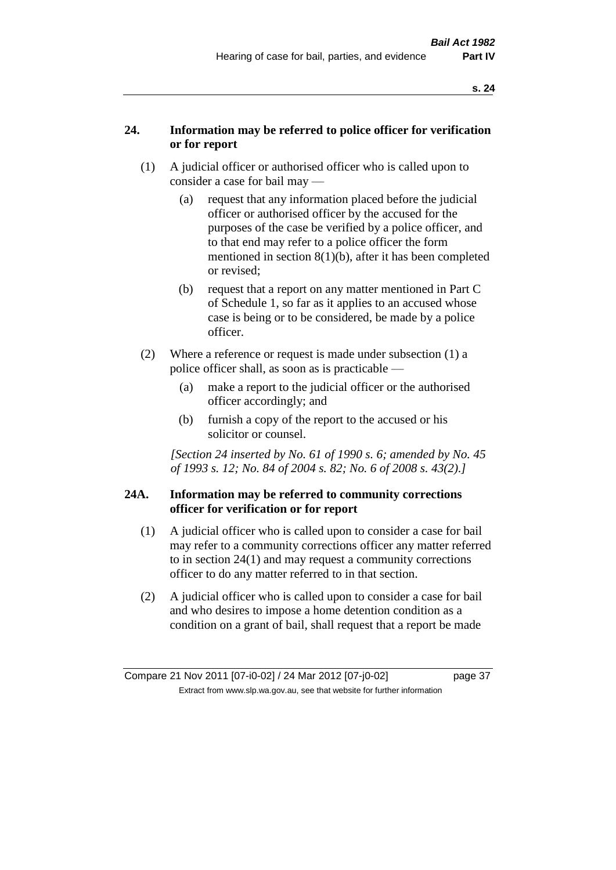# **24. Information may be referred to police officer for verification or for report**

- (1) A judicial officer or authorised officer who is called upon to consider a case for bail may —
	- (a) request that any information placed before the judicial officer or authorised officer by the accused for the purposes of the case be verified by a police officer, and to that end may refer to a police officer the form mentioned in section 8(1)(b), after it has been completed or revised;
	- (b) request that a report on any matter mentioned in Part C of Schedule 1, so far as it applies to an accused whose case is being or to be considered, be made by a police officer.
- (2) Where a reference or request is made under subsection (1) a police officer shall, as soon as is practicable —
	- (a) make a report to the judicial officer or the authorised officer accordingly; and
	- (b) furnish a copy of the report to the accused or his solicitor or counsel.

*[Section 24 inserted by No. 61 of 1990 s. 6; amended by No. 45 of 1993 s. 12; No. 84 of 2004 s. 82; No. 6 of 2008 s. 43(2).]* 

# **24A. Information may be referred to community corrections officer for verification or for report**

- (1) A judicial officer who is called upon to consider a case for bail may refer to a community corrections officer any matter referred to in section 24(1) and may request a community corrections officer to do any matter referred to in that section.
- (2) A judicial officer who is called upon to consider a case for bail and who desires to impose a home detention condition as a condition on a grant of bail, shall request that a report be made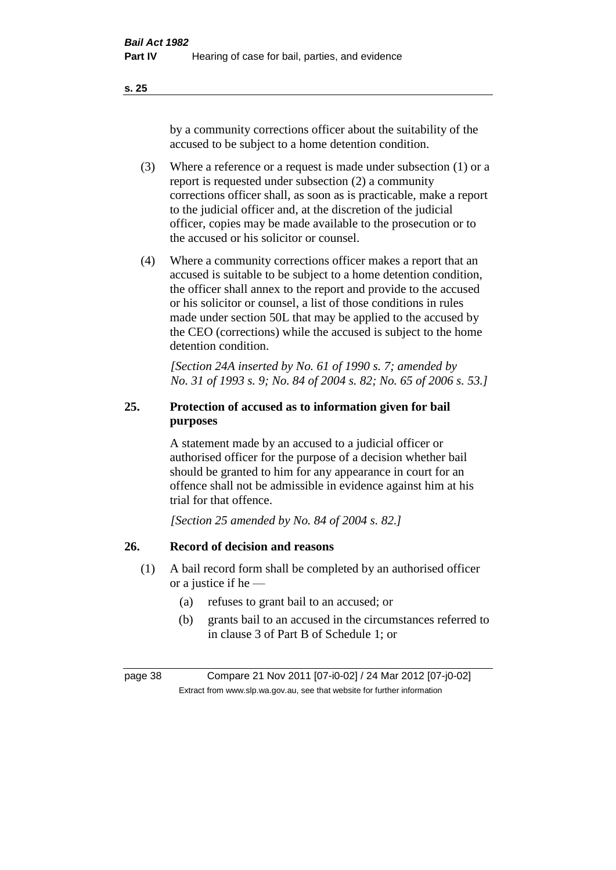by a community corrections officer about the suitability of the accused to be subject to a home detention condition.

- (3) Where a reference or a request is made under subsection (1) or a report is requested under subsection (2) a community corrections officer shall, as soon as is practicable, make a report to the judicial officer and, at the discretion of the judicial officer, copies may be made available to the prosecution or to the accused or his solicitor or counsel.
- (4) Where a community corrections officer makes a report that an accused is suitable to be subject to a home detention condition, the officer shall annex to the report and provide to the accused or his solicitor or counsel, a list of those conditions in rules made under section 50L that may be applied to the accused by the CEO (corrections) while the accused is subject to the home detention condition.

*[Section 24A inserted by No. 61 of 1990 s. 7; amended by No. 31 of 1993 s. 9; No. 84 of 2004 s. 82; No. 65 of 2006 s. 53.]* 

# **25. Protection of accused as to information given for bail purposes**

A statement made by an accused to a judicial officer or authorised officer for the purpose of a decision whether bail should be granted to him for any appearance in court for an offence shall not be admissible in evidence against him at his trial for that offence.

*[Section 25 amended by No. 84 of 2004 s. 82.]* 

# **26. Record of decision and reasons**

- (1) A bail record form shall be completed by an authorised officer or a justice if he —
	- (a) refuses to grant bail to an accused; or
	- (b) grants bail to an accused in the circumstances referred to in clause 3 of Part B of Schedule 1; or

page 38 Compare 21 Nov 2011 [07-i0-02] / 24 Mar 2012 [07-j0-02] Extract from www.slp.wa.gov.au, see that website for further information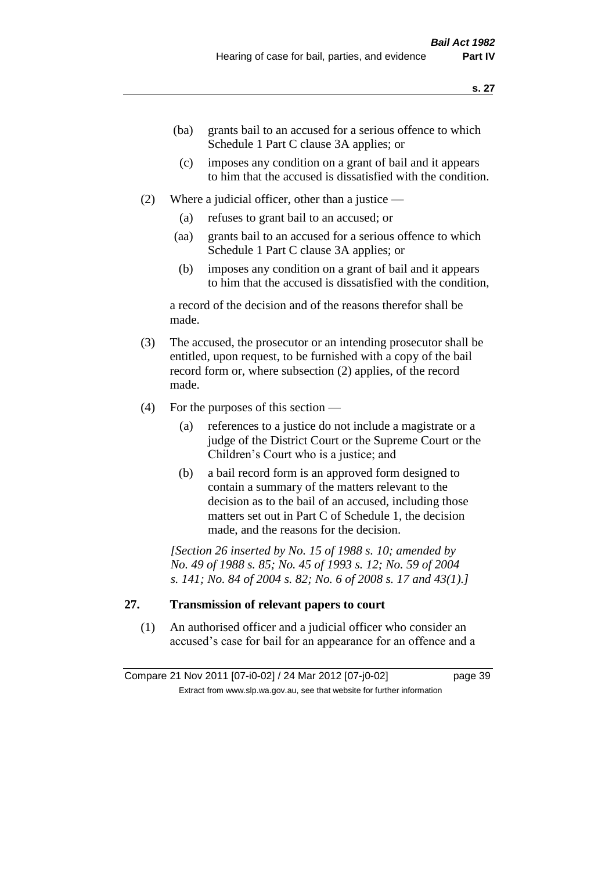- (ba) grants bail to an accused for a serious offence to which Schedule 1 Part C clause 3A applies; or
- (c) imposes any condition on a grant of bail and it appears to him that the accused is dissatisfied with the condition.
- (2) Where a judicial officer, other than a justice
	- (a) refuses to grant bail to an accused; or
	- (aa) grants bail to an accused for a serious offence to which Schedule 1 Part C clause 3A applies; or
	- (b) imposes any condition on a grant of bail and it appears to him that the accused is dissatisfied with the condition,

a record of the decision and of the reasons therefor shall be made.

- (3) The accused, the prosecutor or an intending prosecutor shall be entitled, upon request, to be furnished with a copy of the bail record form or, where subsection (2) applies, of the record made.
- (4) For the purposes of this section
	- (a) references to a justice do not include a magistrate or a judge of the District Court or the Supreme Court or the Children's Court who is a justice; and
	- (b) a bail record form is an approved form designed to contain a summary of the matters relevant to the decision as to the bail of an accused, including those matters set out in Part C of Schedule 1, the decision made, and the reasons for the decision.

*[Section 26 inserted by No. 15 of 1988 s. 10; amended by No. 49 of 1988 s. 85; No. 45 of 1993 s. 12; No. 59 of 2004 s. 141; No. 84 of 2004 s. 82; No. 6 of 2008 s. 17 and 43(1).]* 

# **27. Transmission of relevant papers to court**

(1) An authorised officer and a judicial officer who consider an accused's case for bail for an appearance for an offence and a

Compare 21 Nov 2011 [07-i0-02] / 24 Mar 2012 [07-j0-02] page 39 Extract from www.slp.wa.gov.au, see that website for further information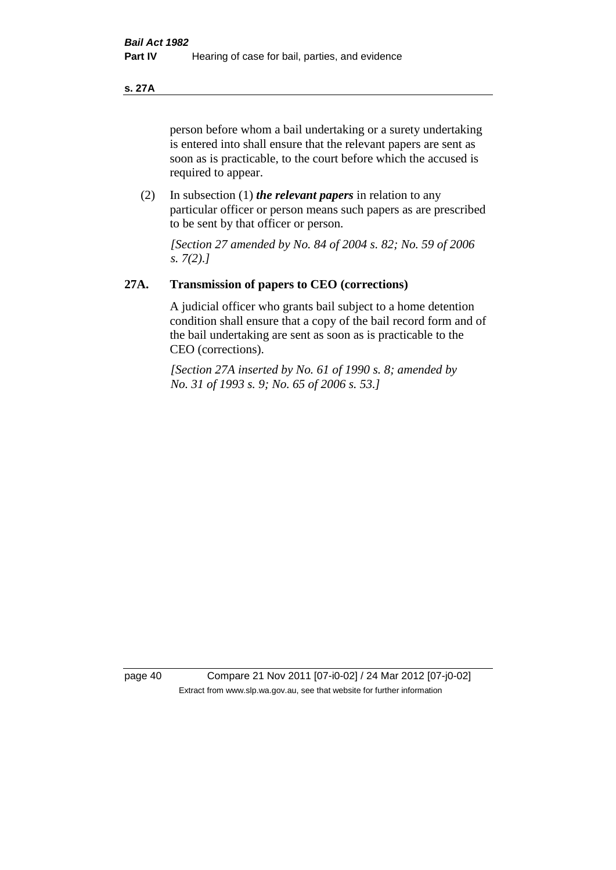**s. 27A**

person before whom a bail undertaking or a surety undertaking is entered into shall ensure that the relevant papers are sent as soon as is practicable, to the court before which the accused is required to appear.

(2) In subsection (1) *the relevant papers* in relation to any particular officer or person means such papers as are prescribed to be sent by that officer or person.

*[Section 27 amended by No. 84 of 2004 s. 82; No. 59 of 2006 s. 7(2).]* 

# **27A. Transmission of papers to CEO (corrections)**

A judicial officer who grants bail subject to a home detention condition shall ensure that a copy of the bail record form and of the bail undertaking are sent as soon as is practicable to the CEO (corrections).

*[Section 27A inserted by No. 61 of 1990 s. 8; amended by No. 31 of 1993 s. 9; No. 65 of 2006 s. 53.]* 

page 40 Compare 21 Nov 2011 [07-i0-02] / 24 Mar 2012 [07-j0-02] Extract from www.slp.wa.gov.au, see that website for further information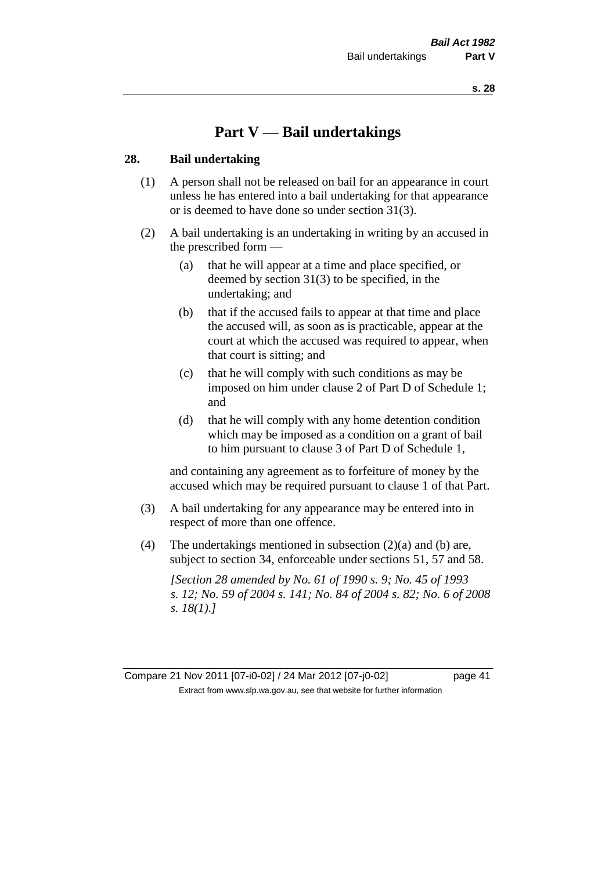# **Part V — Bail undertakings**

### **28. Bail undertaking**

- (1) A person shall not be released on bail for an appearance in court unless he has entered into a bail undertaking for that appearance or is deemed to have done so under section 31(3).
- (2) A bail undertaking is an undertaking in writing by an accused in the prescribed form —
	- (a) that he will appear at a time and place specified, or deemed by section 31(3) to be specified, in the undertaking; and
	- (b) that if the accused fails to appear at that time and place the accused will, as soon as is practicable, appear at the court at which the accused was required to appear, when that court is sitting; and
	- (c) that he will comply with such conditions as may be imposed on him under clause 2 of Part D of Schedule 1; and
	- (d) that he will comply with any home detention condition which may be imposed as a condition on a grant of bail to him pursuant to clause 3 of Part D of Schedule 1,

and containing any agreement as to forfeiture of money by the accused which may be required pursuant to clause 1 of that Part.

- (3) A bail undertaking for any appearance may be entered into in respect of more than one offence.
- (4) The undertakings mentioned in subsection (2)(a) and (b) are, subject to section 34, enforceable under sections 51, 57 and 58.

*[Section 28 amended by No. 61 of 1990 s. 9; No. 45 of 1993 s. 12; No. 59 of 2004 s. 141; No. 84 of 2004 s. 82; No. 6 of 2008 s. 18(1).]* 

Compare 21 Nov 2011 [07-i0-02] / 24 Mar 2012 [07-j0-02] page 41 Extract from www.slp.wa.gov.au, see that website for further information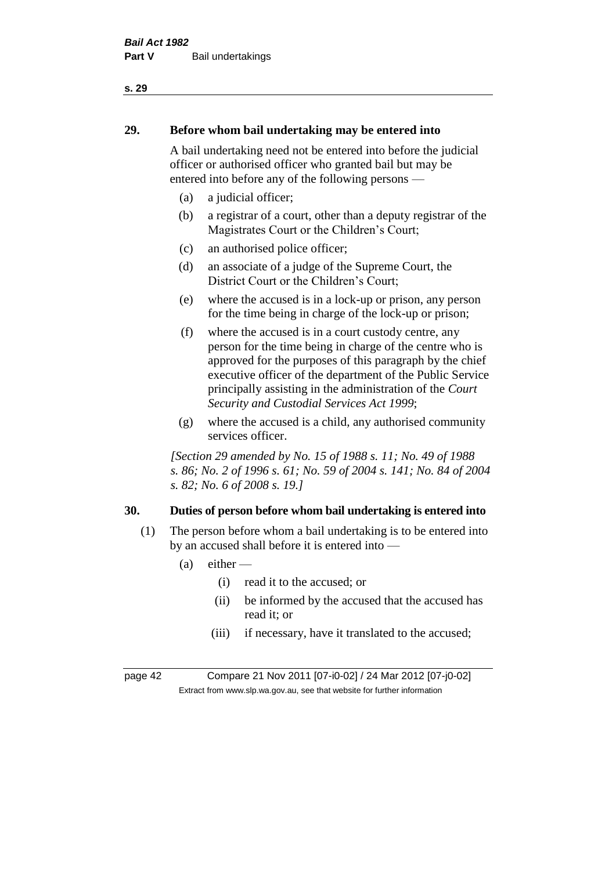# **29. Before whom bail undertaking may be entered into**

A bail undertaking need not be entered into before the judicial officer or authorised officer who granted bail but may be entered into before any of the following persons —

- (a) a judicial officer;
- (b) a registrar of a court, other than a deputy registrar of the Magistrates Court or the Children's Court;
- (c) an authorised police officer;
- (d) an associate of a judge of the Supreme Court, the District Court or the Children's Court;
- (e) where the accused is in a lock-up or prison, any person for the time being in charge of the lock-up or prison;
- (f) where the accused is in a court custody centre, any person for the time being in charge of the centre who is approved for the purposes of this paragraph by the chief executive officer of the department of the Public Service principally assisting in the administration of the *Court Security and Custodial Services Act 1999*;
- (g) where the accused is a child, any authorised community services officer.

*[Section 29 amended by No. 15 of 1988 s. 11; No. 49 of 1988 s. 86; No. 2 of 1996 s. 61; No. 59 of 2004 s. 141; No. 84 of 2004 s. 82; No. 6 of 2008 s. 19.]* 

# **30. Duties of person before whom bail undertaking is entered into**

- (1) The person before whom a bail undertaking is to be entered into by an accused shall before it is entered into —
	- $(a)$  either
		- (i) read it to the accused; or
		- (ii) be informed by the accused that the accused has read it; or
		- (iii) if necessary, have it translated to the accused;

page 42 Compare 21 Nov 2011 [07-i0-02] / 24 Mar 2012 [07-j0-02] Extract from www.slp.wa.gov.au, see that website for further information

### **s. 29**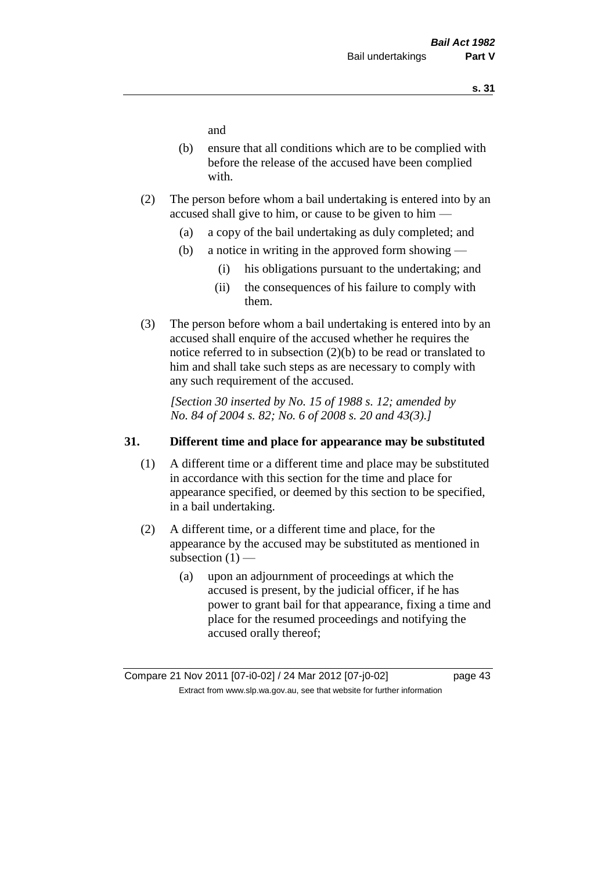and

- (b) ensure that all conditions which are to be complied with before the release of the accused have been complied with.
- (2) The person before whom a bail undertaking is entered into by an accused shall give to him, or cause to be given to him —
	- (a) a copy of the bail undertaking as duly completed; and
	- (b) a notice in writing in the approved form showing
		- (i) his obligations pursuant to the undertaking; and
		- (ii) the consequences of his failure to comply with them.
- (3) The person before whom a bail undertaking is entered into by an accused shall enquire of the accused whether he requires the notice referred to in subsection (2)(b) to be read or translated to him and shall take such steps as are necessary to comply with any such requirement of the accused.

*[Section 30 inserted by No. 15 of 1988 s. 12; amended by No. 84 of 2004 s. 82; No. 6 of 2008 s. 20 and 43(3).]* 

### **31. Different time and place for appearance may be substituted**

- (1) A different time or a different time and place may be substituted in accordance with this section for the time and place for appearance specified, or deemed by this section to be specified, in a bail undertaking.
- (2) A different time, or a different time and place, for the appearance by the accused may be substituted as mentioned in subsection  $(1)$  —
	- (a) upon an adjournment of proceedings at which the accused is present, by the judicial officer, if he has power to grant bail for that appearance, fixing a time and place for the resumed proceedings and notifying the accused orally thereof;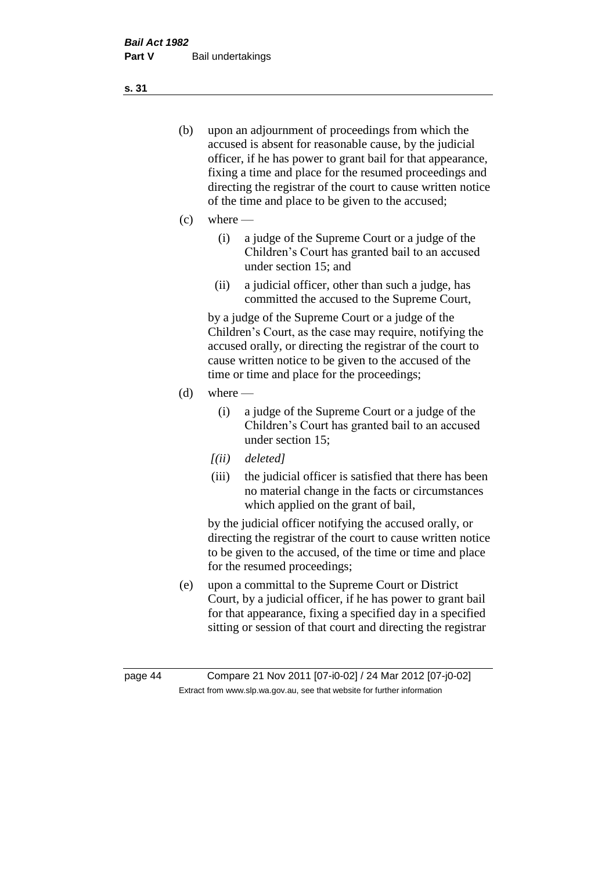- (b) upon an adjournment of proceedings from which the accused is absent for reasonable cause, by the judicial officer, if he has power to grant bail for that appearance, fixing a time and place for the resumed proceedings and directing the registrar of the court to cause written notice of the time and place to be given to the accused;
- (c) where
	- (i) a judge of the Supreme Court or a judge of the Children's Court has granted bail to an accused under section 15; and
	- (ii) a judicial officer, other than such a judge, has committed the accused to the Supreme Court,

by a judge of the Supreme Court or a judge of the Children's Court, as the case may require, notifying the accused orally, or directing the registrar of the court to cause written notice to be given to the accused of the time or time and place for the proceedings;

- $(d)$  where
	- (i) a judge of the Supreme Court or a judge of the Children's Court has granted bail to an accused under section 15;
	- *[(ii) deleted]*
	- (iii) the judicial officer is satisfied that there has been no material change in the facts or circumstances which applied on the grant of bail,

by the judicial officer notifying the accused orally, or directing the registrar of the court to cause written notice to be given to the accused, of the time or time and place for the resumed proceedings;

(e) upon a committal to the Supreme Court or District Court, by a judicial officer, if he has power to grant bail for that appearance, fixing a specified day in a specified sitting or session of that court and directing the registrar

**s. 31**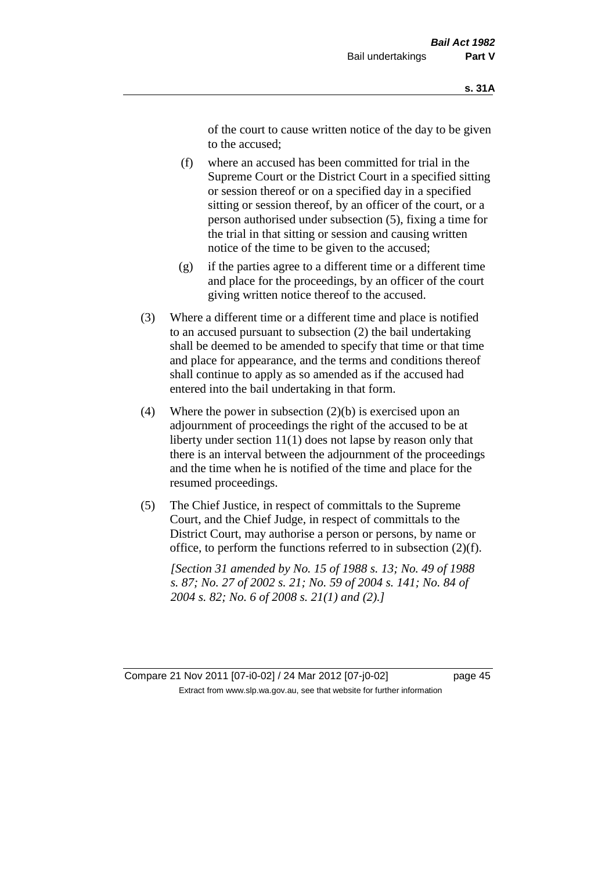of the court to cause written notice of the day to be given to the accused;

- (f) where an accused has been committed for trial in the Supreme Court or the District Court in a specified sitting or session thereof or on a specified day in a specified sitting or session thereof, by an officer of the court, or a person authorised under subsection (5), fixing a time for the trial in that sitting or session and causing written notice of the time to be given to the accused;
- (g) if the parties agree to a different time or a different time and place for the proceedings, by an officer of the court giving written notice thereof to the accused.
- (3) Where a different time or a different time and place is notified to an accused pursuant to subsection (2) the bail undertaking shall be deemed to be amended to specify that time or that time and place for appearance, and the terms and conditions thereof shall continue to apply as so amended as if the accused had entered into the bail undertaking in that form.
- (4) Where the power in subsection  $(2)(b)$  is exercised upon an adjournment of proceedings the right of the accused to be at liberty under section 11(1) does not lapse by reason only that there is an interval between the adjournment of the proceedings and the time when he is notified of the time and place for the resumed proceedings.
- (5) The Chief Justice, in respect of committals to the Supreme Court, and the Chief Judge, in respect of committals to the District Court, may authorise a person or persons, by name or office, to perform the functions referred to in subsection (2)(f).

*[Section 31 amended by No. 15 of 1988 s. 13; No. 49 of 1988 s. 87; No. 27 of 2002 s. 21; No. 59 of 2004 s. 141; No. 84 of 2004 s. 82; No. 6 of 2008 s. 21(1) and (2).]*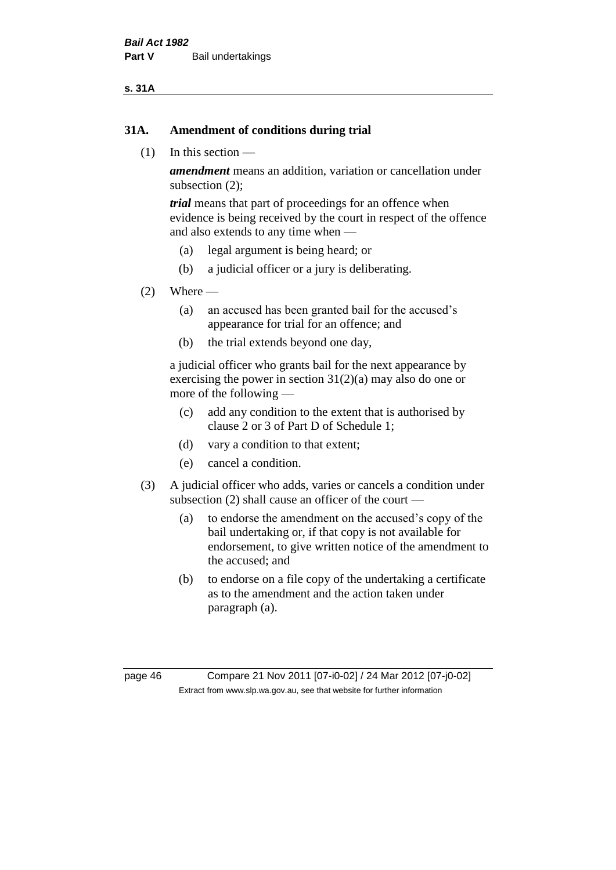### **s. 31A**

### **31A. Amendment of conditions during trial**

(1) In this section —

*amendment* means an addition, variation or cancellation under subsection (2);

*trial* means that part of proceedings for an offence when evidence is being received by the court in respect of the offence and also extends to any time when —

- (a) legal argument is being heard; or
- (b) a judicial officer or a jury is deliberating.

### $(2)$  Where —

- (a) an accused has been granted bail for the accused's appearance for trial for an offence; and
- (b) the trial extends beyond one day,

a judicial officer who grants bail for the next appearance by exercising the power in section  $31(2)(a)$  may also do one or more of the following —

- (c) add any condition to the extent that is authorised by clause 2 or 3 of Part D of Schedule 1;
- (d) vary a condition to that extent;
- (e) cancel a condition.
- (3) A judicial officer who adds, varies or cancels a condition under subsection (2) shall cause an officer of the court —
	- (a) to endorse the amendment on the accused's copy of the bail undertaking or, if that copy is not available for endorsement, to give written notice of the amendment to the accused; and
	- (b) to endorse on a file copy of the undertaking a certificate as to the amendment and the action taken under paragraph (a).

page 46 Compare 21 Nov 2011 [07-i0-02] / 24 Mar 2012 [07-j0-02] Extract from www.slp.wa.gov.au, see that website for further information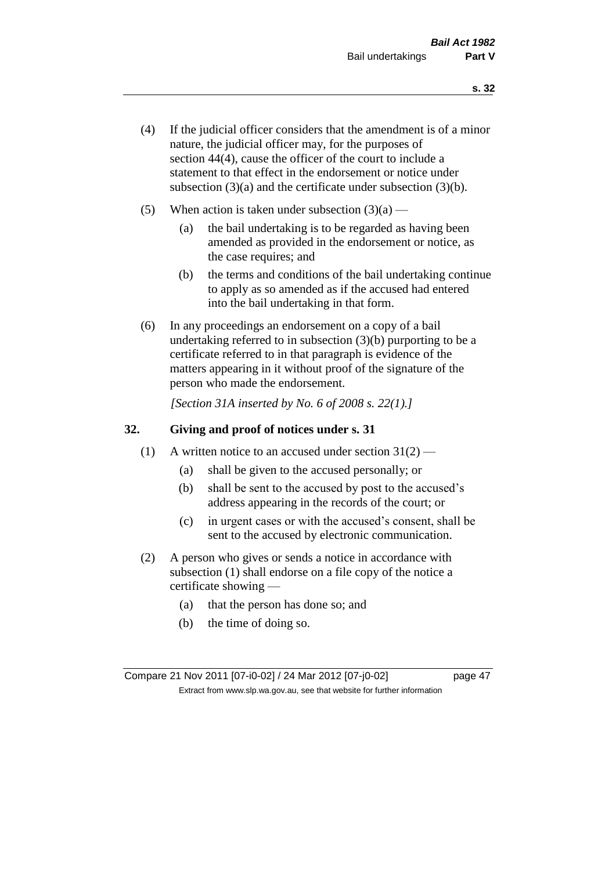- (4) If the judicial officer considers that the amendment is of a minor nature, the judicial officer may, for the purposes of section 44(4), cause the officer of the court to include a statement to that effect in the endorsement or notice under subsection (3)(a) and the certificate under subsection (3)(b).
- (5) When action is taken under subsection  $(3)(a)$ 
	- (a) the bail undertaking is to be regarded as having been amended as provided in the endorsement or notice, as the case requires; and
	- (b) the terms and conditions of the bail undertaking continue to apply as so amended as if the accused had entered into the bail undertaking in that form.
- (6) In any proceedings an endorsement on a copy of a bail undertaking referred to in subsection (3)(b) purporting to be a certificate referred to in that paragraph is evidence of the matters appearing in it without proof of the signature of the person who made the endorsement.

*[Section 31A inserted by No. 6 of 2008 s. 22(1).]*

### **32. Giving and proof of notices under s. 31**

- (1) A written notice to an accused under section  $31(2)$ 
	- (a) shall be given to the accused personally; or
	- (b) shall be sent to the accused by post to the accused's address appearing in the records of the court; or
	- (c) in urgent cases or with the accused's consent, shall be sent to the accused by electronic communication.
- (2) A person who gives or sends a notice in accordance with subsection (1) shall endorse on a file copy of the notice a certificate showing —
	- (a) that the person has done so; and
	- (b) the time of doing so.

Compare 21 Nov 2011 [07-i0-02] / 24 Mar 2012 [07-j0-02] page 47 Extract from www.slp.wa.gov.au, see that website for further information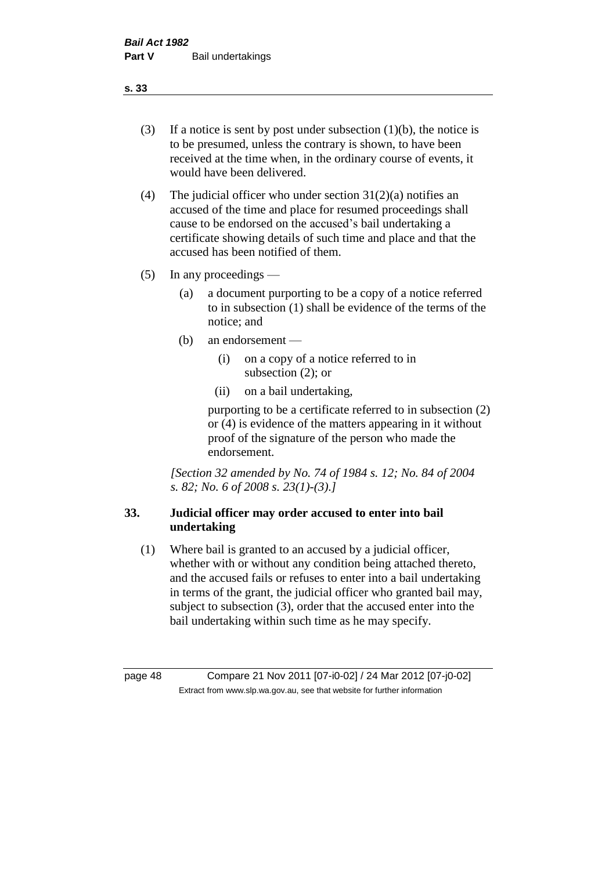- (3) If a notice is sent by post under subsection  $(1)(b)$ , the notice is to be presumed, unless the contrary is shown, to have been received at the time when, in the ordinary course of events, it would have been delivered.
- (4) The judicial officer who under section  $31(2)(a)$  notifies an accused of the time and place for resumed proceedings shall cause to be endorsed on the accused's bail undertaking a certificate showing details of such time and place and that the accused has been notified of them.
- (5) In any proceedings
	- (a) a document purporting to be a copy of a notice referred to in subsection (1) shall be evidence of the terms of the notice; and
	- (b) an endorsement
		- (i) on a copy of a notice referred to in subsection (2); or
		- (ii) on a bail undertaking,

purporting to be a certificate referred to in subsection (2) or (4) is evidence of the matters appearing in it without proof of the signature of the person who made the endorsement.

*[Section 32 amended by No. 74 of 1984 s. 12; No. 84 of 2004 s. 82; No. 6 of 2008 s. 23(1)-(3).]* 

# **33. Judicial officer may order accused to enter into bail undertaking**

(1) Where bail is granted to an accused by a judicial officer, whether with or without any condition being attached thereto, and the accused fails or refuses to enter into a bail undertaking in terms of the grant, the judicial officer who granted bail may, subject to subsection (3), order that the accused enter into the bail undertaking within such time as he may specify.

page 48 Compare 21 Nov 2011 [07-i0-02] / 24 Mar 2012 [07-j0-02] Extract from www.slp.wa.gov.au, see that website for further information

**s. 33**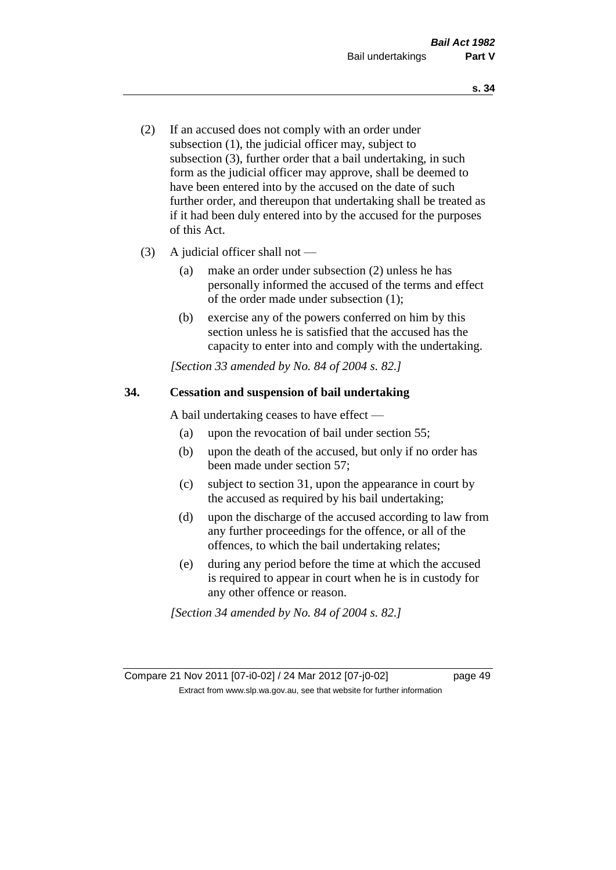- (2) If an accused does not comply with an order under subsection (1), the judicial officer may, subject to subsection (3), further order that a bail undertaking, in such form as the judicial officer may approve, shall be deemed to have been entered into by the accused on the date of such further order, and thereupon that undertaking shall be treated as if it had been duly entered into by the accused for the purposes of this Act.
- (3) A judicial officer shall not
	- (a) make an order under subsection (2) unless he has personally informed the accused of the terms and effect of the order made under subsection (1);
	- (b) exercise any of the powers conferred on him by this section unless he is satisfied that the accused has the capacity to enter into and comply with the undertaking.

*[Section 33 amended by No. 84 of 2004 s. 82.]* 

### **34. Cessation and suspension of bail undertaking**

A bail undertaking ceases to have effect —

- (a) upon the revocation of bail under section 55;
- (b) upon the death of the accused, but only if no order has been made under section 57;
- (c) subject to section 31, upon the appearance in court by the accused as required by his bail undertaking;
- (d) upon the discharge of the accused according to law from any further proceedings for the offence, or all of the offences, to which the bail undertaking relates;
- (e) during any period before the time at which the accused is required to appear in court when he is in custody for any other offence or reason.

*[Section 34 amended by No. 84 of 2004 s. 82.]* 

Compare 21 Nov 2011 [07-i0-02] / 24 Mar 2012 [07-j0-02] page 49 Extract from www.slp.wa.gov.au, see that website for further information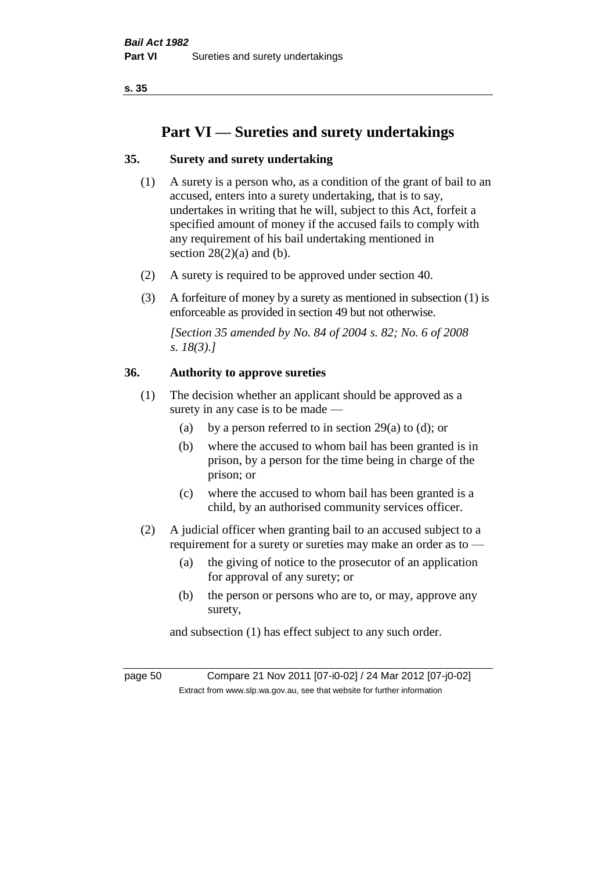# **Part VI — Sureties and surety undertakings**

# **35. Surety and surety undertaking**

- (1) A surety is a person who, as a condition of the grant of bail to an accused, enters into a surety undertaking, that is to say, undertakes in writing that he will, subject to this Act, forfeit a specified amount of money if the accused fails to comply with any requirement of his bail undertaking mentioned in section  $28(2)(a)$  and (b).
- (2) A surety is required to be approved under section 40.
- (3) A forfeiture of money by a surety as mentioned in subsection (1) is enforceable as provided in section 49 but not otherwise.

*[Section 35 amended by No. 84 of 2004 s. 82; No. 6 of 2008 s. 18(3).]* 

### **36. Authority to approve sureties**

- (1) The decision whether an applicant should be approved as a surety in any case is to be made —
	- (a) by a person referred to in section 29(a) to (d); or
	- (b) where the accused to whom bail has been granted is in prison, by a person for the time being in charge of the prison; or
	- (c) where the accused to whom bail has been granted is a child, by an authorised community services officer.
- (2) A judicial officer when granting bail to an accused subject to a requirement for a surety or sureties may make an order as to —
	- (a) the giving of notice to the prosecutor of an application for approval of any surety; or
	- (b) the person or persons who are to, or may, approve any surety,

and subsection (1) has effect subject to any such order.

page 50 Compare 21 Nov 2011 [07-i0-02] / 24 Mar 2012 [07-j0-02] Extract from www.slp.wa.gov.au, see that website for further information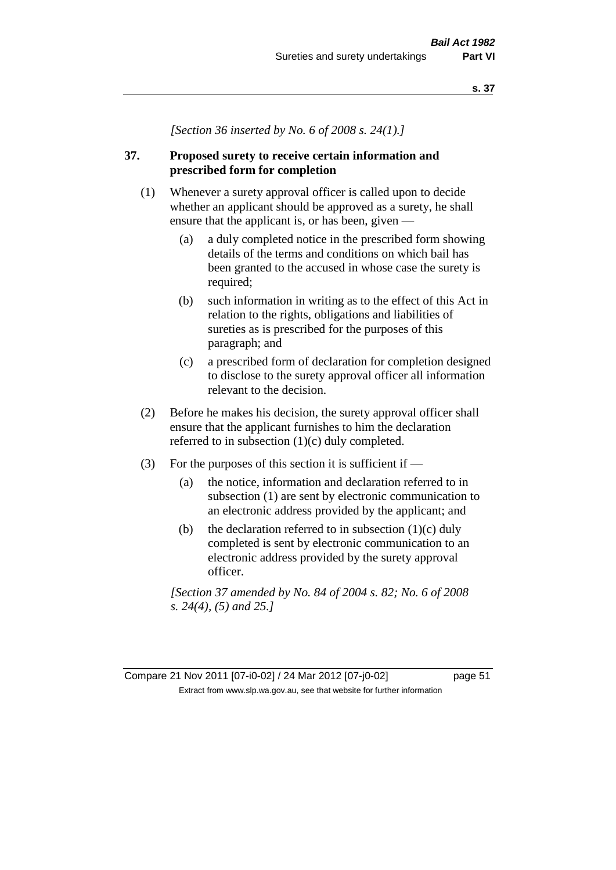*[Section 36 inserted by No. 6 of 2008 s. 24(1).]*

# **37. Proposed surety to receive certain information and prescribed form for completion**

- (1) Whenever a surety approval officer is called upon to decide whether an applicant should be approved as a surety, he shall ensure that the applicant is, or has been, given —
	- (a) a duly completed notice in the prescribed form showing details of the terms and conditions on which bail has been granted to the accused in whose case the surety is required;
	- (b) such information in writing as to the effect of this Act in relation to the rights, obligations and liabilities of sureties as is prescribed for the purposes of this paragraph; and
	- (c) a prescribed form of declaration for completion designed to disclose to the surety approval officer all information relevant to the decision.
- (2) Before he makes his decision, the surety approval officer shall ensure that the applicant furnishes to him the declaration referred to in subsection (1)(c) duly completed.
- (3) For the purposes of this section it is sufficient if  $-$ 
	- (a) the notice, information and declaration referred to in subsection (1) are sent by electronic communication to an electronic address provided by the applicant; and
	- (b) the declaration referred to in subsection  $(1)(c)$  duly completed is sent by electronic communication to an electronic address provided by the surety approval officer.

*[Section 37 amended by No. 84 of 2004 s. 82; No. 6 of 2008 s. 24(4), (5) and 25.]*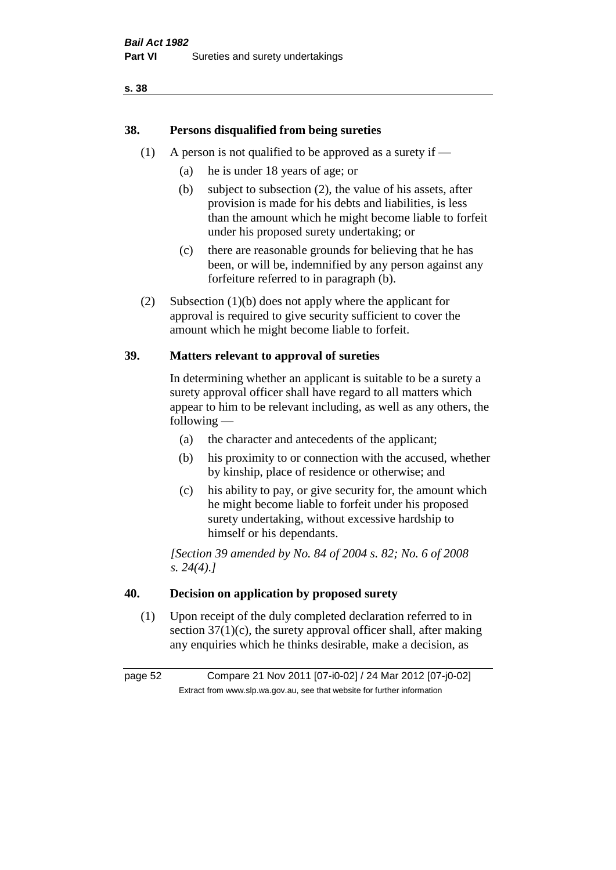# **38. Persons disqualified from being sureties**

- (1) A person is not qualified to be approved as a surety if  $-$ 
	- (a) he is under 18 years of age; or
	- (b) subject to subsection (2), the value of his assets, after provision is made for his debts and liabilities, is less than the amount which he might become liable to forfeit under his proposed surety undertaking; or
	- (c) there are reasonable grounds for believing that he has been, or will be, indemnified by any person against any forfeiture referred to in paragraph (b).
- (2) Subsection (1)(b) does not apply where the applicant for approval is required to give security sufficient to cover the amount which he might become liable to forfeit.

### **39. Matters relevant to approval of sureties**

In determining whether an applicant is suitable to be a surety a surety approval officer shall have regard to all matters which appear to him to be relevant including, as well as any others, the following —

- (a) the character and antecedents of the applicant;
- (b) his proximity to or connection with the accused, whether by kinship, place of residence or otherwise; and
- (c) his ability to pay, or give security for, the amount which he might become liable to forfeit under his proposed surety undertaking, without excessive hardship to himself or his dependants.

*[Section 39 amended by No. 84 of 2004 s. 82; No. 6 of 2008 s. 24(4).]* 

### **40. Decision on application by proposed surety**

(1) Upon receipt of the duly completed declaration referred to in section  $37(1)(c)$ , the surety approval officer shall, after making any enquiries which he thinks desirable, make a decision, as

page 52 Compare 21 Nov 2011 [07-i0-02] / 24 Mar 2012 [07-j0-02] Extract from www.slp.wa.gov.au, see that website for further information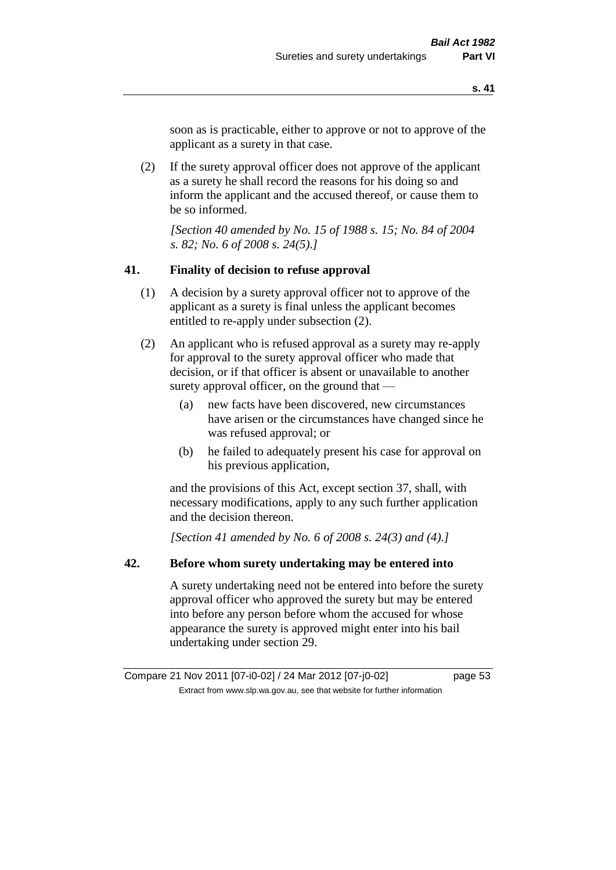soon as is practicable, either to approve or not to approve of the applicant as a surety in that case.

(2) If the surety approval officer does not approve of the applicant as a surety he shall record the reasons for his doing so and inform the applicant and the accused thereof, or cause them to be so informed.

*[Section 40 amended by No. 15 of 1988 s. 15; No. 84 of 2004 s. 82; No. 6 of 2008 s. 24(5).]* 

### **41. Finality of decision to refuse approval**

- (1) A decision by a surety approval officer not to approve of the applicant as a surety is final unless the applicant becomes entitled to re-apply under subsection (2).
- (2) An applicant who is refused approval as a surety may re-apply for approval to the surety approval officer who made that decision, or if that officer is absent or unavailable to another surety approval officer, on the ground that —
	- (a) new facts have been discovered, new circumstances have arisen or the circumstances have changed since he was refused approval; or
	- (b) he failed to adequately present his case for approval on his previous application,

and the provisions of this Act, except section 37, shall, with necessary modifications, apply to any such further application and the decision thereon.

*[Section 41 amended by No. 6 of 2008 s. 24(3) and (4).]*

### **42. Before whom surety undertaking may be entered into**

A surety undertaking need not be entered into before the surety approval officer who approved the surety but may be entered into before any person before whom the accused for whose appearance the surety is approved might enter into his bail undertaking under section 29.

Compare 21 Nov 2011 [07-i0-02] / 24 Mar 2012 [07-j0-02] page 53 Extract from www.slp.wa.gov.au, see that website for further information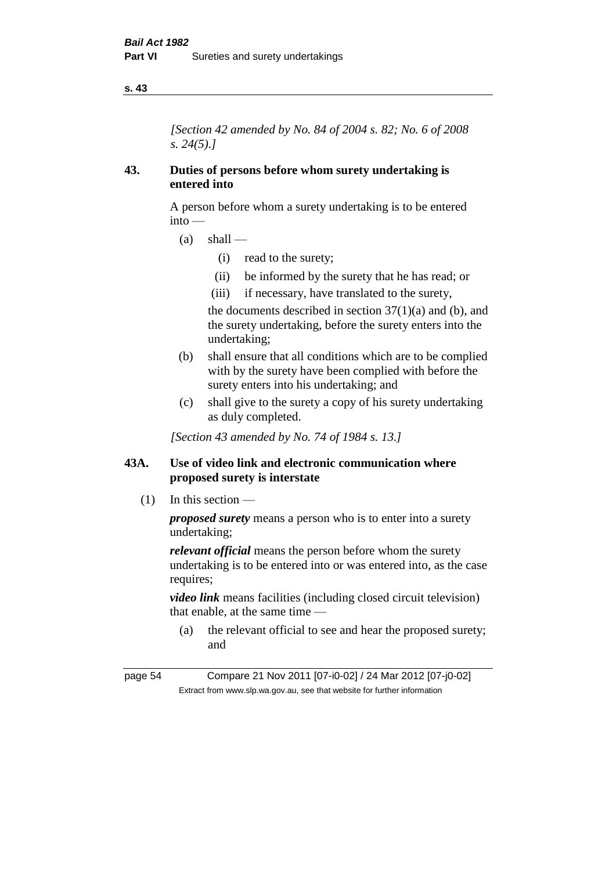*[Section 42 amended by No. 84 of 2004 s. 82; No. 6 of 2008 s. 24(5).]* 

### **43. Duties of persons before whom surety undertaking is entered into**

A person before whom a surety undertaking is to be entered into —

- $(a)$  shall
	- (i) read to the surety;
	- (ii) be informed by the surety that he has read; or
	- (iii) if necessary, have translated to the surety,

the documents described in section  $37(1)(a)$  and (b), and the surety undertaking, before the surety enters into the undertaking;

- (b) shall ensure that all conditions which are to be complied with by the surety have been complied with before the surety enters into his undertaking; and
- (c) shall give to the surety a copy of his surety undertaking as duly completed.

*[Section 43 amended by No. 74 of 1984 s. 13.]* 

## **43A. Use of video link and electronic communication where proposed surety is interstate**

(1) In this section —

*proposed surety* means a person who is to enter into a surety undertaking;

*relevant official* means the person before whom the surety undertaking is to be entered into or was entered into, as the case requires;

*video link* means facilities (including closed circuit television) that enable, at the same time —

(a) the relevant official to see and hear the proposed surety; and

page 54 Compare 21 Nov 2011 [07-i0-02] / 24 Mar 2012 [07-j0-02] Extract from www.slp.wa.gov.au, see that website for further information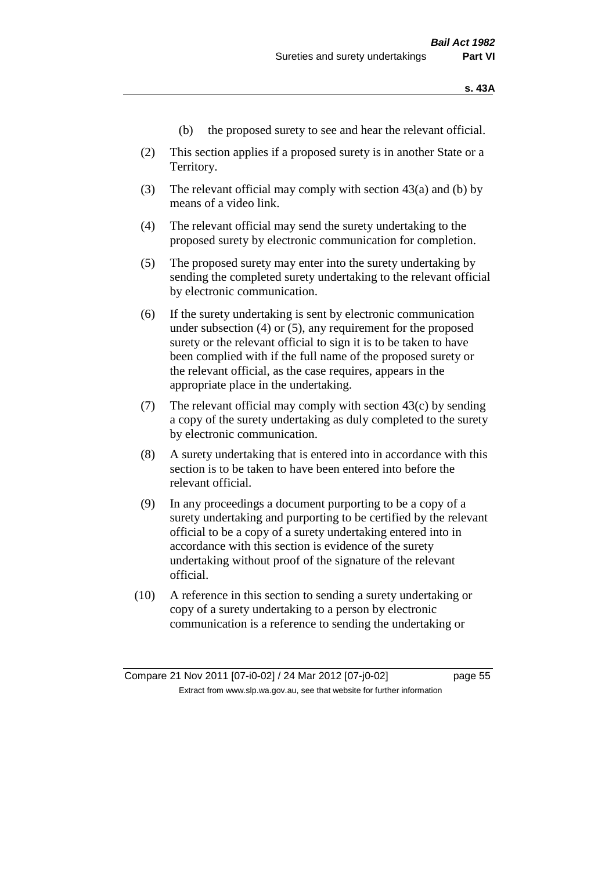- (b) the proposed surety to see and hear the relevant official.
- (2) This section applies if a proposed surety is in another State or a Territory.
- (3) The relevant official may comply with section 43(a) and (b) by means of a video link.
- (4) The relevant official may send the surety undertaking to the proposed surety by electronic communication for completion.
- (5) The proposed surety may enter into the surety undertaking by sending the completed surety undertaking to the relevant official by electronic communication.
- (6) If the surety undertaking is sent by electronic communication under subsection (4) or (5), any requirement for the proposed surety or the relevant official to sign it is to be taken to have been complied with if the full name of the proposed surety or the relevant official, as the case requires, appears in the appropriate place in the undertaking.
- (7) The relevant official may comply with section  $43(c)$  by sending a copy of the surety undertaking as duly completed to the surety by electronic communication.
- (8) A surety undertaking that is entered into in accordance with this section is to be taken to have been entered into before the relevant official.
- (9) In any proceedings a document purporting to be a copy of a surety undertaking and purporting to be certified by the relevant official to be a copy of a surety undertaking entered into in accordance with this section is evidence of the surety undertaking without proof of the signature of the relevant official.
- (10) A reference in this section to sending a surety undertaking or copy of a surety undertaking to a person by electronic communication is a reference to sending the undertaking or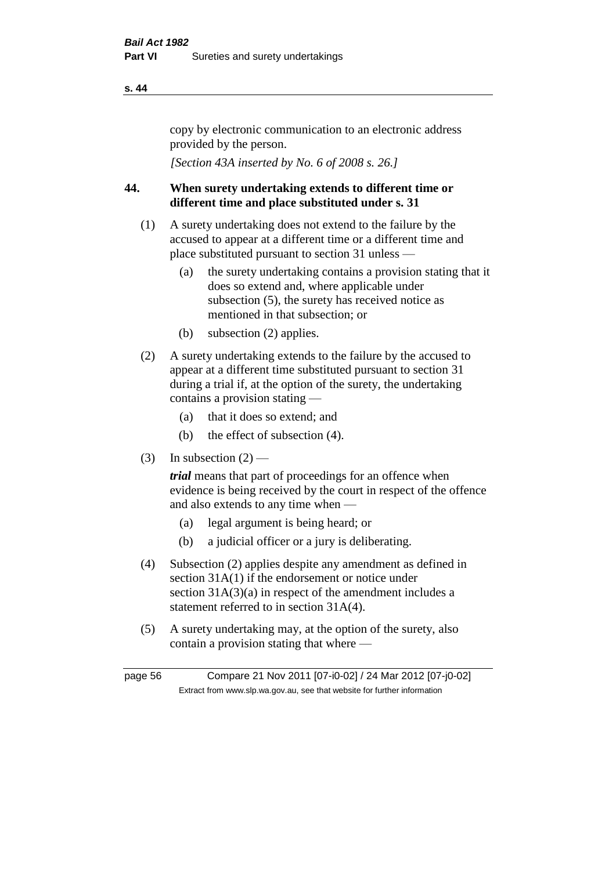copy by electronic communication to an electronic address provided by the person.

*[Section 43A inserted by No. 6 of 2008 s. 26.]*

# **44. When surety undertaking extends to different time or different time and place substituted under s. 31**

- (1) A surety undertaking does not extend to the failure by the accused to appear at a different time or a different time and place substituted pursuant to section 31 unless —
	- (a) the surety undertaking contains a provision stating that it does so extend and, where applicable under subsection (5), the surety has received notice as mentioned in that subsection; or
	- (b) subsection (2) applies.
- (2) A surety undertaking extends to the failure by the accused to appear at a different time substituted pursuant to section 31 during a trial if, at the option of the surety, the undertaking contains a provision stating —
	- (a) that it does so extend; and
	- (b) the effect of subsection (4).
- (3) In subsection  $(2)$  —

*trial* means that part of proceedings for an offence when evidence is being received by the court in respect of the offence and also extends to any time when —

- (a) legal argument is being heard; or
- (b) a judicial officer or a jury is deliberating.
- (4) Subsection (2) applies despite any amendment as defined in section 31A(1) if the endorsement or notice under section 31A(3)(a) in respect of the amendment includes a statement referred to in section 31A(4).
- (5) A surety undertaking may, at the option of the surety, also contain a provision stating that where —

page 56 Compare 21 Nov 2011 [07-i0-02] / 24 Mar 2012 [07-j0-02] Extract from www.slp.wa.gov.au, see that website for further information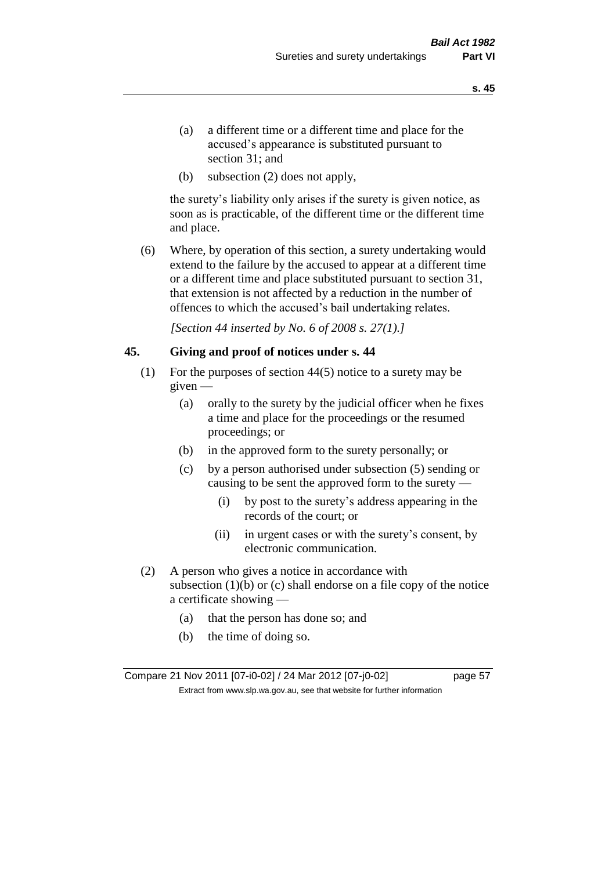- (a) a different time or a different time and place for the accused's appearance is substituted pursuant to section 31; and
- (b) subsection (2) does not apply,

the surety's liability only arises if the surety is given notice, as soon as is practicable, of the different time or the different time and place.

(6) Where, by operation of this section, a surety undertaking would extend to the failure by the accused to appear at a different time or a different time and place substituted pursuant to section 31, that extension is not affected by a reduction in the number of offences to which the accused's bail undertaking relates.

*[Section 44 inserted by No. 6 of 2008 s. 27(1).]*

### **45. Giving and proof of notices under s. 44**

- (1) For the purposes of section 44(5) notice to a surety may be given —
	- (a) orally to the surety by the judicial officer when he fixes a time and place for the proceedings or the resumed proceedings; or
	- (b) in the approved form to the surety personally; or
	- (c) by a person authorised under subsection (5) sending or causing to be sent the approved form to the surety —
		- (i) by post to the surety's address appearing in the records of the court; or
		- (ii) in urgent cases or with the surety's consent, by electronic communication.
- (2) A person who gives a notice in accordance with subsection  $(1)(b)$  or  $(c)$  shall endorse on a file copy of the notice a certificate showing —
	- (a) that the person has done so; and
	- (b) the time of doing so.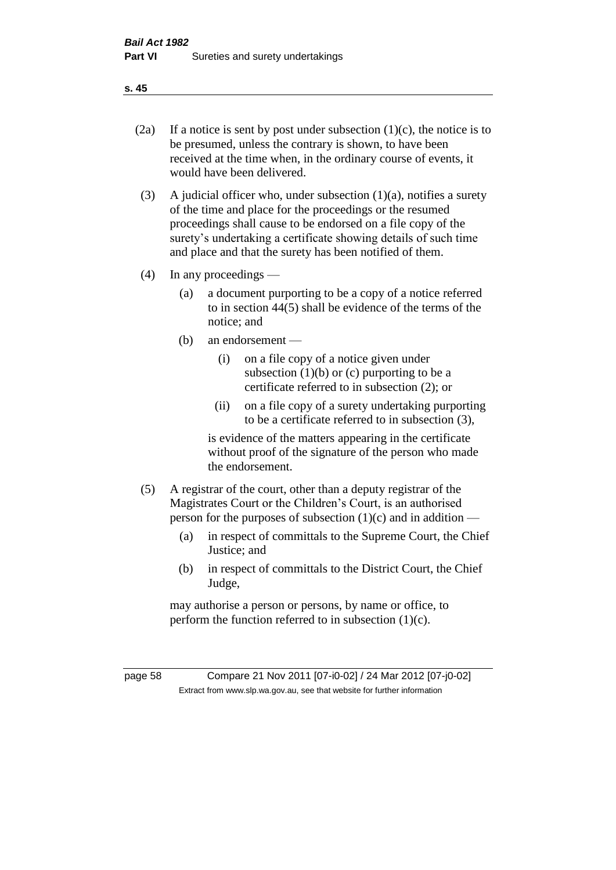- 
- (2a) If a notice is sent by post under subsection  $(1)(c)$ , the notice is to be presumed, unless the contrary is shown, to have been received at the time when, in the ordinary course of events, it would have been delivered.
- (3) A judicial officer who, under subsection  $(1)(a)$ , notifies a surety of the time and place for the proceedings or the resumed proceedings shall cause to be endorsed on a file copy of the surety's undertaking a certificate showing details of such time and place and that the surety has been notified of them.
- (4) In any proceedings
	- (a) a document purporting to be a copy of a notice referred to in section 44(5) shall be evidence of the terms of the notice; and
	- (b) an endorsement
		- (i) on a file copy of a notice given under subsection  $(1)(b)$  or  $(c)$  purporting to be a certificate referred to in subsection (2); or
		- (ii) on a file copy of a surety undertaking purporting to be a certificate referred to in subsection (3),

is evidence of the matters appearing in the certificate without proof of the signature of the person who made the endorsement.

- (5) A registrar of the court, other than a deputy registrar of the Magistrates Court or the Children's Court, is an authorised person for the purposes of subsection  $(1)(c)$  and in addition —
	- (a) in respect of committals to the Supreme Court, the Chief Justice; and
	- (b) in respect of committals to the District Court, the Chief Judge,

may authorise a person or persons, by name or office, to perform the function referred to in subsection  $(1)(c)$ .

page 58 Compare 21 Nov 2011 [07-i0-02] / 24 Mar 2012 [07-j0-02] Extract from www.slp.wa.gov.au, see that website for further information

**s. 45**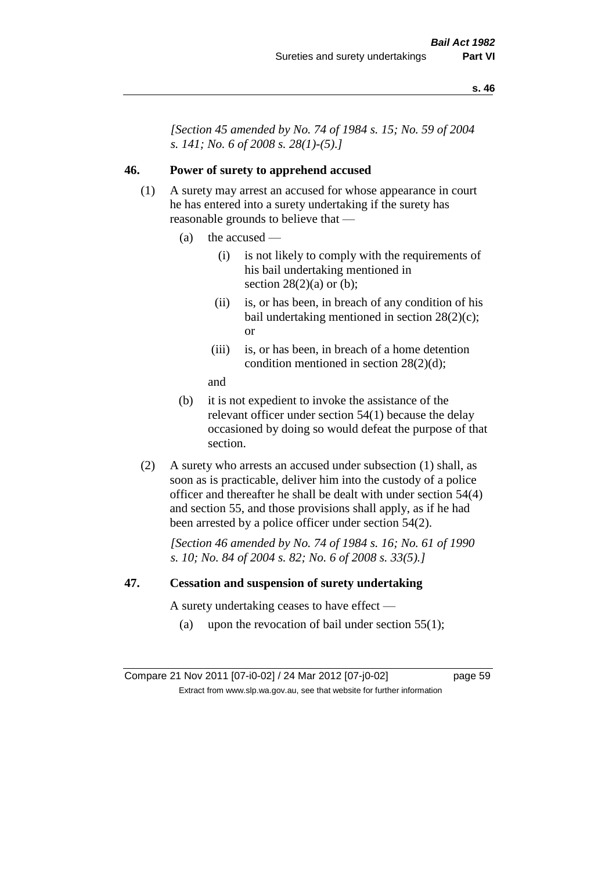*[Section 45 amended by No. 74 of 1984 s. 15; No. 59 of 2004 s. 141; No. 6 of 2008 s. 28(1)-(5).]* 

### **46. Power of surety to apprehend accused**

- (1) A surety may arrest an accused for whose appearance in court he has entered into a surety undertaking if the surety has reasonable grounds to believe that —
	- (a) the accused
		- (i) is not likely to comply with the requirements of his bail undertaking mentioned in section  $28(2)(a)$  or (b);
		- (ii) is, or has been, in breach of any condition of his bail undertaking mentioned in section 28(2)(c); or
		- (iii) is, or has been, in breach of a home detention condition mentioned in section 28(2)(d);
		- and
	- (b) it is not expedient to invoke the assistance of the relevant officer under section 54(1) because the delay occasioned by doing so would defeat the purpose of that section.
- (2) A surety who arrests an accused under subsection (1) shall, as soon as is practicable, deliver him into the custody of a police officer and thereafter he shall be dealt with under section 54(4) and section 55, and those provisions shall apply, as if he had been arrested by a police officer under section 54(2).

*[Section 46 amended by No. 74 of 1984 s. 16; No. 61 of 1990 s. 10; No. 84 of 2004 s. 82; No. 6 of 2008 s. 33(5).]* 

### **47. Cessation and suspension of surety undertaking**

A surety undertaking ceases to have effect —

(a) upon the revocation of bail under section  $55(1)$ ;

Compare 21 Nov 2011 [07-i0-02] / 24 Mar 2012 [07-j0-02] page 59 Extract from www.slp.wa.gov.au, see that website for further information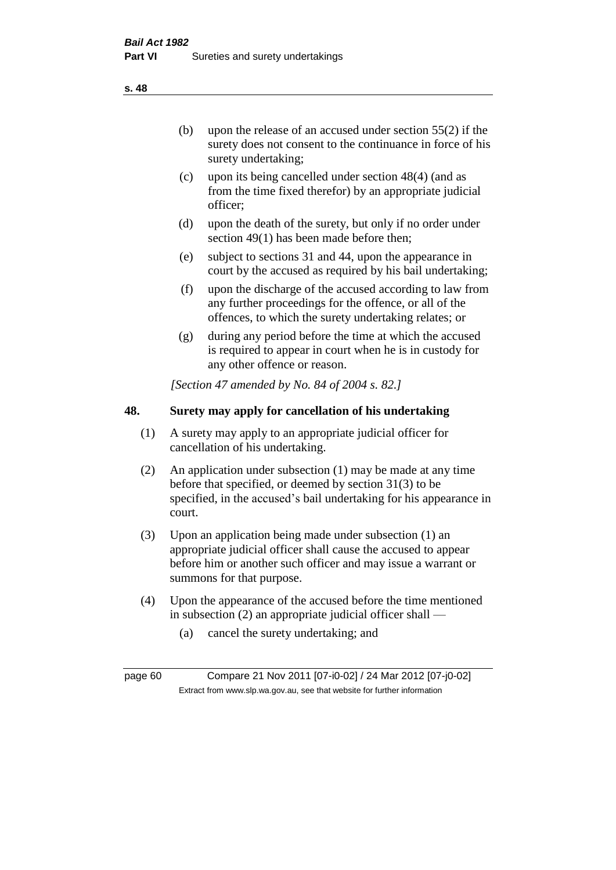(b) upon the release of an accused under section 55(2) if the surety does not consent to the continuance in force of his surety undertaking;

- (c) upon its being cancelled under section 48(4) (and as from the time fixed therefor) by an appropriate judicial officer;
- (d) upon the death of the surety, but only if no order under section 49(1) has been made before then;
- (e) subject to sections 31 and 44, upon the appearance in court by the accused as required by his bail undertaking;
- (f) upon the discharge of the accused according to law from any further proceedings for the offence, or all of the offences, to which the surety undertaking relates; or
- (g) during any period before the time at which the accused is required to appear in court when he is in custody for any other offence or reason.

*[Section 47 amended by No. 84 of 2004 s. 82.]* 

# **48. Surety may apply for cancellation of his undertaking**

- (1) A surety may apply to an appropriate judicial officer for cancellation of his undertaking.
- (2) An application under subsection (1) may be made at any time before that specified, or deemed by section 31(3) to be specified, in the accused's bail undertaking for his appearance in court.
- (3) Upon an application being made under subsection (1) an appropriate judicial officer shall cause the accused to appear before him or another such officer and may issue a warrant or summons for that purpose.
- (4) Upon the appearance of the accused before the time mentioned in subsection (2) an appropriate judicial officer shall —
	- (a) cancel the surety undertaking; and

page 60 Compare 21 Nov 2011 [07-i0-02] / 24 Mar 2012 [07-j0-02] Extract from www.slp.wa.gov.au, see that website for further information

**s. 48**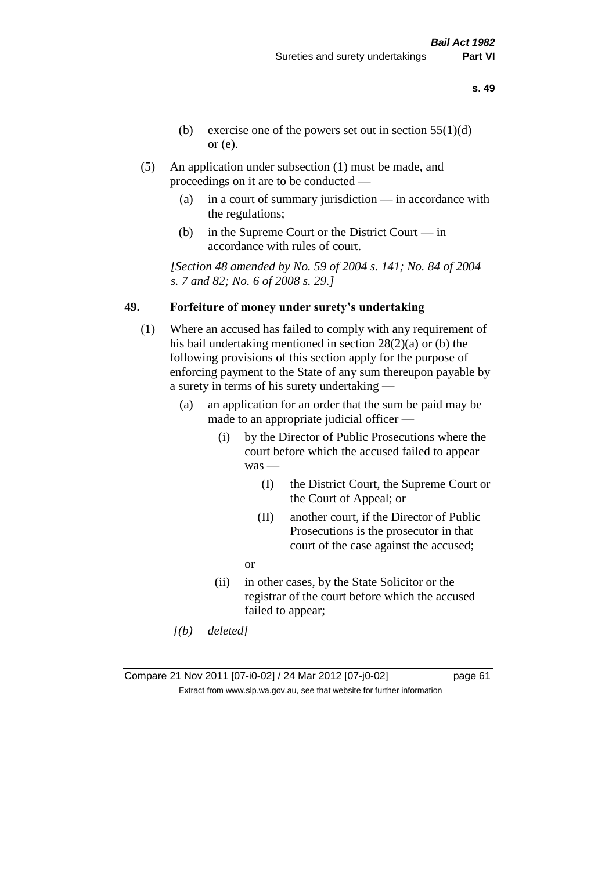- **s. 49**
- (b) exercise one of the powers set out in section  $55(1)(d)$ or (e).
- (5) An application under subsection (1) must be made, and proceedings on it are to be conducted —
	- (a) in a court of summary jurisdiction in accordance with the regulations;
	- (b) in the Supreme Court or the District Court in accordance with rules of court.

*[Section 48 amended by No. 59 of 2004 s. 141; No. 84 of 2004 s. 7 and 82; No. 6 of 2008 s. 29.]* 

### **49. Forfeiture of money under surety's undertaking**

- (1) Where an accused has failed to comply with any requirement of his bail undertaking mentioned in section 28(2)(a) or (b) the following provisions of this section apply for the purpose of enforcing payment to the State of any sum thereupon payable by a surety in terms of his surety undertaking —
	- (a) an application for an order that the sum be paid may be made to an appropriate judicial officer —
		- (i) by the Director of Public Prosecutions where the court before which the accused failed to appear was —
			- (I) the District Court, the Supreme Court or the Court of Appeal; or
			- (II) another court, if the Director of Public Prosecutions is the prosecutor in that court of the case against the accused;
			- or
		- (ii) in other cases, by the State Solicitor or the registrar of the court before which the accused failed to appear;
	- *[(b) deleted]*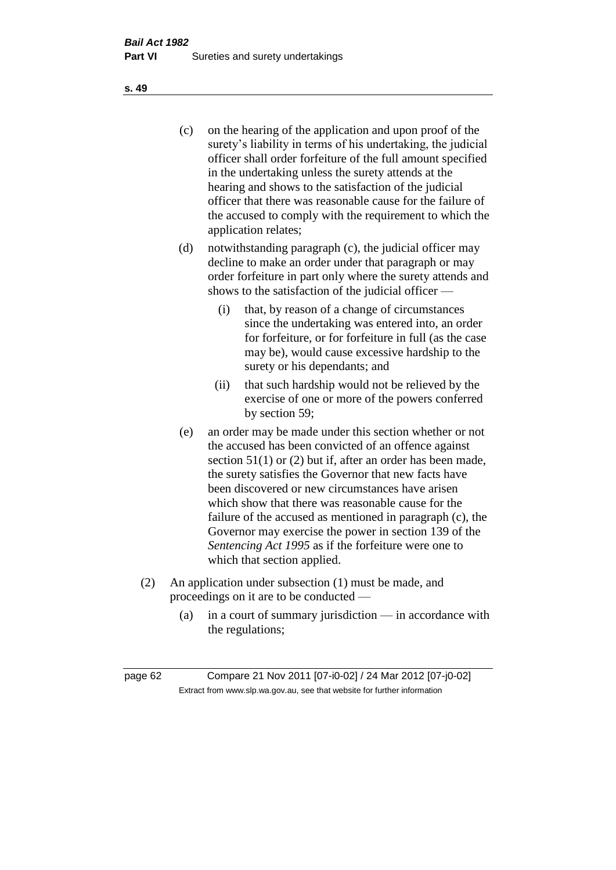(c) on the hearing of the application and upon proof of the surety's liability in terms of his undertaking, the judicial officer shall order forfeiture of the full amount specified in the undertaking unless the surety attends at the hearing and shows to the satisfaction of the judicial officer that there was reasonable cause for the failure of the accused to comply with the requirement to which the application relates;

- (d) notwithstanding paragraph (c), the judicial officer may decline to make an order under that paragraph or may order forfeiture in part only where the surety attends and shows to the satisfaction of the judicial officer —
	- (i) that, by reason of a change of circumstances since the undertaking was entered into, an order for forfeiture, or for forfeiture in full (as the case may be), would cause excessive hardship to the surety or his dependants; and
	- (ii) that such hardship would not be relieved by the exercise of one or more of the powers conferred by section 59;
- (e) an order may be made under this section whether or not the accused has been convicted of an offence against section 51(1) or (2) but if, after an order has been made, the surety satisfies the Governor that new facts have been discovered or new circumstances have arisen which show that there was reasonable cause for the failure of the accused as mentioned in paragraph (c), the Governor may exercise the power in section 139 of the *Sentencing Act 1995* as if the forfeiture were one to which that section applied.
- (2) An application under subsection (1) must be made, and proceedings on it are to be conducted —
	- (a) in a court of summary jurisdiction in accordance with the regulations;

**s. 49**

page 62 Compare 21 Nov 2011 [07-i0-02] / 24 Mar 2012 [07-j0-02] Extract from www.slp.wa.gov.au, see that website for further information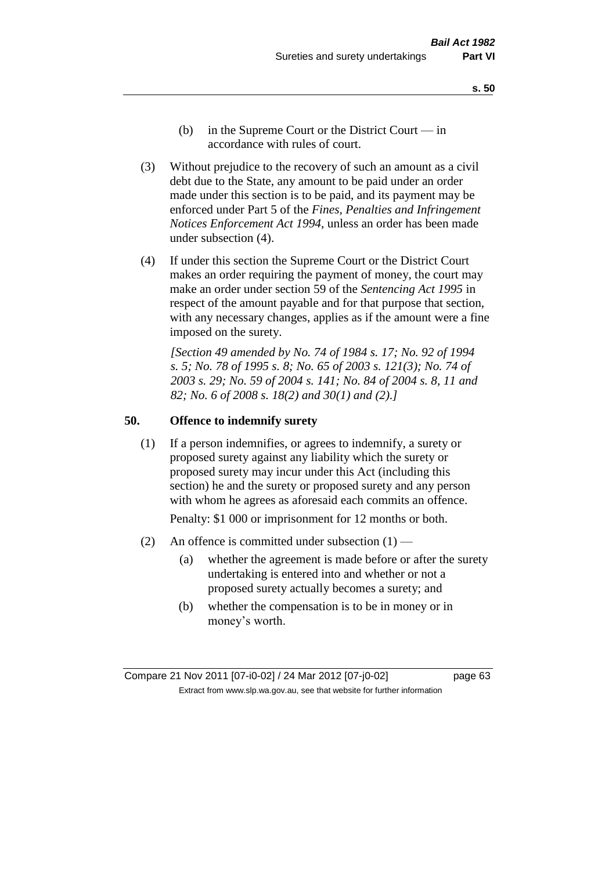- **s. 50**
- (b) in the Supreme Court or the District Court  $-\text{in}$ accordance with rules of court.
- (3) Without prejudice to the recovery of such an amount as a civil debt due to the State, any amount to be paid under an order made under this section is to be paid, and its payment may be enforced under Part 5 of the *Fines, Penalties and Infringement Notices Enforcement Act 1994*, unless an order has been made under subsection (4).
- (4) If under this section the Supreme Court or the District Court makes an order requiring the payment of money, the court may make an order under section 59 of the *Sentencing Act 1995* in respect of the amount payable and for that purpose that section, with any necessary changes, applies as if the amount were a fine imposed on the surety.

*[Section 49 amended by No. 74 of 1984 s. 17; No. 92 of 1994 s. 5; No. 78 of 1995 s. 8; No. 65 of 2003 s. 121(3); No. 74 of 2003 s. 29; No. 59 of 2004 s. 141; No. 84 of 2004 s. 8, 11 and 82; No. 6 of 2008 s. 18(2) and 30(1) and (2).]* 

### **50. Offence to indemnify surety**

(1) If a person indemnifies, or agrees to indemnify, a surety or proposed surety against any liability which the surety or proposed surety may incur under this Act (including this section) he and the surety or proposed surety and any person with whom he agrees as aforesaid each commits an offence.

Penalty: \$1 000 or imprisonment for 12 months or both.

- (2) An offence is committed under subsection  $(1)$ 
	- (a) whether the agreement is made before or after the surety undertaking is entered into and whether or not a proposed surety actually becomes a surety; and
	- (b) whether the compensation is to be in money or in money's worth.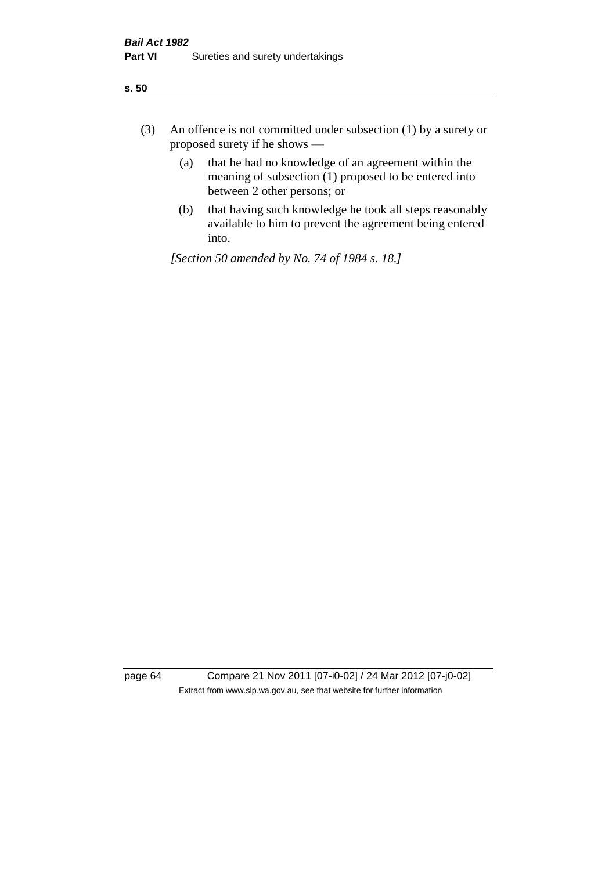- (3) An offence is not committed under subsection (1) by a surety or proposed surety if he shows —
	- (a) that he had no knowledge of an agreement within the meaning of subsection (1) proposed to be entered into between 2 other persons; or
	- (b) that having such knowledge he took all steps reasonably available to him to prevent the agreement being entered into.

*[Section 50 amended by No. 74 of 1984 s. 18.]* 

page 64 Compare 21 Nov 2011 [07-i0-02] / 24 Mar 2012 [07-j0-02] Extract from www.slp.wa.gov.au, see that website for further information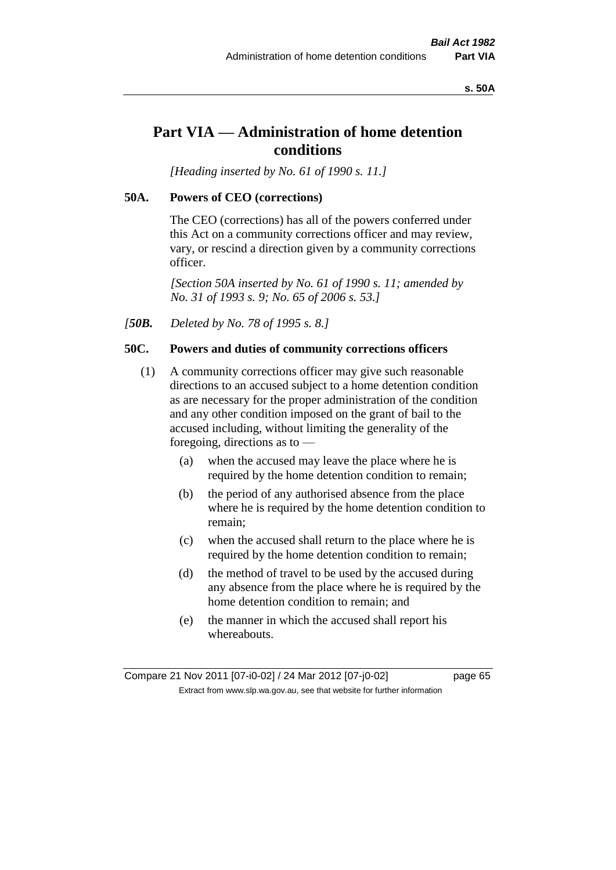### **s. 50A**

# **Part VIA — Administration of home detention conditions**

*[Heading inserted by No. 61 of 1990 s. 11.]* 

### **50A. Powers of CEO (corrections)**

The CEO (corrections) has all of the powers conferred under this Act on a community corrections officer and may review, vary, or rescind a direction given by a community corrections officer.

*[Section 50A inserted by No. 61 of 1990 s. 11; amended by No. 31 of 1993 s. 9; No. 65 of 2006 s. 53.]* 

*[50B. Deleted by No. 78 of 1995 s. 8.]* 

# **50C. Powers and duties of community corrections officers**

- (1) A community corrections officer may give such reasonable directions to an accused subject to a home detention condition as are necessary for the proper administration of the condition and any other condition imposed on the grant of bail to the accused including, without limiting the generality of the foregoing, directions as to —
	- (a) when the accused may leave the place where he is required by the home detention condition to remain;
	- (b) the period of any authorised absence from the place where he is required by the home detention condition to remain;
	- (c) when the accused shall return to the place where he is required by the home detention condition to remain;
	- (d) the method of travel to be used by the accused during any absence from the place where he is required by the home detention condition to remain; and
	- (e) the manner in which the accused shall report his whereabouts.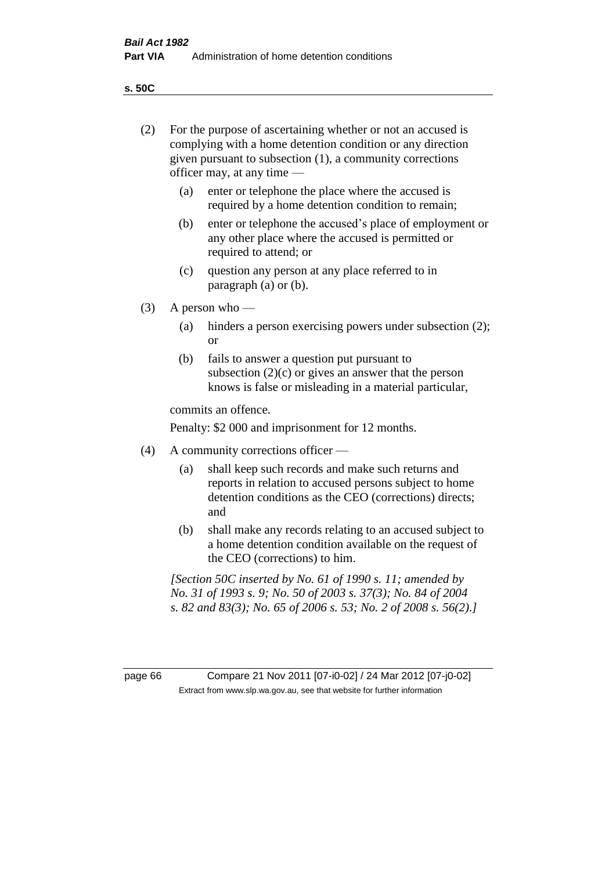**s. 50C**

| (2)     | For the purpose of ascertaining whether or not an accused is<br>complying with a home detention condition or any direction<br>given pursuant to subsection (1), a community corrections<br>officer may, at any time — |                                                                                                                                                                                              |  |
|---------|-----------------------------------------------------------------------------------------------------------------------------------------------------------------------------------------------------------------------|----------------------------------------------------------------------------------------------------------------------------------------------------------------------------------------------|--|
|         | (a)                                                                                                                                                                                                                   | enter or telephone the place where the accused is<br>required by a home detention condition to remain;                                                                                       |  |
|         | (b)                                                                                                                                                                                                                   | enter or telephone the accused's place of employment or<br>any other place where the accused is permitted or<br>required to attend; or                                                       |  |
|         | (c)                                                                                                                                                                                                                   | question any person at any place referred to in<br>paragraph $(a)$ or $(b)$ .                                                                                                                |  |
| (3)     | A person who $-$                                                                                                                                                                                                      |                                                                                                                                                                                              |  |
|         | (a)                                                                                                                                                                                                                   | hinders a person exercising powers under subsection (2);<br><sub>or</sub>                                                                                                                    |  |
|         | (b)                                                                                                                                                                                                                   | fails to answer a question put pursuant to<br>subsection $(2)(c)$ or gives an answer that the person<br>knows is false or misleading in a material particular,                               |  |
|         |                                                                                                                                                                                                                       | commits an offence.                                                                                                                                                                          |  |
|         |                                                                                                                                                                                                                       | Penalty: \$2 000 and imprisonment for 12 months.                                                                                                                                             |  |
| (4)     | A community corrections officer —                                                                                                                                                                                     |                                                                                                                                                                                              |  |
|         | (a)                                                                                                                                                                                                                   | shall keep such records and make such returns and<br>reports in relation to accused persons subject to home<br>detention conditions as the CEO (corrections) directs;<br>and                 |  |
|         | (b)                                                                                                                                                                                                                   | shall make any records relating to an accused subject to<br>a home detention condition available on the request of<br>the CEO (corrections) to him.                                          |  |
|         |                                                                                                                                                                                                                       | [Section 50C inserted by No. 61 of 1990 s. 11; amended by<br>No. 31 of 1993 s. 9; No. 50 of 2003 s. 37(3); No. 84 of 2004<br>s. 82 and 83(3); No. 65 of 2006 s. 53; No. 2 of 2008 s. 56(2).] |  |
|         |                                                                                                                                                                                                                       |                                                                                                                                                                                              |  |
| page 66 |                                                                                                                                                                                                                       | Compare 21 Nov 2011 [07-i0-02] / 24 Mar 2012 [07-j0-02]<br>Extract from www.slp.wa.gov.au, see that website for further information                                                          |  |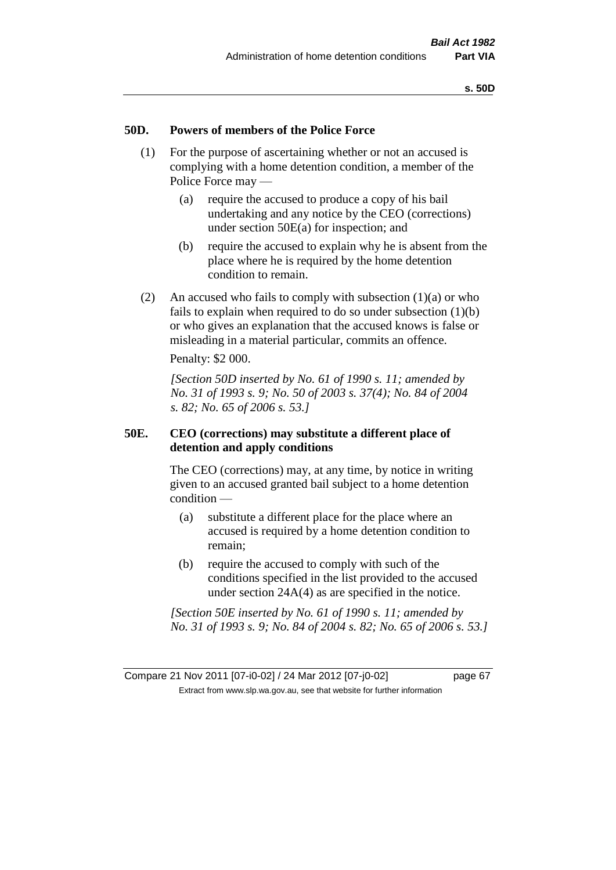### **50D. Powers of members of the Police Force**

- (1) For the purpose of ascertaining whether or not an accused is complying with a home detention condition, a member of the Police Force may —
	- (a) require the accused to produce a copy of his bail undertaking and any notice by the CEO (corrections) under section 50E(a) for inspection; and
	- (b) require the accused to explain why he is absent from the place where he is required by the home detention condition to remain.
- (2) An accused who fails to comply with subsection  $(1)(a)$  or who fails to explain when required to do so under subsection (1)(b) or who gives an explanation that the accused knows is false or misleading in a material particular, commits an offence.

Penalty: \$2 000.

*[Section 50D inserted by No. 61 of 1990 s. 11; amended by No. 31 of 1993 s. 9; No. 50 of 2003 s. 37(4); No. 84 of 2004 s. 82; No. 65 of 2006 s. 53.]* 

### **50E. CEO (corrections) may substitute a different place of detention and apply conditions**

The CEO (corrections) may, at any time, by notice in writing given to an accused granted bail subject to a home detention condition —

- (a) substitute a different place for the place where an accused is required by a home detention condition to remain;
- (b) require the accused to comply with such of the conditions specified in the list provided to the accused under section 24A(4) as are specified in the notice.

*[Section 50E inserted by No. 61 of 1990 s. 11; amended by No. 31 of 1993 s. 9; No. 84 of 2004 s. 82; No. 65 of 2006 s. 53.]*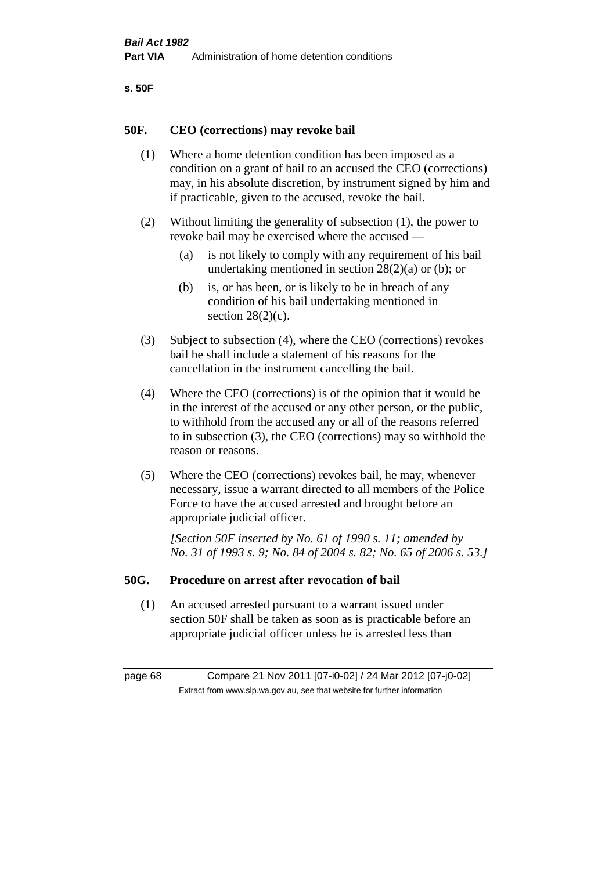| ۰.<br>×<br>-<br>۰.<br>× |  |
|-------------------------|--|
|-------------------------|--|

### **50F. CEO (corrections) may revoke bail**

- (1) Where a home detention condition has been imposed as a condition on a grant of bail to an accused the CEO (corrections) may, in his absolute discretion, by instrument signed by him and if practicable, given to the accused, revoke the bail.
- (2) Without limiting the generality of subsection (1), the power to revoke bail may be exercised where the accused —
	- (a) is not likely to comply with any requirement of his bail undertaking mentioned in section  $28(2)(a)$  or (b); or
	- (b) is, or has been, or is likely to be in breach of any condition of his bail undertaking mentioned in section  $28(2)(c)$ .
- (3) Subject to subsection (4), where the CEO (corrections) revokes bail he shall include a statement of his reasons for the cancellation in the instrument cancelling the bail.
- (4) Where the CEO (corrections) is of the opinion that it would be in the interest of the accused or any other person, or the public, to withhold from the accused any or all of the reasons referred to in subsection (3), the CEO (corrections) may so withhold the reason or reasons.
- (5) Where the CEO (corrections) revokes bail, he may, whenever necessary, issue a warrant directed to all members of the Police Force to have the accused arrested and brought before an appropriate judicial officer.

*[Section 50F inserted by No. 61 of 1990 s. 11; amended by No. 31 of 1993 s. 9; No. 84 of 2004 s. 82; No. 65 of 2006 s. 53.]* 

### **50G. Procedure on arrest after revocation of bail**

(1) An accused arrested pursuant to a warrant issued under section 50F shall be taken as soon as is practicable before an appropriate judicial officer unless he is arrested less than

page 68 Compare 21 Nov 2011 [07-i0-02] / 24 Mar 2012 [07-j0-02] Extract from www.slp.wa.gov.au, see that website for further information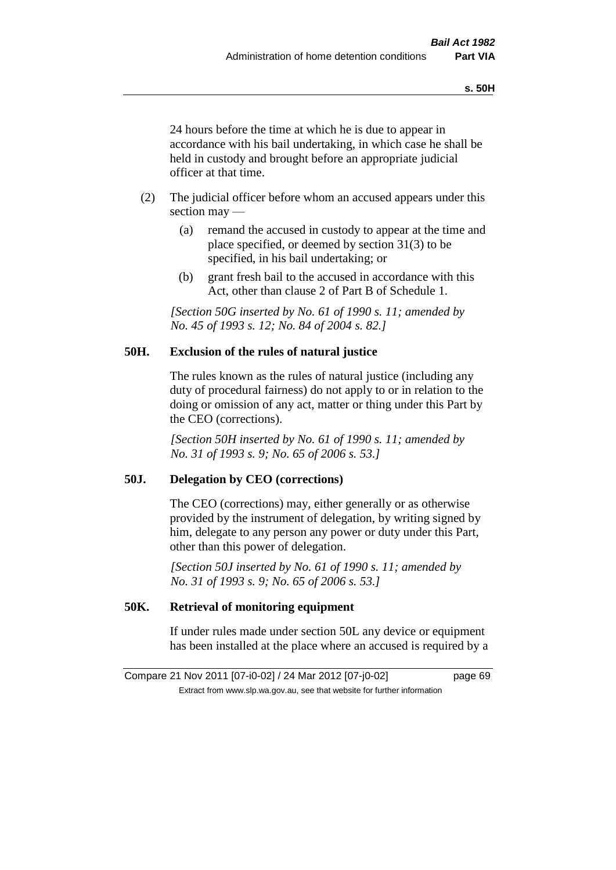24 hours before the time at which he is due to appear in accordance with his bail undertaking, in which case he shall be held in custody and brought before an appropriate judicial officer at that time.

- (2) The judicial officer before whom an accused appears under this section may —
	- (a) remand the accused in custody to appear at the time and place specified, or deemed by section 31(3) to be specified, in his bail undertaking; or
	- (b) grant fresh bail to the accused in accordance with this Act, other than clause 2 of Part B of Schedule 1.

*[Section 50G inserted by No. 61 of 1990 s. 11; amended by No. 45 of 1993 s. 12; No. 84 of 2004 s. 82.]* 

### **50H. Exclusion of the rules of natural justice**

The rules known as the rules of natural justice (including any duty of procedural fairness) do not apply to or in relation to the doing or omission of any act, matter or thing under this Part by the CEO (corrections).

*[Section 50H inserted by No. 61 of 1990 s. 11; amended by No. 31 of 1993 s. 9; No. 65 of 2006 s. 53.]* 

### **50J. Delegation by CEO (corrections)**

The CEO (corrections) may, either generally or as otherwise provided by the instrument of delegation, by writing signed by him, delegate to any person any power or duty under this Part, other than this power of delegation.

*[Section 50J inserted by No. 61 of 1990 s. 11; amended by No. 31 of 1993 s. 9; No. 65 of 2006 s. 53.]* 

## **50K. Retrieval of monitoring equipment**

If under rules made under section 50L any device or equipment has been installed at the place where an accused is required by a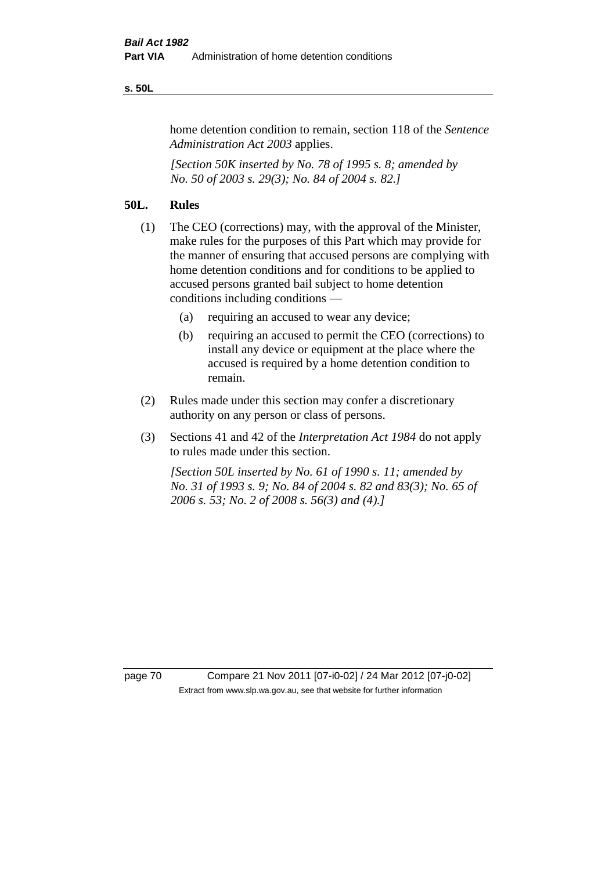### **s. 50L**

home detention condition to remain, section 118 of the *Sentence Administration Act 2003* applies.

*[Section 50K inserted by No. 78 of 1995 s. 8; amended by No. 50 of 2003 s. 29(3); No. 84 of 2004 s. 82.]* 

## **50L. Rules**

- (1) The CEO (corrections) may, with the approval of the Minister, make rules for the purposes of this Part which may provide for the manner of ensuring that accused persons are complying with home detention conditions and for conditions to be applied to accused persons granted bail subject to home detention conditions including conditions —
	- (a) requiring an accused to wear any device;
	- (b) requiring an accused to permit the CEO (corrections) to install any device or equipment at the place where the accused is required by a home detention condition to remain.
- (2) Rules made under this section may confer a discretionary authority on any person or class of persons.
- (3) Sections 41 and 42 of the *Interpretation Act 1984* do not apply to rules made under this section.

*[Section 50L inserted by No. 61 of 1990 s. 11; amended by No. 31 of 1993 s. 9; No. 84 of 2004 s. 82 and 83(3); No. 65 of 2006 s. 53; No. 2 of 2008 s. 56(3) and (4).]* 

page 70 Compare 21 Nov 2011 [07-i0-02] / 24 Mar 2012 [07-j0-02] Extract from www.slp.wa.gov.au, see that website for further information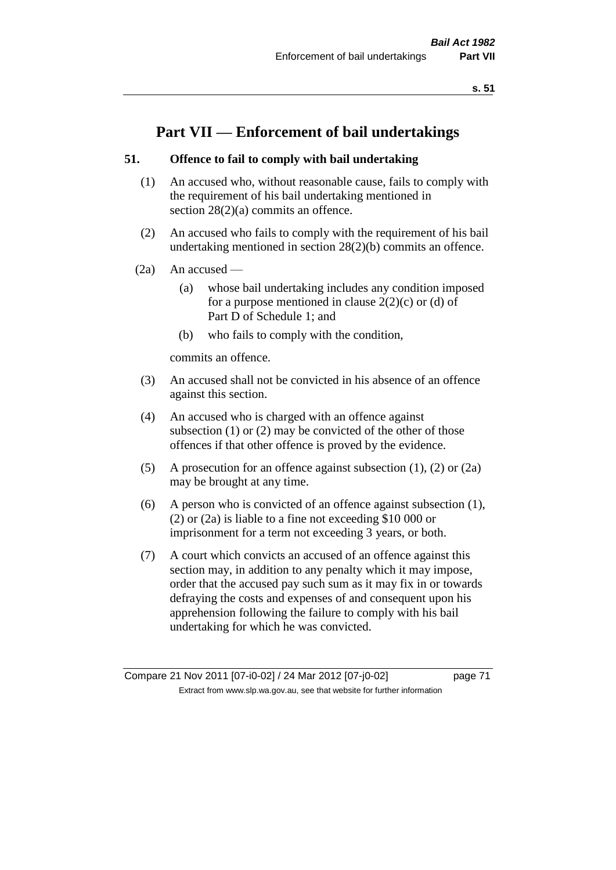# **Part VII — Enforcement of bail undertakings**

# **51. Offence to fail to comply with bail undertaking**

- (1) An accused who, without reasonable cause, fails to comply with the requirement of his bail undertaking mentioned in section 28(2)(a) commits an offence.
- (2) An accused who fails to comply with the requirement of his bail undertaking mentioned in section 28(2)(b) commits an offence.
- $(2a)$  An accused
	- (a) whose bail undertaking includes any condition imposed for a purpose mentioned in clause  $2(2)(c)$  or (d) of Part D of Schedule 1; and
	- (b) who fails to comply with the condition,

commits an offence.

- (3) An accused shall not be convicted in his absence of an offence against this section.
- (4) An accused who is charged with an offence against subsection (1) or (2) may be convicted of the other of those offences if that other offence is proved by the evidence.
- (5) A prosecution for an offence against subsection (1), (2) or (2a) may be brought at any time.
- (6) A person who is convicted of an offence against subsection (1), (2) or (2a) is liable to a fine not exceeding \$10 000 or imprisonment for a term not exceeding 3 years, or both.
- (7) A court which convicts an accused of an offence against this section may, in addition to any penalty which it may impose, order that the accused pay such sum as it may fix in or towards defraying the costs and expenses of and consequent upon his apprehension following the failure to comply with his bail undertaking for which he was convicted.

Compare 21 Nov 2011 [07-i0-02] / 24 Mar 2012 [07-j0-02] page 71 Extract from www.slp.wa.gov.au, see that website for further information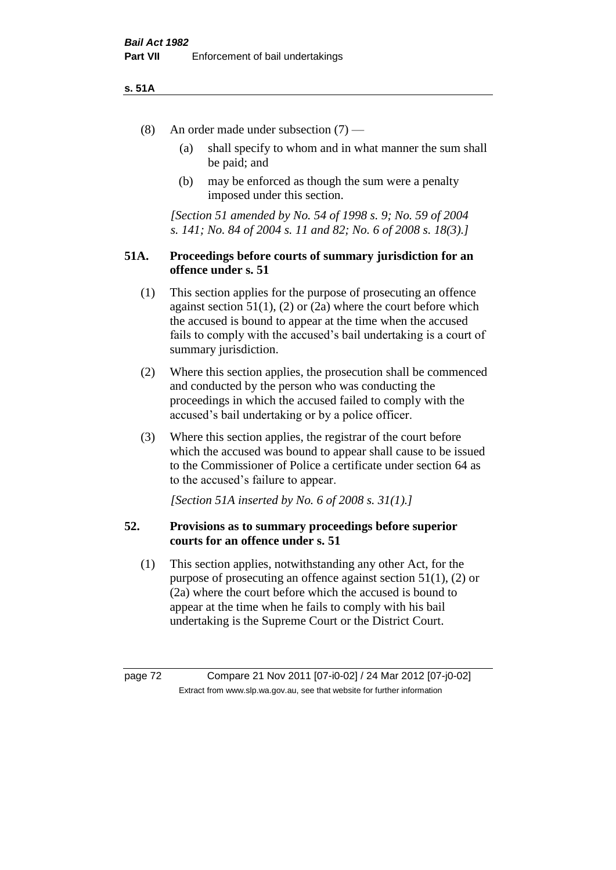### **s. 51A**

- (8) An order made under subsection (7)
	- (a) shall specify to whom and in what manner the sum shall be paid; and
	- (b) may be enforced as though the sum were a penalty imposed under this section.

*[Section 51 amended by No. 54 of 1998 s. 9; No. 59 of 2004 s. 141; No. 84 of 2004 s. 11 and 82; No. 6 of 2008 s. 18(3).]*

# **51A. Proceedings before courts of summary jurisdiction for an offence under s. 51**

- (1) This section applies for the purpose of prosecuting an offence against section  $51(1)$ ,  $(2)$  or  $(2a)$  where the court before which the accused is bound to appear at the time when the accused fails to comply with the accused's bail undertaking is a court of summary jurisdiction.
- (2) Where this section applies, the prosecution shall be commenced and conducted by the person who was conducting the proceedings in which the accused failed to comply with the accused's bail undertaking or by a police officer.
- (3) Where this section applies, the registrar of the court before which the accused was bound to appear shall cause to be issued to the Commissioner of Police a certificate under section 64 as to the accused's failure to appear.

*[Section 51A inserted by No. 6 of 2008 s. 31(1).]*

# **52. Provisions as to summary proceedings before superior courts for an offence under s. 51**

(1) This section applies, notwithstanding any other Act, for the purpose of prosecuting an offence against section 51(1), (2) or (2a) where the court before which the accused is bound to appear at the time when he fails to comply with his bail undertaking is the Supreme Court or the District Court.

page 72 Compare 21 Nov 2011 [07-i0-02] / 24 Mar 2012 [07-j0-02] Extract from www.slp.wa.gov.au, see that website for further information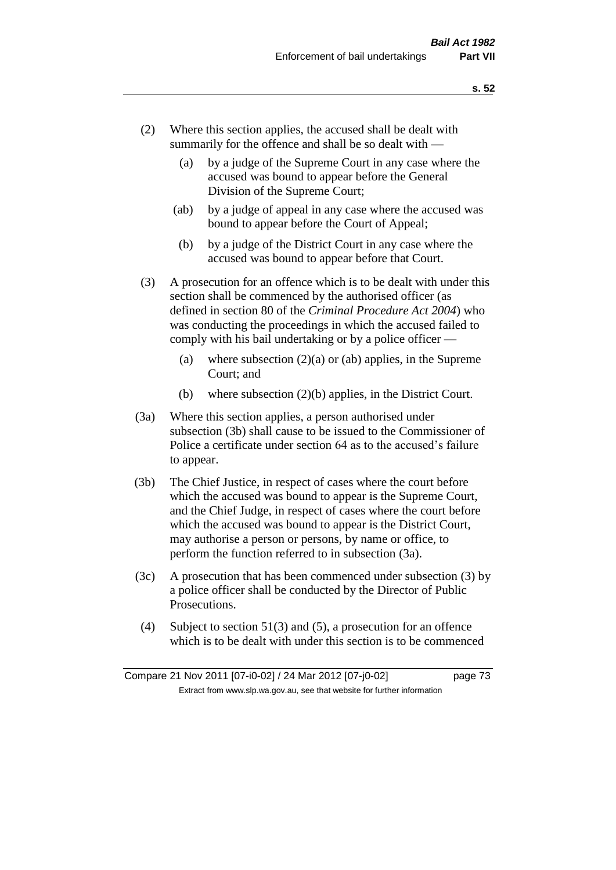- (2) Where this section applies, the accused shall be dealt with summarily for the offence and shall be so dealt with —
	- (a) by a judge of the Supreme Court in any case where the accused was bound to appear before the General Division of the Supreme Court;
	- (ab) by a judge of appeal in any case where the accused was bound to appear before the Court of Appeal;
	- (b) by a judge of the District Court in any case where the accused was bound to appear before that Court.
- (3) A prosecution for an offence which is to be dealt with under this section shall be commenced by the authorised officer (as defined in section 80 of the *Criminal Procedure Act 2004*) who was conducting the proceedings in which the accused failed to comply with his bail undertaking or by a police officer —
	- (a) where subsection  $(2)(a)$  or (ab) applies, in the Supreme Court; and
	- (b) where subsection (2)(b) applies, in the District Court.
- (3a) Where this section applies, a person authorised under subsection (3b) shall cause to be issued to the Commissioner of Police a certificate under section 64 as to the accused's failure to appear.
- (3b) The Chief Justice, in respect of cases where the court before which the accused was bound to appear is the Supreme Court, and the Chief Judge, in respect of cases where the court before which the accused was bound to appear is the District Court, may authorise a person or persons, by name or office, to perform the function referred to in subsection (3a).
- (3c) A prosecution that has been commenced under subsection (3) by a police officer shall be conducted by the Director of Public Prosecutions.
- (4) Subject to section 51(3) and (5), a prosecution for an offence which is to be dealt with under this section is to be commenced

Compare 21 Nov 2011 [07-i0-02] / 24 Mar 2012 [07-j0-02] page 73 Extract from www.slp.wa.gov.au, see that website for further information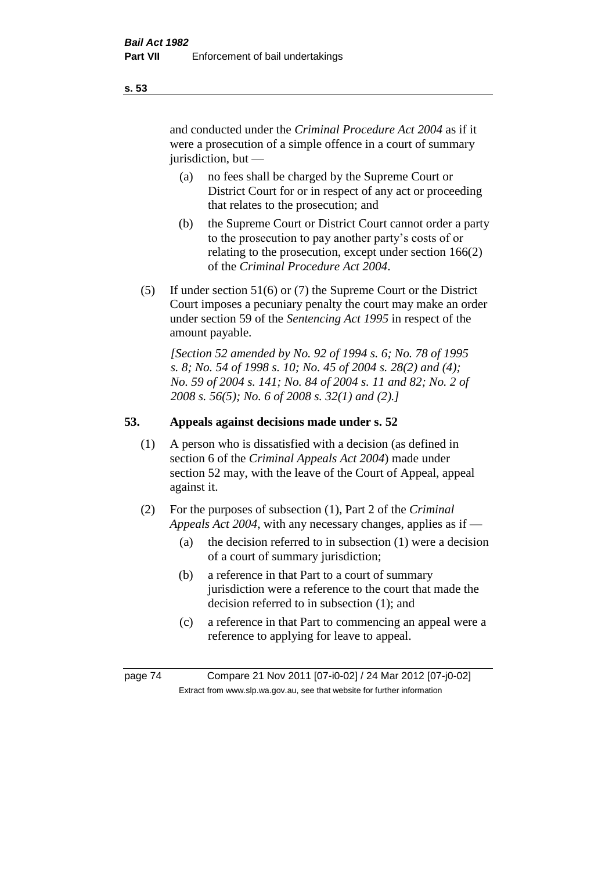and conducted under the *Criminal Procedure Act 2004* as if it were a prosecution of a simple offence in a court of summary jurisdiction, but —

- (a) no fees shall be charged by the Supreme Court or District Court for or in respect of any act or proceeding that relates to the prosecution; and
- (b) the Supreme Court or District Court cannot order a party to the prosecution to pay another party's costs of or relating to the prosecution, except under section 166(2) of the *Criminal Procedure Act 2004*.
- (5) If under section 51(6) or (7) the Supreme Court or the District Court imposes a pecuniary penalty the court may make an order under section 59 of the *Sentencing Act 1995* in respect of the amount payable.

*[Section 52 amended by No. 92 of 1994 s. 6; No. 78 of 1995 s. 8; No. 54 of 1998 s. 10; No. 45 of 2004 s. 28(2) and (4); No. 59 of 2004 s. 141; No. 84 of 2004 s. 11 and 82; No. 2 of 2008 s. 56(5); No. 6 of 2008 s. 32(1) and (2).]* 

# **53. Appeals against decisions made under s. 52**

- (1) A person who is dissatisfied with a decision (as defined in section 6 of the *Criminal Appeals Act 2004*) made under section 52 may, with the leave of the Court of Appeal, appeal against it.
- (2) For the purposes of subsection (1), Part 2 of the *Criminal Appeals Act 2004*, with any necessary changes, applies as if —
	- (a) the decision referred to in subsection (1) were a decision of a court of summary jurisdiction;
	- (b) a reference in that Part to a court of summary jurisdiction were a reference to the court that made the decision referred to in subsection (1); and
	- (c) a reference in that Part to commencing an appeal were a reference to applying for leave to appeal.

page 74 Compare 21 Nov 2011 [07-i0-02] / 24 Mar 2012 [07-j0-02] Extract from www.slp.wa.gov.au, see that website for further information

**s. 53**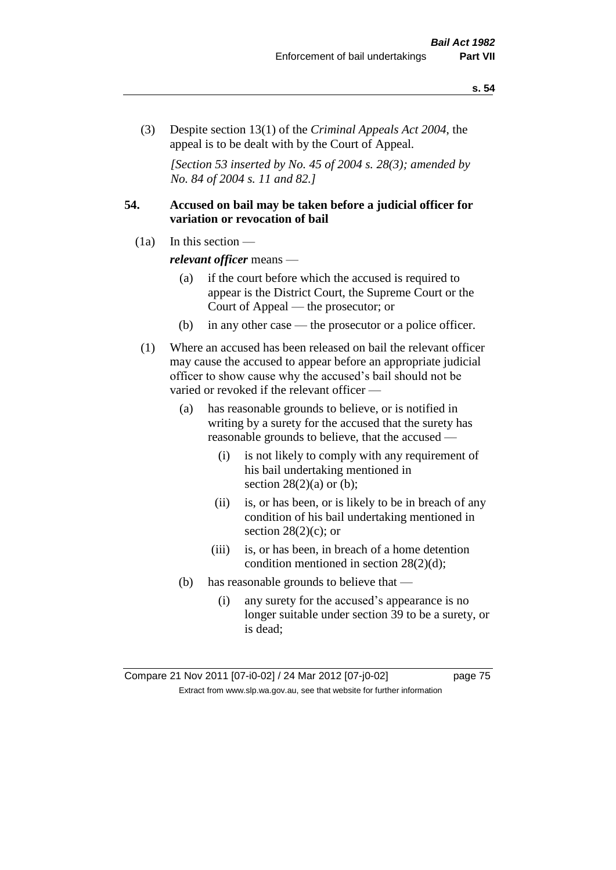(3) Despite section 13(1) of the *Criminal Appeals Act 2004*, the appeal is to be dealt with by the Court of Appeal.

*[Section 53 inserted by No. 45 of 2004 s. 28(3); amended by No. 84 of 2004 s. 11 and 82.]*

# **54. Accused on bail may be taken before a judicial officer for variation or revocation of bail**

(1a) In this section —

*relevant officer* means —

- (a) if the court before which the accused is required to appear is the District Court, the Supreme Court or the Court of Appeal — the prosecutor; or
- (b) in any other case the prosecutor or a police officer.
- (1) Where an accused has been released on bail the relevant officer may cause the accused to appear before an appropriate judicial officer to show cause why the accused's bail should not be varied or revoked if the relevant officer —
	- (a) has reasonable grounds to believe, or is notified in writing by a surety for the accused that the surety has reasonable grounds to believe, that the accused —
		- (i) is not likely to comply with any requirement of his bail undertaking mentioned in section  $28(2)(a)$  or (b);
		- (ii) is, or has been, or is likely to be in breach of any condition of his bail undertaking mentioned in section  $28(2)(c)$ ; or
		- (iii) is, or has been, in breach of a home detention condition mentioned in section 28(2)(d);
	- (b) has reasonable grounds to believe that
		- (i) any surety for the accused's appearance is no longer suitable under section 39 to be a surety, or is dead;

Compare 21 Nov 2011 [07-i0-02] / 24 Mar 2012 [07-j0-02] page 75 Extract from www.slp.wa.gov.au, see that website for further information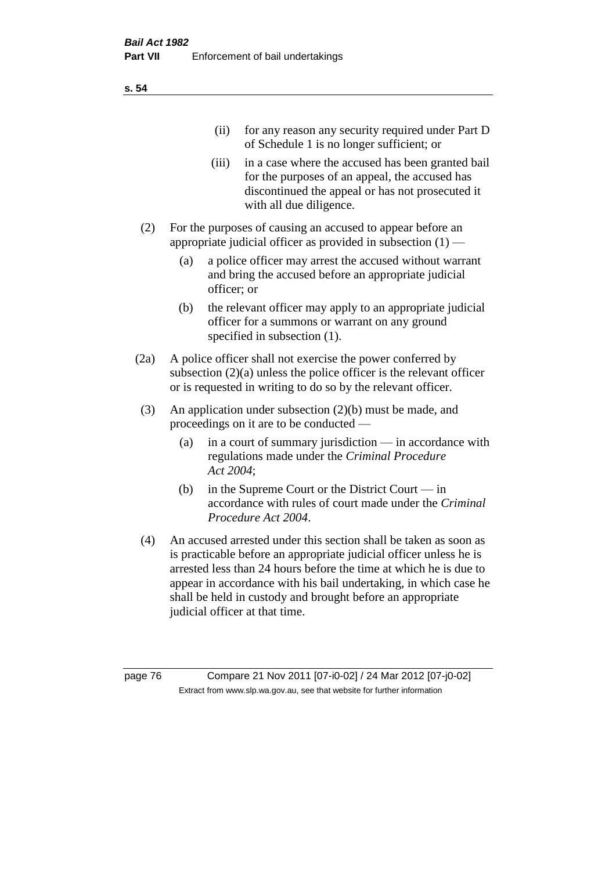| (11)  | for any reason any security required under Part D<br>of Schedule 1 is no longer sufficient; or                                                                                     |
|-------|------------------------------------------------------------------------------------------------------------------------------------------------------------------------------------|
| (iii) | in a case where the accused has been granted bail<br>for the purposes of an appeal, the accused has<br>discontinued the appeal or has not prosecuted it<br>with all due diligence. |

- (2) For the purposes of causing an accused to appear before an appropriate judicial officer as provided in subsection  $(1)$  —
	- (a) a police officer may arrest the accused without warrant and bring the accused before an appropriate judicial officer; or
	- (b) the relevant officer may apply to an appropriate judicial officer for a summons or warrant on any ground specified in subsection  $(1)$ .
- (2a) A police officer shall not exercise the power conferred by subsection (2)(a) unless the police officer is the relevant officer or is requested in writing to do so by the relevant officer.
- (3) An application under subsection (2)(b) must be made, and proceedings on it are to be conducted —
	- (a) in a court of summary jurisdiction in accordance with regulations made under the *Criminal Procedure Act 2004*;
	- (b) in the Supreme Court or the District Court in accordance with rules of court made under the *Criminal Procedure Act 2004*.
- (4) An accused arrested under this section shall be taken as soon as is practicable before an appropriate judicial officer unless he is arrested less than 24 hours before the time at which he is due to appear in accordance with his bail undertaking, in which case he shall be held in custody and brought before an appropriate judicial officer at that time.

page 76 Compare 21 Nov 2011 [07-i0-02] / 24 Mar 2012 [07-j0-02] Extract from www.slp.wa.gov.au, see that website for further information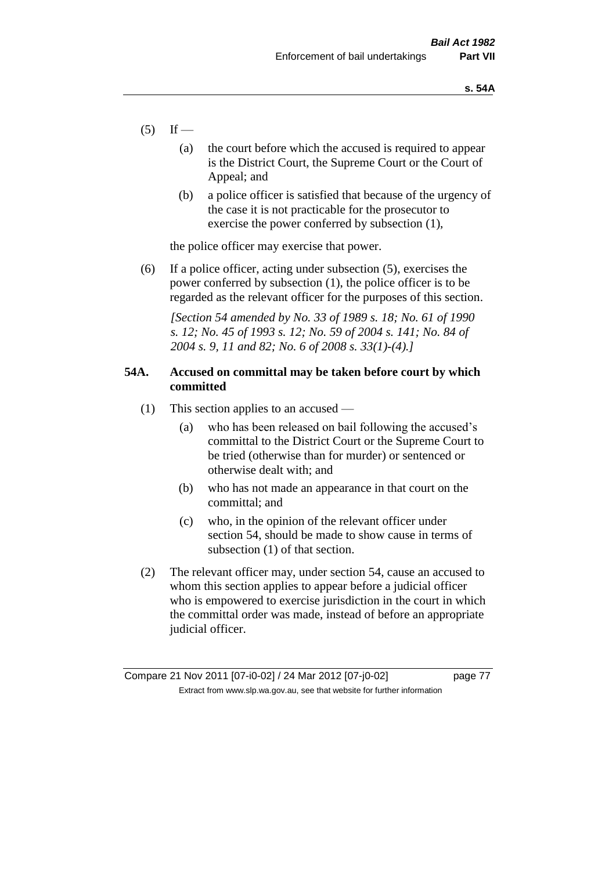- $(5)$  If
	- (a) the court before which the accused is required to appear is the District Court, the Supreme Court or the Court of Appeal; and
	- (b) a police officer is satisfied that because of the urgency of the case it is not practicable for the prosecutor to exercise the power conferred by subsection (1),

the police officer may exercise that power.

(6) If a police officer, acting under subsection (5), exercises the power conferred by subsection (1), the police officer is to be regarded as the relevant officer for the purposes of this section.

*[Section 54 amended by No. 33 of 1989 s. 18; No. 61 of 1990 s. 12; No. 45 of 1993 s. 12; No. 59 of 2004 s. 141; No. 84 of 2004 s. 9, 11 and 82; No. 6 of 2008 s. 33(1)-(4).]* 

# **54A. Accused on committal may be taken before court by which committed**

- (1) This section applies to an accused
	- (a) who has been released on bail following the accused's committal to the District Court or the Supreme Court to be tried (otherwise than for murder) or sentenced or otherwise dealt with; and
	- (b) who has not made an appearance in that court on the committal; and
	- (c) who, in the opinion of the relevant officer under section 54, should be made to show cause in terms of subsection (1) of that section.
- (2) The relevant officer may, under section 54, cause an accused to whom this section applies to appear before a judicial officer who is empowered to exercise jurisdiction in the court in which the committal order was made, instead of before an appropriate judicial officer.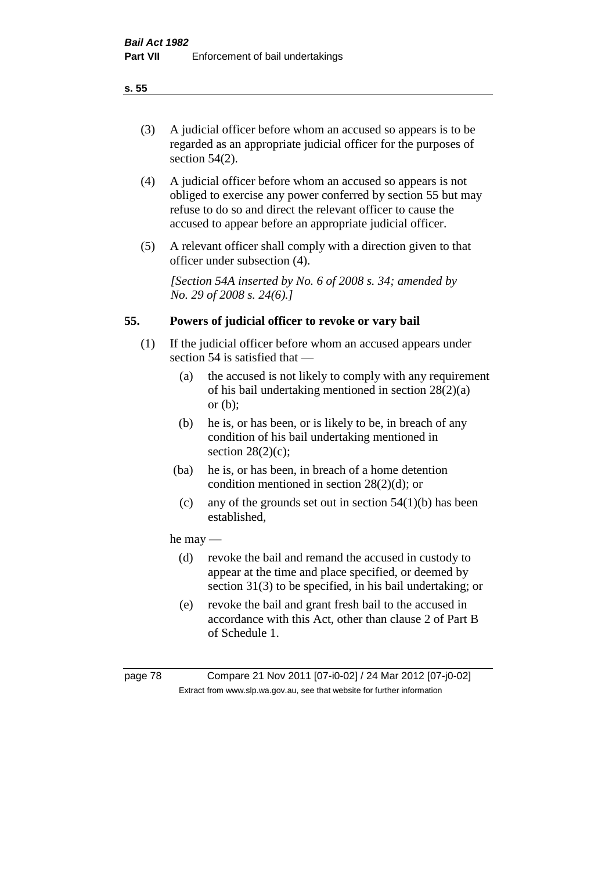(3) A judicial officer before whom an accused so appears is to be regarded as an appropriate judicial officer for the purposes of section 54(2).

- (4) A judicial officer before whom an accused so appears is not obliged to exercise any power conferred by section 55 but may refuse to do so and direct the relevant officer to cause the accused to appear before an appropriate judicial officer.
- (5) A relevant officer shall comply with a direction given to that officer under subsection (4).

*[Section 54A inserted by No. 6 of 2008 s. 34; amended by No. 29 of 2008 s. 24(6).]*

# **55. Powers of judicial officer to revoke or vary bail**

- (1) If the judicial officer before whom an accused appears under section 54 is satisfied that —
	- (a) the accused is not likely to comply with any requirement of his bail undertaking mentioned in section 28(2)(a) or (b);
	- (b) he is, or has been, or is likely to be, in breach of any condition of his bail undertaking mentioned in section  $28(2)(c)$ ;
	- (ba) he is, or has been, in breach of a home detention condition mentioned in section 28(2)(d); or
		- (c) any of the grounds set out in section  $54(1)(b)$  has been established,

# he may —

- (d) revoke the bail and remand the accused in custody to appear at the time and place specified, or deemed by section 31(3) to be specified, in his bail undertaking; or
- (e) revoke the bail and grant fresh bail to the accused in accordance with this Act, other than clause 2 of Part B of Schedule 1.

page 78 Compare 21 Nov 2011 [07-i0-02] / 24 Mar 2012 [07-j0-02] Extract from www.slp.wa.gov.au, see that website for further information

**s. 55**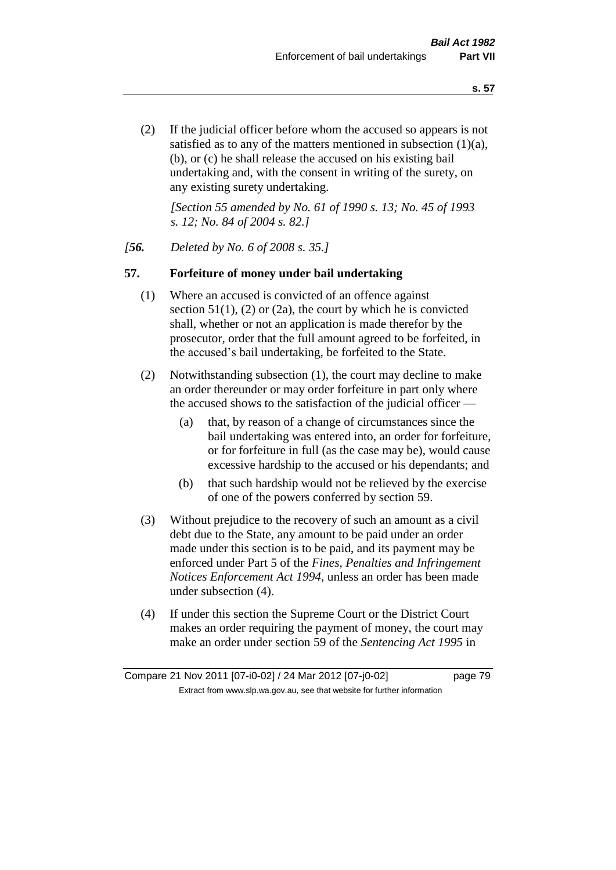(2) If the judicial officer before whom the accused so appears is not satisfied as to any of the matters mentioned in subsection (1)(a), (b), or (c) he shall release the accused on his existing bail undertaking and, with the consent in writing of the surety, on any existing surety undertaking.

*[Section 55 amended by No. 61 of 1990 s. 13; No. 45 of 1993 s. 12; No. 84 of 2004 s. 82.]* 

# *[56. Deleted by No. 6 of 2008 s. 35.]*

# **57. Forfeiture of money under bail undertaking**

- (1) Where an accused is convicted of an offence against section  $51(1)$ , (2) or (2a), the court by which he is convicted shall, whether or not an application is made therefor by the prosecutor, order that the full amount agreed to be forfeited, in the accused's bail undertaking, be forfeited to the State.
- (2) Notwithstanding subsection (1), the court may decline to make an order thereunder or may order forfeiture in part only where the accused shows to the satisfaction of the judicial officer —
	- (a) that, by reason of a change of circumstances since the bail undertaking was entered into, an order for forfeiture, or for forfeiture in full (as the case may be), would cause excessive hardship to the accused or his dependants; and
	- (b) that such hardship would not be relieved by the exercise of one of the powers conferred by section 59.
- (3) Without prejudice to the recovery of such an amount as a civil debt due to the State, any amount to be paid under an order made under this section is to be paid, and its payment may be enforced under Part 5 of the *Fines, Penalties and Infringement Notices Enforcement Act 1994*, unless an order has been made under subsection (4).
- (4) If under this section the Supreme Court or the District Court makes an order requiring the payment of money, the court may make an order under section 59 of the *Sentencing Act 1995* in

Compare 21 Nov 2011 [07-i0-02] / 24 Mar 2012 [07-j0-02] page 79 Extract from www.slp.wa.gov.au, see that website for further information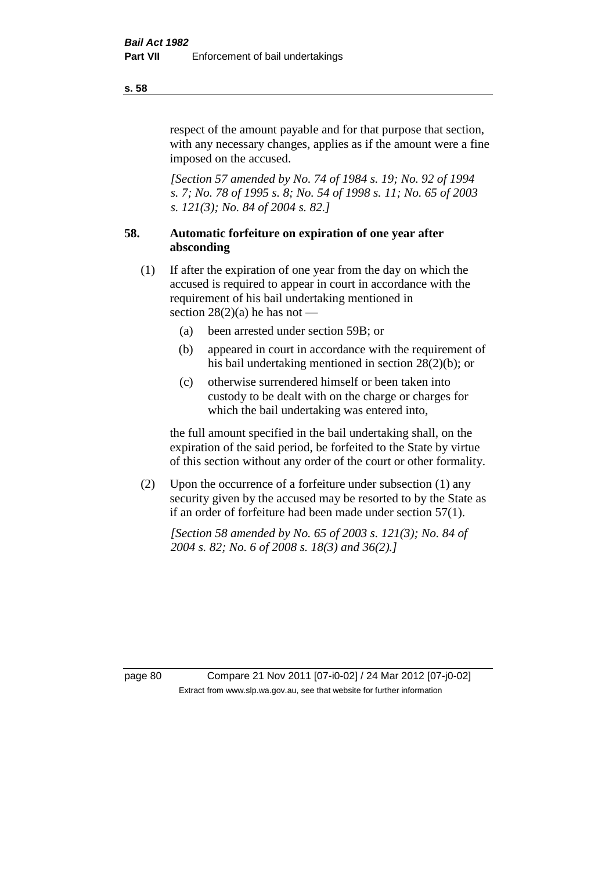respect of the amount payable and for that purpose that section, with any necessary changes, applies as if the amount were a fine imposed on the accused.

*[Section 57 amended by No. 74 of 1984 s. 19; No. 92 of 1994 s. 7; No. 78 of 1995 s. 8; No. 54 of 1998 s. 11; No. 65 of 2003 s. 121(3); No. 84 of 2004 s. 82.]* 

# **58. Automatic forfeiture on expiration of one year after absconding**

- (1) If after the expiration of one year from the day on which the accused is required to appear in court in accordance with the requirement of his bail undertaking mentioned in section  $28(2)(a)$  he has not —
	- (a) been arrested under section 59B; or
	- (b) appeared in court in accordance with the requirement of his bail undertaking mentioned in section 28(2)(b); or
	- (c) otherwise surrendered himself or been taken into custody to be dealt with on the charge or charges for which the bail undertaking was entered into,

the full amount specified in the bail undertaking shall, on the expiration of the said period, be forfeited to the State by virtue of this section without any order of the court or other formality.

(2) Upon the occurrence of a forfeiture under subsection (1) any security given by the accused may be resorted to by the State as if an order of forfeiture had been made under section 57(1).

*[Section 58 amended by No. 65 of 2003 s. 121(3); No. 84 of 2004 s. 82; No. 6 of 2008 s. 18(3) and 36(2).]*

page 80 Compare 21 Nov 2011 [07-i0-02] / 24 Mar 2012 [07-j0-02] Extract from www.slp.wa.gov.au, see that website for further information

**s. 58**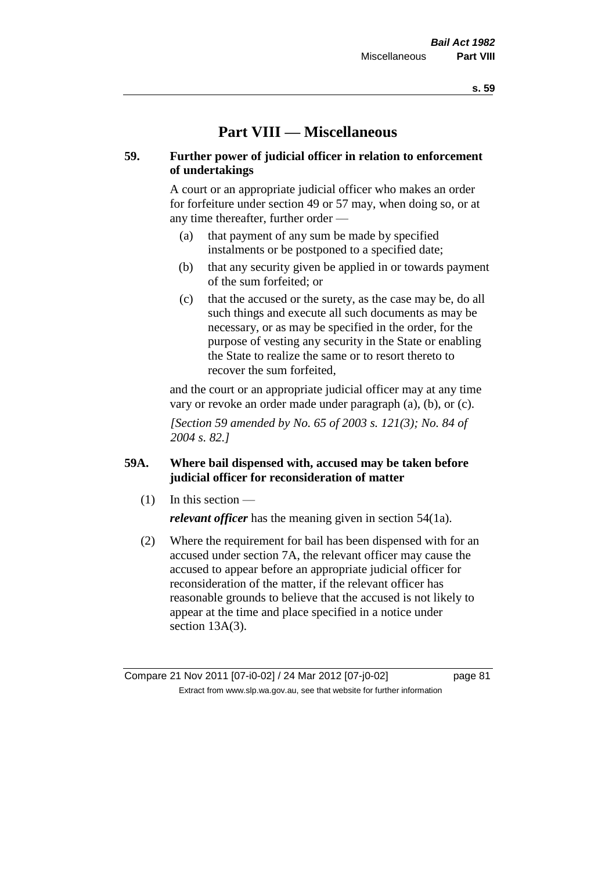# **Part VIII — Miscellaneous**

# **59. Further power of judicial officer in relation to enforcement of undertakings**

A court or an appropriate judicial officer who makes an order for forfeiture under section 49 or 57 may, when doing so, or at any time thereafter, further order —

- (a) that payment of any sum be made by specified instalments or be postponed to a specified date;
- (b) that any security given be applied in or towards payment of the sum forfeited; or
- (c) that the accused or the surety, as the case may be, do all such things and execute all such documents as may be necessary, or as may be specified in the order, for the purpose of vesting any security in the State or enabling the State to realize the same or to resort thereto to recover the sum forfeited,

and the court or an appropriate judicial officer may at any time vary or revoke an order made under paragraph (a), (b), or (c).

*[Section 59 amended by No. 65 of 2003 s. 121(3); No. 84 of 2004 s. 82.]*

# **59A. Where bail dispensed with, accused may be taken before judicial officer for reconsideration of matter**

- $(1)$  In this section *relevant officer* has the meaning given in section 54(1a).
- (2) Where the requirement for bail has been dispensed with for an accused under section 7A, the relevant officer may cause the accused to appear before an appropriate judicial officer for reconsideration of the matter, if the relevant officer has reasonable grounds to believe that the accused is not likely to appear at the time and place specified in a notice under section 13A(3).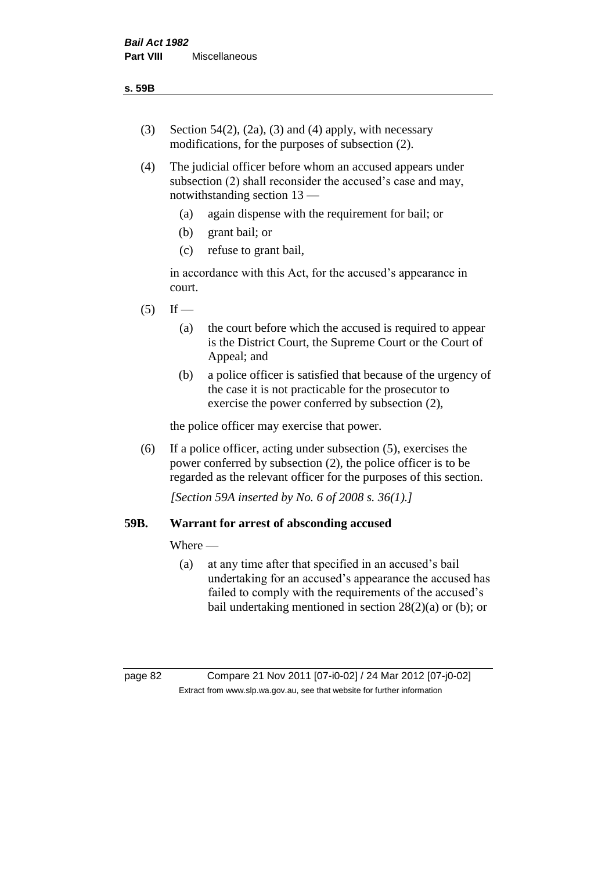- (3) Section 54(2), (2a), (3) and (4) apply, with necessary modifications, for the purposes of subsection (2).
- (4) The judicial officer before whom an accused appears under subsection (2) shall reconsider the accused's case and may, notwithstanding section 13 —
	- (a) again dispense with the requirement for bail; or
	- (b) grant bail; or
	- (c) refuse to grant bail,

in accordance with this Act, for the accused's appearance in court.

- $(5)$  If
	- (a) the court before which the accused is required to appear is the District Court, the Supreme Court or the Court of Appeal; and
	- (b) a police officer is satisfied that because of the urgency of the case it is not practicable for the prosecutor to exercise the power conferred by subsection (2),

the police officer may exercise that power.

(6) If a police officer, acting under subsection (5), exercises the power conferred by subsection (2), the police officer is to be regarded as the relevant officer for the purposes of this section.

*[Section 59A inserted by No. 6 of 2008 s. 36(1).]*

# **59B. Warrant for arrest of absconding accused**

Where —

(a) at any time after that specified in an accused's bail undertaking for an accused's appearance the accused has failed to comply with the requirements of the accused's bail undertaking mentioned in section 28(2)(a) or (b); or

page 82 Compare 21 Nov 2011 [07-i0-02] / 24 Mar 2012 [07-j0-02] Extract from www.slp.wa.gov.au, see that website for further information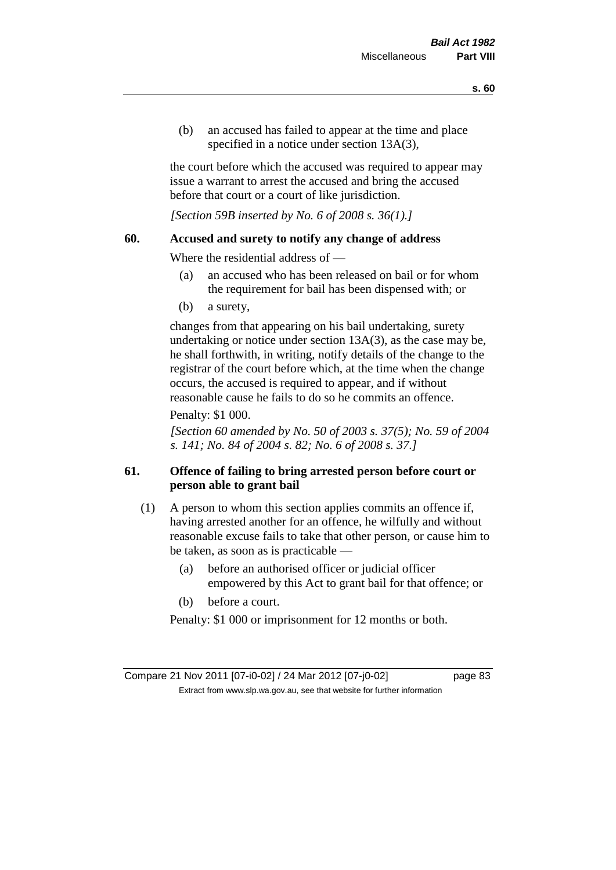(b) an accused has failed to appear at the time and place specified in a notice under section 13A(3).

the court before which the accused was required to appear may issue a warrant to arrest the accused and bring the accused before that court or a court of like jurisdiction.

*[Section 59B inserted by No. 6 of 2008 s. 36(1).]*

# **60. Accused and surety to notify any change of address**

Where the residential address of —

- (a) an accused who has been released on bail or for whom the requirement for bail has been dispensed with; or
- (b) a surety,

changes from that appearing on his bail undertaking, surety undertaking or notice under section 13A(3), as the case may be, he shall forthwith, in writing, notify details of the change to the registrar of the court before which, at the time when the change occurs, the accused is required to appear, and if without reasonable cause he fails to do so he commits an offence.

### Penalty: \$1 000.

*[Section 60 amended by No. 50 of 2003 s. 37(5); No. 59 of 2004 s. 141; No. 84 of 2004 s. 82; No. 6 of 2008 s. 37.]*

# **61. Offence of failing to bring arrested person before court or person able to grant bail**

- (1) A person to whom this section applies commits an offence if, having arrested another for an offence, he wilfully and without reasonable excuse fails to take that other person, or cause him to be taken, as soon as is practicable —
	- (a) before an authorised officer or judicial officer empowered by this Act to grant bail for that offence; or
	- (b) before a court.

Penalty: \$1 000 or imprisonment for 12 months or both.

Compare 21 Nov 2011 [07-i0-02] / 24 Mar 2012 [07-j0-02] page 83 Extract from www.slp.wa.gov.au, see that website for further information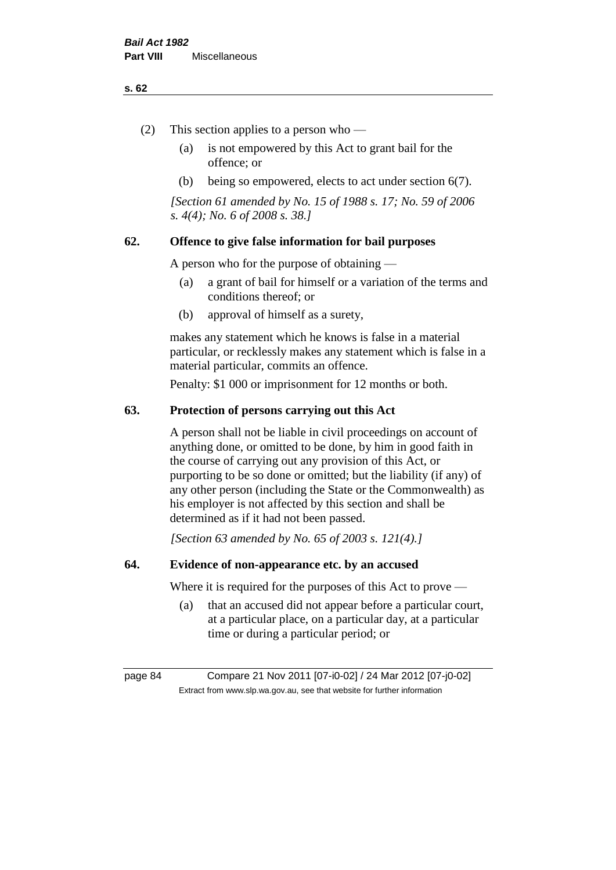#### **s. 62**

- (2) This section applies to a person who
	- (a) is not empowered by this Act to grant bail for the offence; or
	- (b) being so empowered, elects to act under section 6(7).

*[Section 61 amended by No. 15 of 1988 s. 17; No. 59 of 2006 s. 4(4); No. 6 of 2008 s. 38.]* 

# **62. Offence to give false information for bail purposes**

A person who for the purpose of obtaining —

- (a) a grant of bail for himself or a variation of the terms and conditions thereof; or
- (b) approval of himself as a surety,

makes any statement which he knows is false in a material particular, or recklessly makes any statement which is false in a material particular, commits an offence.

Penalty: \$1 000 or imprisonment for 12 months or both.

### **63. Protection of persons carrying out this Act**

A person shall not be liable in civil proceedings on account of anything done, or omitted to be done, by him in good faith in the course of carrying out any provision of this Act, or purporting to be so done or omitted; but the liability (if any) of any other person (including the State or the Commonwealth) as his employer is not affected by this section and shall be determined as if it had not been passed.

*[Section 63 amended by No. 65 of 2003 s. 121(4).]*

# **64. Evidence of non-appearance etc. by an accused**

Where it is required for the purposes of this Act to prove —

(a) that an accused did not appear before a particular court, at a particular place, on a particular day, at a particular time or during a particular period; or

page 84 Compare 21 Nov 2011 [07-i0-02] / 24 Mar 2012 [07-j0-02] Extract from www.slp.wa.gov.au, see that website for further information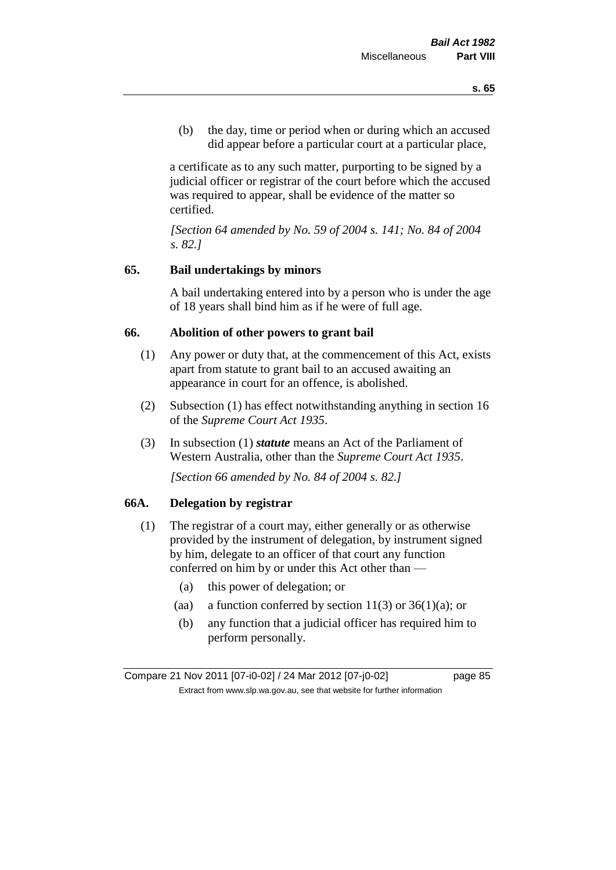(b) the day, time or period when or during which an accused did appear before a particular court at a particular place,

a certificate as to any such matter, purporting to be signed by a judicial officer or registrar of the court before which the accused was required to appear, shall be evidence of the matter so certified.

*[Section 64 amended by No. 59 of 2004 s. 141; No. 84 of 2004 s. 82.]* 

# **65. Bail undertakings by minors**

A bail undertaking entered into by a person who is under the age of 18 years shall bind him as if he were of full age.

### **66. Abolition of other powers to grant bail**

- (1) Any power or duty that, at the commencement of this Act, exists apart from statute to grant bail to an accused awaiting an appearance in court for an offence, is abolished.
- (2) Subsection (1) has effect notwithstanding anything in section 16 of the *Supreme Court Act 1935*.
- (3) In subsection (1) *statute* means an Act of the Parliament of Western Australia, other than the *Supreme Court Act 1935*.

*[Section 66 amended by No. 84 of 2004 s. 82.]*

# **66A. Delegation by registrar**

- (1) The registrar of a court may, either generally or as otherwise provided by the instrument of delegation, by instrument signed by him, delegate to an officer of that court any function conferred on him by or under this Act other than —
	- (a) this power of delegation; or
	- (aa) a function conferred by section  $11(3)$  or  $36(1)(a)$ ; or
	- (b) any function that a judicial officer has required him to perform personally.

Compare 21 Nov 2011 [07-i0-02] / 24 Mar 2012 [07-j0-02] page 85 Extract from www.slp.wa.gov.au, see that website for further information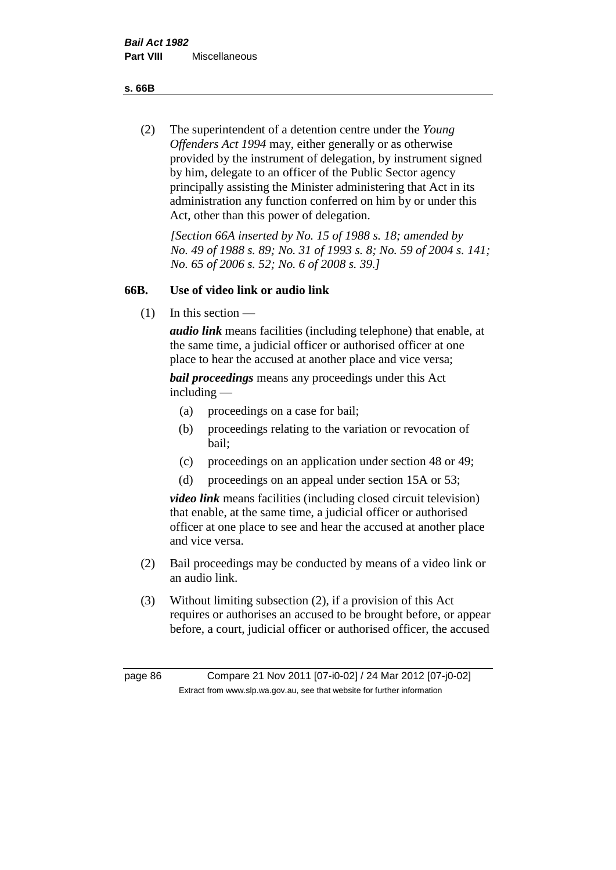**s. 66B**

(2) The superintendent of a detention centre under the *Young Offenders Act 1994* may, either generally or as otherwise provided by the instrument of delegation, by instrument signed by him, delegate to an officer of the Public Sector agency principally assisting the Minister administering that Act in its administration any function conferred on him by or under this Act, other than this power of delegation.

*[Section 66A inserted by No. 15 of 1988 s. 18; amended by No. 49 of 1988 s. 89; No. 31 of 1993 s. 8; No. 59 of 2004 s. 141; No. 65 of 2006 s. 52; No. 6 of 2008 s. 39.]* 

# **66B. Use of video link or audio link**

(1) In this section —

*audio link* means facilities (including telephone) that enable, at the same time, a judicial officer or authorised officer at one place to hear the accused at another place and vice versa;

*bail proceedings* means any proceedings under this Act including —

- (a) proceedings on a case for bail;
- (b) proceedings relating to the variation or revocation of bail;
- (c) proceedings on an application under section 48 or 49;
- (d) proceedings on an appeal under section 15A or 53;

*video link* means facilities (including closed circuit television) that enable, at the same time, a judicial officer or authorised officer at one place to see and hear the accused at another place and vice versa.

- (2) Bail proceedings may be conducted by means of a video link or an audio link.
- (3) Without limiting subsection (2), if a provision of this Act requires or authorises an accused to be brought before, or appear before, a court, judicial officer or authorised officer, the accused

page 86 Compare 21 Nov 2011 [07-i0-02] / 24 Mar 2012 [07-j0-02] Extract from www.slp.wa.gov.au, see that website for further information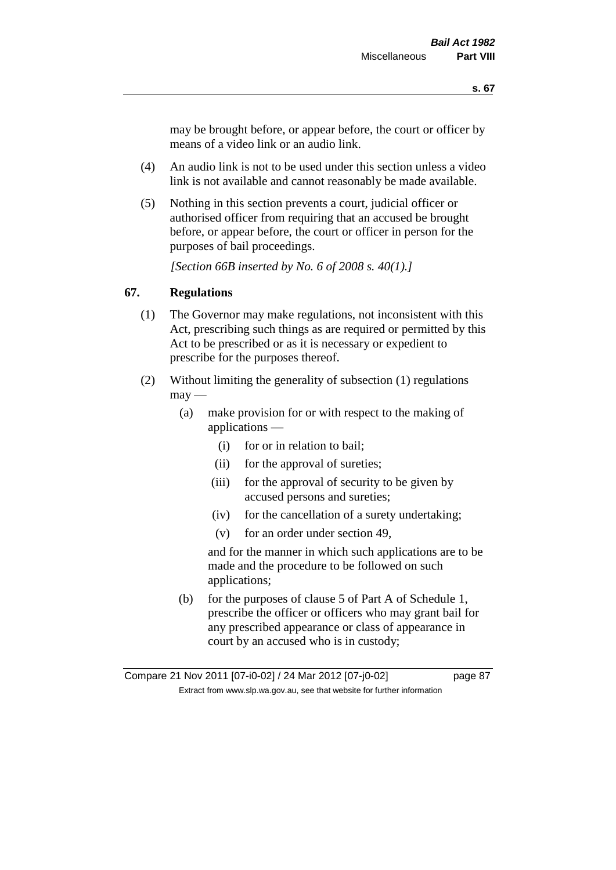may be brought before, or appear before, the court or officer by means of a video link or an audio link.

- (4) An audio link is not to be used under this section unless a video link is not available and cannot reasonably be made available.
- (5) Nothing in this section prevents a court, judicial officer or authorised officer from requiring that an accused be brought before, or appear before, the court or officer in person for the purposes of bail proceedings.

*[Section 66B inserted by No. 6 of 2008 s. 40(1).]*

# **67. Regulations**

- (1) The Governor may make regulations, not inconsistent with this Act, prescribing such things as are required or permitted by this Act to be prescribed or as it is necessary or expedient to prescribe for the purposes thereof.
- (2) Without limiting the generality of subsection (1) regulations  $\text{max}$  —
	- (a) make provision for or with respect to the making of applications —
		- (i) for or in relation to bail;
		- (ii) for the approval of sureties;
		- (iii) for the approval of security to be given by accused persons and sureties;
		- (iv) for the cancellation of a surety undertaking;
		- (v) for an order under section 49,

and for the manner in which such applications are to be made and the procedure to be followed on such applications;

(b) for the purposes of clause 5 of Part A of Schedule 1, prescribe the officer or officers who may grant bail for any prescribed appearance or class of appearance in court by an accused who is in custody;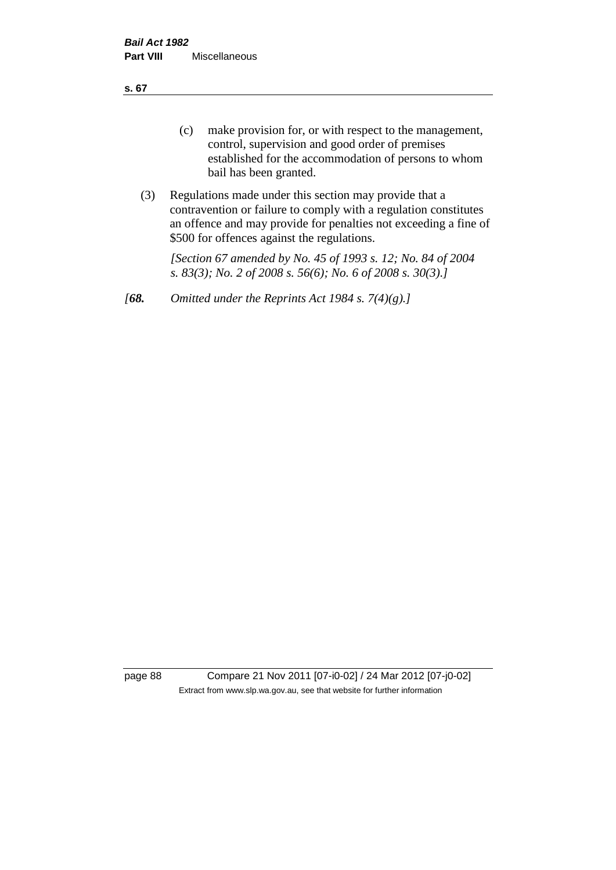**s. 67**

- (c) make provision for, or with respect to the management, control, supervision and good order of premises established for the accommodation of persons to whom bail has been granted.
- (3) Regulations made under this section may provide that a contravention or failure to comply with a regulation constitutes an offence and may provide for penalties not exceeding a fine of \$500 for offences against the regulations.

*[Section 67 amended by No. 45 of 1993 s. 12; No. 84 of 2004 s. 83(3); No. 2 of 2008 s. 56(6); No. 6 of 2008 s. 30(3).]* 

*[68. Omitted under the Reprints Act 1984 s. 7(4)(g).]*

page 88 Compare 21 Nov 2011 [07-i0-02] / 24 Mar 2012 [07-j0-02] Extract from www.slp.wa.gov.au, see that website for further information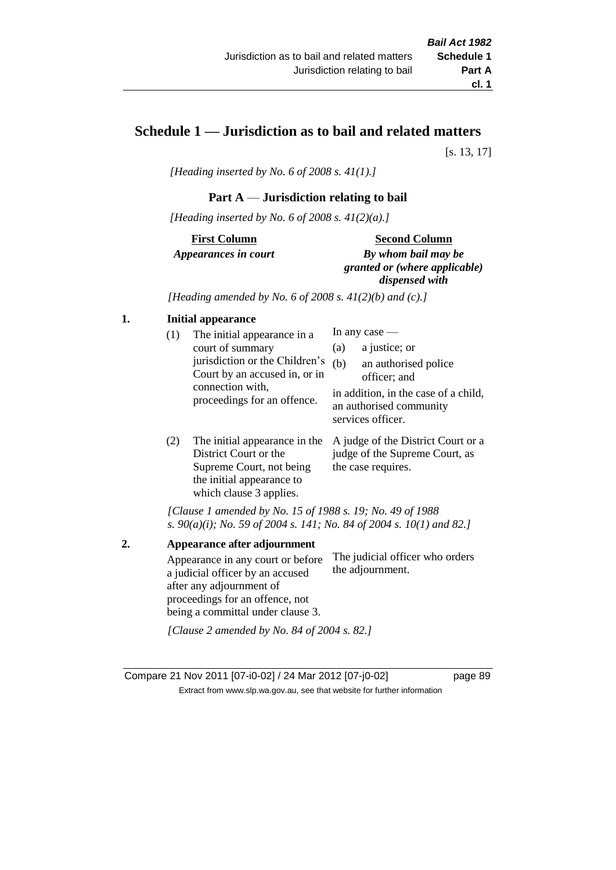# **Schedule 1 — Jurisdiction as to bail and related matters**

[s. 13, 17]

*[Heading inserted by No. 6 of 2008 s. 41(1).]*

### **Part A** — **Jurisdiction relating to bail**

*[Heading inserted by No. 6 of 2008 s. 41(2)(a).]*

**First Column** *Appearances in court* 

#### **Second Column**

*By whom bail may be granted or (where applicable) dispensed with*

*[Heading amended by No. 6 of 2008 s. 41(2)(b) and (c).]*

# **1. Initial appearance**

| (1) | The initial appearance in a<br>court of summary<br>jurisdiction or the Children's<br>Court by an accused in, or in<br>connection with,<br>proceedings for an offence. | (a)<br>(b) | In any case $-$<br>a justice; or<br>an authorised police<br>officer; and<br>in addition, in the case of a child,<br>an authorised community<br>services officer. |
|-----|-----------------------------------------------------------------------------------------------------------------------------------------------------------------------|------------|------------------------------------------------------------------------------------------------------------------------------------------------------------------|
|     | The initial ennearance in the $\Lambda$ indee of the District Court or a                                                                                              |            |                                                                                                                                                                  |

(2) The initial appearance in the A judge of the District Court or a District Court or the Supreme Court, not being the initial appearance to which clause 3 applies. judge of the Supreme Court, as the case requires.

*[Clause 1 amended by No. 15 of 1988 s. 19; No. 49 of 1988 s. 90(a)(i); No. 59 of 2004 s. 141; No. 84 of 2004 s. 10(1) and 82.]*

**2. Appearance after adjournment** Appearance in any court or before a judicial officer by an accused after any adjournment of proceedings for an offence, not being a committal under clause 3. The judicial officer who orders the adjournment. *[Clause 2 amended by No. 84 of 2004 s. 82.]*

Compare 21 Nov 2011 [07-i0-02] / 24 Mar 2012 [07-j0-02] page 89 Extract from www.slp.wa.gov.au, see that website for further information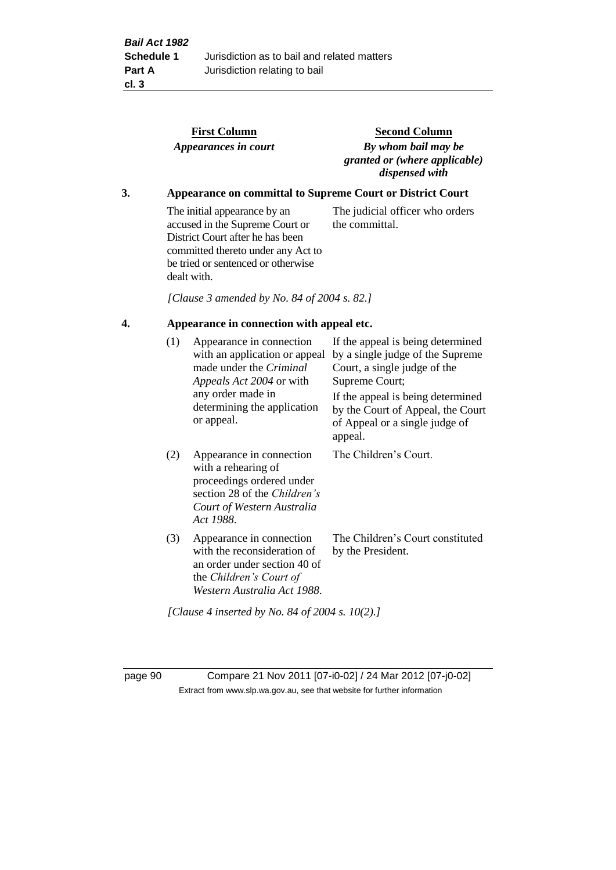|    |                                                                   | <b>First Column</b><br>Appearances in court                                                                                                                                                    | <b>Second Column</b><br>By whom bail may be<br>granted or (where applicable)<br>dispensed with                                                                                                                                      |  |  |  |
|----|-------------------------------------------------------------------|------------------------------------------------------------------------------------------------------------------------------------------------------------------------------------------------|-------------------------------------------------------------------------------------------------------------------------------------------------------------------------------------------------------------------------------------|--|--|--|
| 3. | <b>Appearance on committal to Supreme Court or District Court</b> |                                                                                                                                                                                                |                                                                                                                                                                                                                                     |  |  |  |
|    |                                                                   | The initial appearance by an<br>accused in the Supreme Court or<br>District Court after he has been<br>committed thereto under any Act to<br>be tried or sentenced or otherwise<br>dealt with. | The judicial officer who orders<br>the committal.                                                                                                                                                                                   |  |  |  |
|    |                                                                   | [Clause 3 amended by No. 84 of 2004 s. 82.]                                                                                                                                                    |                                                                                                                                                                                                                                     |  |  |  |
| 4. | Appearance in connection with appeal etc.                         |                                                                                                                                                                                                |                                                                                                                                                                                                                                     |  |  |  |
|    | (1)                                                               | Appearance in connection<br>with an application or appeal<br>made under the Criminal<br>Appeals Act 2004 or with<br>any order made in<br>determining the application<br>or appeal.             | If the appeal is being determined<br>by a single judge of the Supreme<br>Court, a single judge of the<br>Supreme Court;<br>If the appeal is being determined<br>by the Court of Appeal, the Court<br>of Appeal or a single judge of |  |  |  |
|    |                                                                   |                                                                                                                                                                                                | appeal.                                                                                                                                                                                                                             |  |  |  |
|    | (2)                                                               | Appearance in connection<br>with a rehearing of<br>proceedings ordered under<br>section 28 of the Children's<br>Court of Western Australia<br>Act 1988.                                        | The Children's Court.                                                                                                                                                                                                               |  |  |  |
|    | (3)                                                               | Appearance in connection<br>with the reconsideration of<br>an order under section 40 of<br>the Children's Court of<br>Western Australia Act 1988.                                              | The Children's Court constituted<br>by the President.                                                                                                                                                                               |  |  |  |
|    |                                                                   | [Clause 4 inserted by No. 84 of 2004 s. $10(2)$ .]                                                                                                                                             |                                                                                                                                                                                                                                     |  |  |  |

page 90 Compare 21 Nov 2011 [07-i0-02] / 24 Mar 2012 [07-j0-02] Extract from www.slp.wa.gov.au, see that website for further information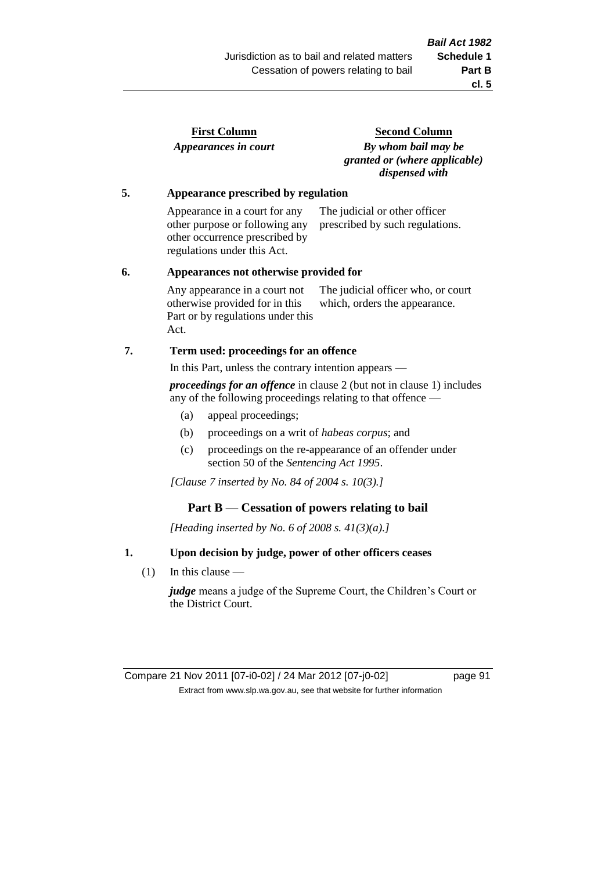| <b>First Column</b>  |  |
|----------------------|--|
| Appearances in court |  |

**Second Column** *By whom bail may be granted or (where applicable) dispensed with*

### **5. Appearance prescribed by regulation**

Appearance in a court for any other purpose or following any other occurrence prescribed by regulations under this Act. The judicial or other officer prescribed by such regulations.

#### **6. Appearances not otherwise provided for**

Any appearance in a court not otherwise provided for in this Part or by regulations under this Act. The judicial officer who, or court which, orders the appearance.

### **7. Term used: proceedings for an offence**

In this Part, unless the contrary intention appears —

*proceedings for an offence* in clause 2 (but not in clause 1) includes any of the following proceedings relating to that offence —

- (a) appeal proceedings;
- (b) proceedings on a writ of *habeas corpus*; and
- (c) proceedings on the re-appearance of an offender under section 50 of the *Sentencing Act 1995*.

*[Clause 7 inserted by No. 84 of 2004 s. 10(3).]*

### **Part B** — **Cessation of powers relating to bail**

*[Heading inserted by No. 6 of 2008 s. 41(3)(a).]*

### **1. Upon decision by judge, power of other officers ceases**

(1) In this clause —

*judge* means a judge of the Supreme Court, the Children's Court or the District Court.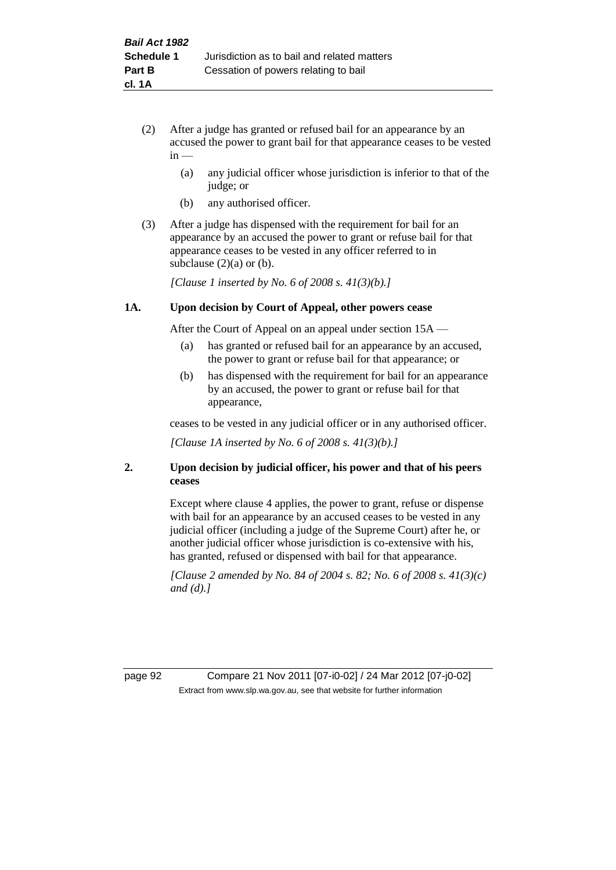- (2) After a judge has granted or refused bail for an appearance by an accused the power to grant bail for that appearance ceases to be vested  $in -$ 
	- (a) any judicial officer whose jurisdiction is inferior to that of the judge; or
	- (b) any authorised officer.
- (3) After a judge has dispensed with the requirement for bail for an appearance by an accused the power to grant or refuse bail for that appearance ceases to be vested in any officer referred to in subclause  $(2)(a)$  or  $(b)$ .

*[Clause 1 inserted by No. 6 of 2008 s. 41(3)(b).]*

#### **1A. Upon decision by Court of Appeal, other powers cease**

After the Court of Appeal on an appeal under section 15A —

- (a) has granted or refused bail for an appearance by an accused, the power to grant or refuse bail for that appearance; or
- (b) has dispensed with the requirement for bail for an appearance by an accused, the power to grant or refuse bail for that appearance,

ceases to be vested in any judicial officer or in any authorised officer.

*[Clause 1A inserted by No. 6 of 2008 s. 41(3)(b).]*

### **2. Upon decision by judicial officer, his power and that of his peers ceases**

Except where clause 4 applies, the power to grant, refuse or dispense with bail for an appearance by an accused ceases to be vested in any judicial officer (including a judge of the Supreme Court) after he, or another judicial officer whose jurisdiction is co-extensive with his, has granted, refused or dispensed with bail for that appearance.

*[Clause 2 amended by No. 84 of 2004 s. 82; No. 6 of 2008 s. 41(3)(c) and (d).]*

page 92 Compare 21 Nov 2011 [07-i0-02] / 24 Mar 2012 [07-j0-02] Extract from www.slp.wa.gov.au, see that website for further information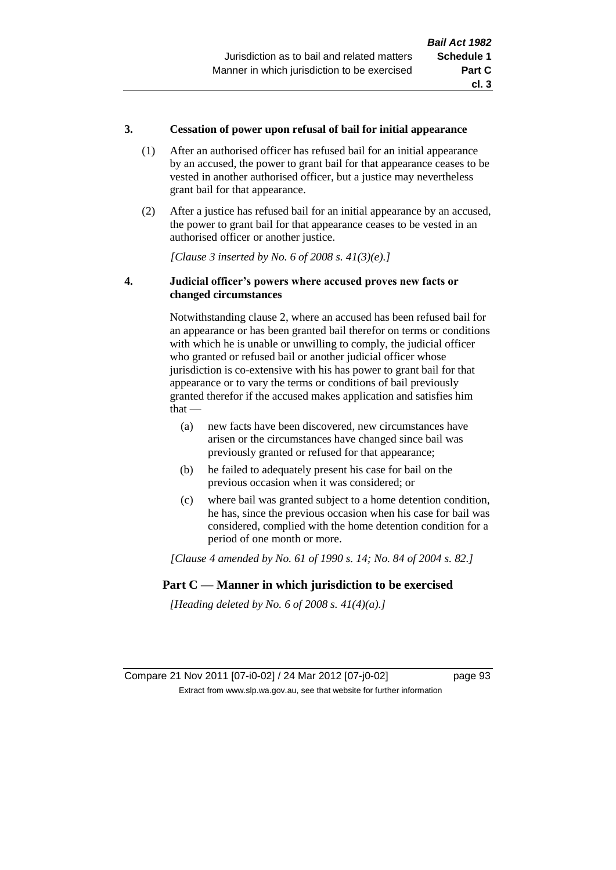### **3. Cessation of power upon refusal of bail for initial appearance**

- (1) After an authorised officer has refused bail for an initial appearance by an accused, the power to grant bail for that appearance ceases to be vested in another authorised officer, but a justice may nevertheless grant bail for that appearance.
- (2) After a justice has refused bail for an initial appearance by an accused, the power to grant bail for that appearance ceases to be vested in an authorised officer or another justice.

*[Clause 3 inserted by No. 6 of 2008 s. 41(3)(e).]*

### **4. Judicial officer's powers where accused proves new facts or changed circumstances**

Notwithstanding clause 2, where an accused has been refused bail for an appearance or has been granted bail therefor on terms or conditions with which he is unable or unwilling to comply, the judicial officer who granted or refused bail or another judicial officer whose jurisdiction is co-extensive with his has power to grant bail for that appearance or to vary the terms or conditions of bail previously granted therefor if the accused makes application and satisfies him  $that -$ 

- (a) new facts have been discovered, new circumstances have arisen or the circumstances have changed since bail was previously granted or refused for that appearance;
- (b) he failed to adequately present his case for bail on the previous occasion when it was considered; or
- (c) where bail was granted subject to a home detention condition, he has, since the previous occasion when his case for bail was considered, complied with the home detention condition for a period of one month or more.

*[Clause 4 amended by No. 61 of 1990 s. 14; No. 84 of 2004 s. 82.]*

# **Part C — Manner in which jurisdiction to be exercised**

*[Heading deleted by No. 6 of 2008 s. 41(4)(a).]*

Compare 21 Nov 2011 [07-i0-02] / 24 Mar 2012 [07-j0-02] page 93 Extract from www.slp.wa.gov.au, see that website for further information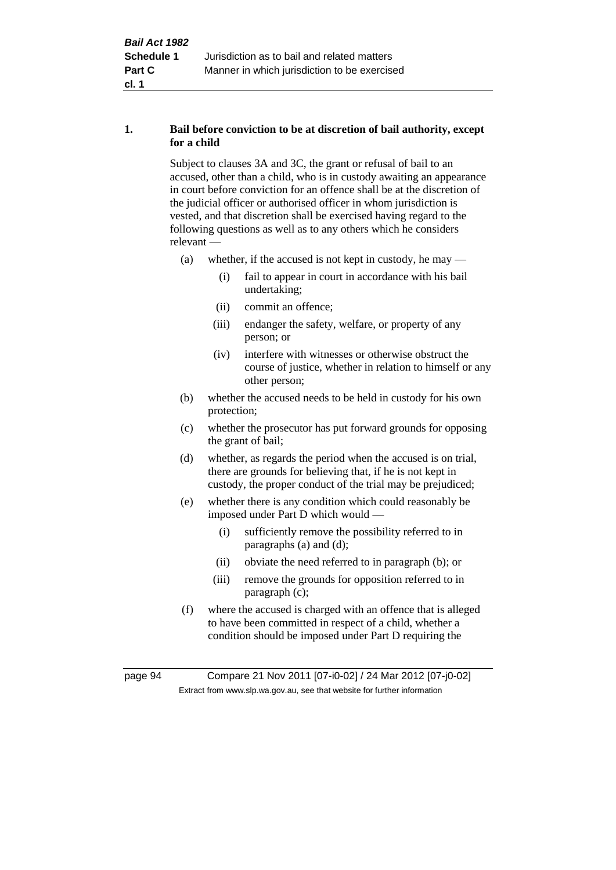# **1. Bail before conviction to be at discretion of bail authority, except for a child**

Subject to clauses 3A and 3C, the grant or refusal of bail to an accused, other than a child, who is in custody awaiting an appearance in court before conviction for an offence shall be at the discretion of the judicial officer or authorised officer in whom jurisdiction is vested, and that discretion shall be exercised having regard to the following questions as well as to any others which he considers relevant —

- (a) whether, if the accused is not kept in custody, he may
	- (i) fail to appear in court in accordance with his bail undertaking;
	- (ii) commit an offence;
	- (iii) endanger the safety, welfare, or property of any person; or
	- (iv) interfere with witnesses or otherwise obstruct the course of justice, whether in relation to himself or any other person;
- (b) whether the accused needs to be held in custody for his own protection;
- (c) whether the prosecutor has put forward grounds for opposing the grant of bail;
- (d) whether, as regards the period when the accused is on trial, there are grounds for believing that, if he is not kept in custody, the proper conduct of the trial may be prejudiced;
- (e) whether there is any condition which could reasonably be imposed under Part D which would —
	- (i) sufficiently remove the possibility referred to in paragraphs (a) and (d);
	- (ii) obviate the need referred to in paragraph (b); or
	- (iii) remove the grounds for opposition referred to in paragraph (c);
- (f) where the accused is charged with an offence that is alleged to have been committed in respect of a child, whether a condition should be imposed under Part D requiring the

page 94 Compare 21 Nov 2011 [07-i0-02] / 24 Mar 2012 [07-j0-02] Extract from www.slp.wa.gov.au, see that website for further information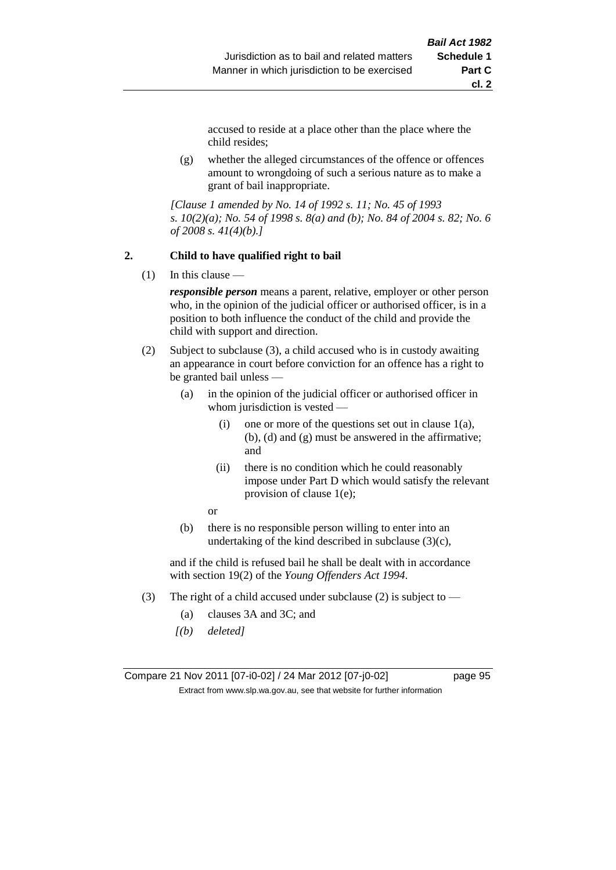accused to reside at a place other than the place where the child resides;

(g) whether the alleged circumstances of the offence or offences amount to wrongdoing of such a serious nature as to make a grant of bail inappropriate.

*[Clause 1 amended by No. 14 of 1992 s. 11; No. 45 of 1993 s. 10(2)(a); No. 54 of 1998 s. 8(a) and (b); No. 84 of 2004 s. 82; No. 6 of 2008 s. 41(4)(b).]*

#### **2. Child to have qualified right to bail**

 $(1)$  In this clause —

*responsible person* means a parent, relative, employer or other person who, in the opinion of the judicial officer or authorised officer, is in a position to both influence the conduct of the child and provide the child with support and direction.

- (2) Subject to subclause (3), a child accused who is in custody awaiting an appearance in court before conviction for an offence has a right to be granted bail unless —
	- (a) in the opinion of the judicial officer or authorised officer in whom jurisdiction is vested —
		- (i) one or more of the questions set out in clause  $1(a)$ , (b), (d) and (g) must be answered in the affirmative; and
		- (ii) there is no condition which he could reasonably impose under Part D which would satisfy the relevant provision of clause 1(e);
		- or
	- (b) there is no responsible person willing to enter into an undertaking of the kind described in subclause  $(3)(c)$ ,

and if the child is refused bail he shall be dealt with in accordance with section 19(2) of the *Young Offenders Act 1994*.

- (3) The right of a child accused under subclause (2) is subject to
	- (a) clauses 3A and 3C; and
	- *[(b) deleted]*

Compare 21 Nov 2011 [07-i0-02] / 24 Mar 2012 [07-j0-02] page 95 Extract from www.slp.wa.gov.au, see that website for further information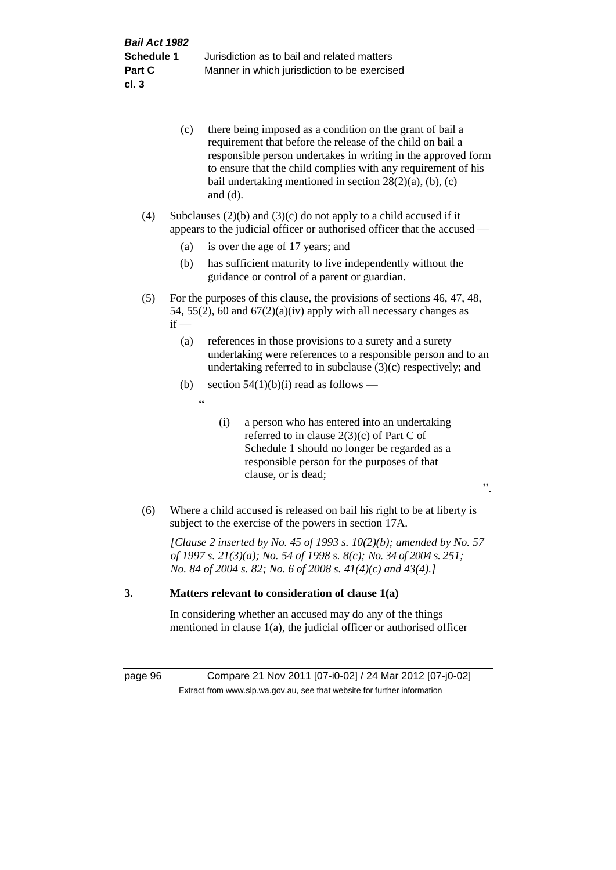|     | (c)    | there being imposed as a condition on the grant of bail a<br>requirement that before the release of the child on bail a<br>responsible person undertakes in writing in the approved form<br>to ensure that the child complies with any requirement of his<br>bail undertaking mentioned in section $28(2)(a)$ , (b), (c)<br>and $(d)$ . |
|-----|--------|-----------------------------------------------------------------------------------------------------------------------------------------------------------------------------------------------------------------------------------------------------------------------------------------------------------------------------------------|
| (4) |        | Subclauses $(2)(b)$ and $(3)(c)$ do not apply to a child accused if it<br>appears to the judicial officer or authorised officer that the accused —                                                                                                                                                                                      |
|     | (a)    | is over the age of 17 years; and                                                                                                                                                                                                                                                                                                        |
|     | (b)    | has sufficient maturity to live independently without the<br>guidance or control of a parent or guardian.                                                                                                                                                                                                                               |
| (5) | $if -$ | For the purposes of this clause, the provisions of sections 46, 47, 48,<br>54, 55(2), 60 and $67(2)(a)(iv)$ apply with all necessary changes as                                                                                                                                                                                         |
|     | (a)    | references in those provisions to a surety and a surety<br>undertaking were references to a responsible person and to an<br>undertaking referred to in subclause $(3)(c)$ respectively; and                                                                                                                                             |
|     | (b)    | section $54(1)(b)(i)$ read as follows —                                                                                                                                                                                                                                                                                                 |
|     |        | $\boldsymbol{\zeta}$ $\boldsymbol{\zeta}$                                                                                                                                                                                                                                                                                               |
|     |        | a person who has entered into an undertaking<br>(i)<br>referred to in clause $2(3)(c)$ of Part C of<br>Schedule 1 should no longer be regarded as a<br>responsible person for the purposes of that<br>clause, or is dead;<br>$\ddot{\phantom{0}}$                                                                                       |
| (6) |        | Where a child accused is released on bail his right to be at liberty is<br>subject to the exercise of the powers in section 17A.                                                                                                                                                                                                        |
|     |        | [Clause 2 inserted by No. 45 of 1993 s. $10(2)(b)$ ; amended by No. 57<br>of 1997 s. 21(3)(a); No. 54 of 1998 s. 8(c); No. 34 of 2004 s. 251;<br>No. 84 of 2004 s. 82; No. 6 of 2008 s. $41(4)(c)$ and $43(4)$ .]                                                                                                                       |
| 3.  |        | Matters relevant to consideration of clause 1(a)                                                                                                                                                                                                                                                                                        |

In considering whether an accused may do any of the things mentioned in clause 1(a), the judicial officer or authorised officer

page 96 Compare 21 Nov 2011 [07-i0-02] / 24 Mar 2012 [07-j0-02] Extract from www.slp.wa.gov.au, see that website for further information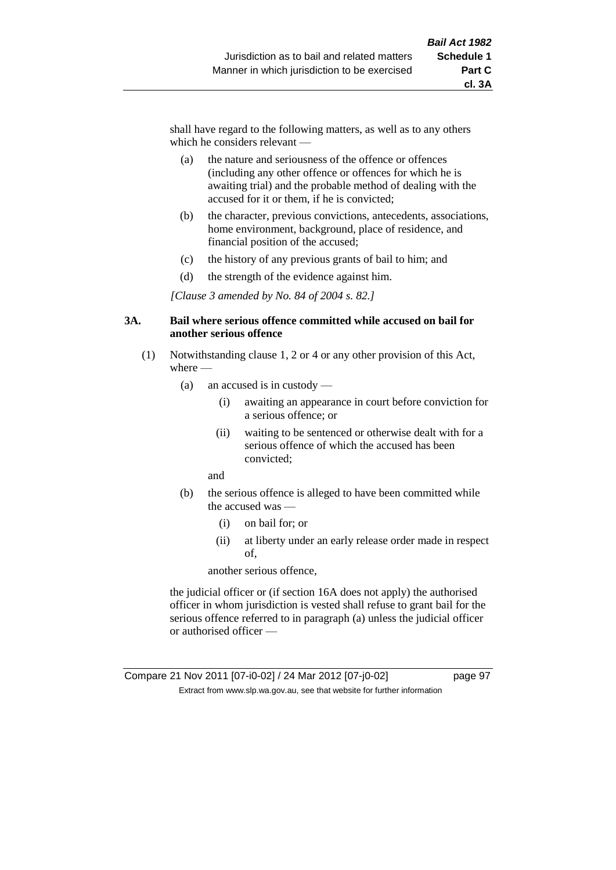shall have regard to the following matters, as well as to any others which he considers relevant —

- (a) the nature and seriousness of the offence or offences (including any other offence or offences for which he is awaiting trial) and the probable method of dealing with the accused for it or them, if he is convicted;
- (b) the character, previous convictions, antecedents, associations, home environment, background, place of residence, and financial position of the accused;
- (c) the history of any previous grants of bail to him; and
- (d) the strength of the evidence against him.

*[Clause 3 amended by No. 84 of 2004 s. 82.]*

### **3A. Bail where serious offence committed while accused on bail for another serious offence**

- (1) Notwithstanding clause 1, 2 or 4 or any other provision of this Act, where —
	- (a) an accused is in custody
		- (i) awaiting an appearance in court before conviction for a serious offence; or
		- (ii) waiting to be sentenced or otherwise dealt with for a serious offence of which the accused has been convicted;

and

- (b) the serious offence is alleged to have been committed while the accused was —
	- (i) on bail for; or
	- (ii) at liberty under an early release order made in respect of,

another serious offence,

the judicial officer or (if section 16A does not apply) the authorised officer in whom jurisdiction is vested shall refuse to grant bail for the serious offence referred to in paragraph (a) unless the judicial officer or authorised officer —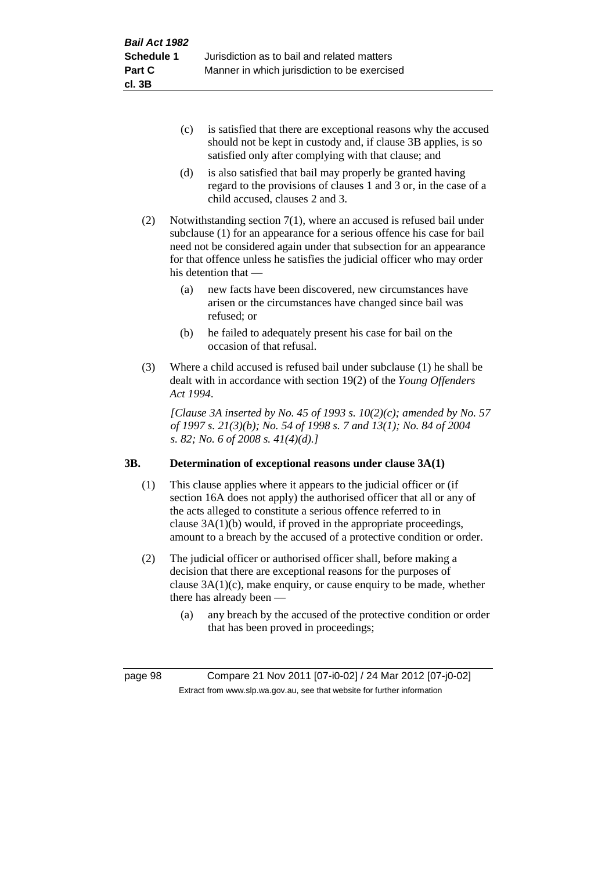- (c) is satisfied that there are exceptional reasons why the accused should not be kept in custody and, if clause 3B applies, is so satisfied only after complying with that clause; and
- (d) is also satisfied that bail may properly be granted having regard to the provisions of clauses 1 and 3 or, in the case of a child accused, clauses 2 and 3.
- (2) Notwithstanding section 7(1), where an accused is refused bail under subclause (1) for an appearance for a serious offence his case for bail need not be considered again under that subsection for an appearance for that offence unless he satisfies the judicial officer who may order his detention that —
	- (a) new facts have been discovered, new circumstances have arisen or the circumstances have changed since bail was refused; or
	- (b) he failed to adequately present his case for bail on the occasion of that refusal.
- (3) Where a child accused is refused bail under subclause (1) he shall be dealt with in accordance with section 19(2) of the *Young Offenders Act 1994*.

*[Clause 3A inserted by No. 45 of 1993 s. 10(2)(c); amended by No. 57 of 1997 s. 21(3)(b); No. 54 of 1998 s. 7 and 13(1); No. 84 of 2004 s. 82; No. 6 of 2008 s. 41(4)(d).]*

# **3B. Determination of exceptional reasons under clause 3A(1)**

- (1) This clause applies where it appears to the judicial officer or (if section 16A does not apply) the authorised officer that all or any of the acts alleged to constitute a serious offence referred to in clause 3A(1)(b) would, if proved in the appropriate proceedings, amount to a breach by the accused of a protective condition or order.
- (2) The judicial officer or authorised officer shall, before making a decision that there are exceptional reasons for the purposes of clause  $3A(1)(c)$ , make enquiry, or cause enquiry to be made, whether there has already been —
	- (a) any breach by the accused of the protective condition or order that has been proved in proceedings;

page 98 Compare 21 Nov 2011 [07-i0-02] / 24 Mar 2012 [07-j0-02] Extract from www.slp.wa.gov.au, see that website for further information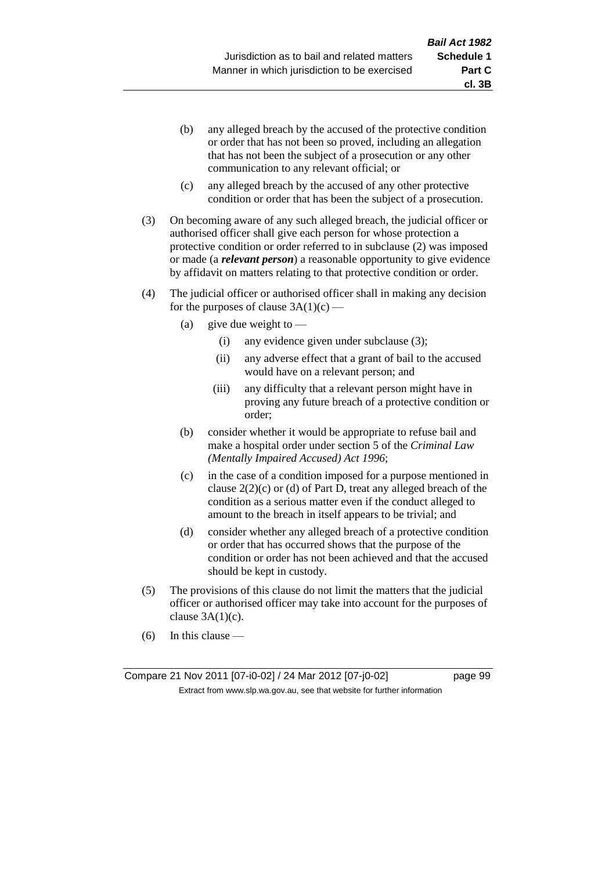- (b) any alleged breach by the accused of the protective condition or order that has not been so proved, including an allegation that has not been the subject of a prosecution or any other communication to any relevant official; or
- (c) any alleged breach by the accused of any other protective condition or order that has been the subject of a prosecution.
- (3) On becoming aware of any such alleged breach, the judicial officer or authorised officer shall give each person for whose protection a protective condition or order referred to in subclause (2) was imposed or made (a *relevant person*) a reasonable opportunity to give evidence by affidavit on matters relating to that protective condition or order.
- (4) The judicial officer or authorised officer shall in making any decision for the purposes of clause  $3A(1)(c)$  —
	- (a) give due weight to  $-$ 
		- (i) any evidence given under subclause (3);
		- (ii) any adverse effect that a grant of bail to the accused would have on a relevant person; and
		- (iii) any difficulty that a relevant person might have in proving any future breach of a protective condition or order;
	- (b) consider whether it would be appropriate to refuse bail and make a hospital order under section 5 of the *Criminal Law (Mentally Impaired Accused) Act 1996*;
	- (c) in the case of a condition imposed for a purpose mentioned in clause  $2(2)(c)$  or (d) of Part D, treat any alleged breach of the condition as a serious matter even if the conduct alleged to amount to the breach in itself appears to be trivial; and
	- (d) consider whether any alleged breach of a protective condition or order that has occurred shows that the purpose of the condition or order has not been achieved and that the accused should be kept in custody.
- (5) The provisions of this clause do not limit the matters that the judicial officer or authorised officer may take into account for the purposes of clause  $3A(1)(c)$ .
- (6) In this clause —

Compare 21 Nov 2011 [07-i0-02] / 24 Mar 2012 [07-j0-02] page 99 Extract from www.slp.wa.gov.au, see that website for further information

**cl. 3B**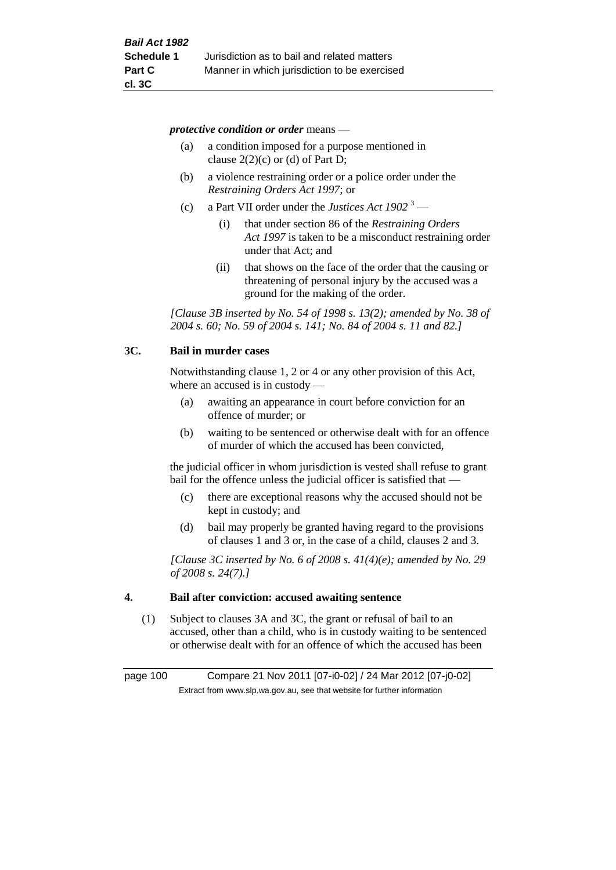*protective condition or order* means —

- (a) a condition imposed for a purpose mentioned in clause  $2(2)(c)$  or (d) of Part D;
- (b) a violence restraining order or a police order under the *Restraining Orders Act 1997*; or
- (c) a Part VII order under the *Justices Act 1902* <sup>3</sup>
	- (i) that under section 86 of the *Restraining Orders Act 1997* is taken to be a misconduct restraining order under that Act; and
	- (ii) that shows on the face of the order that the causing or threatening of personal injury by the accused was a ground for the making of the order.

*[Clause 3B inserted by No. 54 of 1998 s. 13(2); amended by No. 38 of 2004 s. 60; No. 59 of 2004 s. 141; No. 84 of 2004 s. 11 and 82.]*

### **3C. Bail in murder cases**

Notwithstanding clause 1, 2 or 4 or any other provision of this Act, where an accused is in custody —

- (a) awaiting an appearance in court before conviction for an offence of murder; or
- (b) waiting to be sentenced or otherwise dealt with for an offence of murder of which the accused has been convicted,

the judicial officer in whom jurisdiction is vested shall refuse to grant bail for the offence unless the judicial officer is satisfied that —

- (c) there are exceptional reasons why the accused should not be kept in custody; and
- (d) bail may properly be granted having regard to the provisions of clauses 1 and 3 or, in the case of a child, clauses 2 and 3.

*[Clause 3C inserted by No. 6 of 2008 s. 41(4)(e); amended by No. 29 of 2008 s. 24(7).]*

### **4. Bail after conviction: accused awaiting sentence**

(1) Subject to clauses 3A and 3C, the grant or refusal of bail to an accused, other than a child, who is in custody waiting to be sentenced or otherwise dealt with for an offence of which the accused has been

page 100 Compare 21 Nov 2011 [07-i0-02] / 24 Mar 2012 [07-j0-02] Extract from www.slp.wa.gov.au, see that website for further information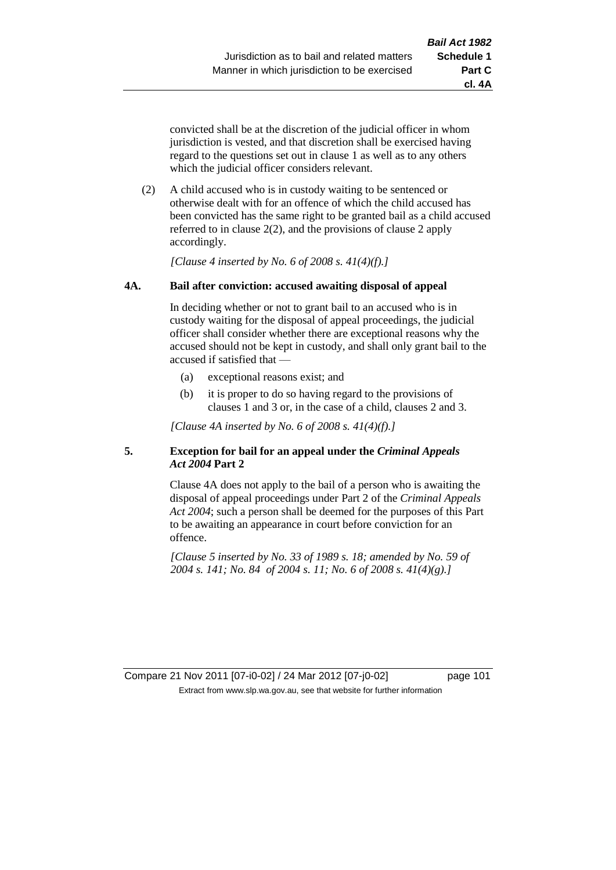**cl. 4A**

convicted shall be at the discretion of the judicial officer in whom jurisdiction is vested, and that discretion shall be exercised having regard to the questions set out in clause 1 as well as to any others which the judicial officer considers relevant.

(2) A child accused who is in custody waiting to be sentenced or otherwise dealt with for an offence of which the child accused has been convicted has the same right to be granted bail as a child accused referred to in clause 2(2), and the provisions of clause 2 apply accordingly.

*[Clause 4 inserted by No. 6 of 2008 s. 41(4)(f).]*

# **4A. Bail after conviction: accused awaiting disposal of appeal**

In deciding whether or not to grant bail to an accused who is in custody waiting for the disposal of appeal proceedings, the judicial officer shall consider whether there are exceptional reasons why the accused should not be kept in custody, and shall only grant bail to the accused if satisfied that —

- (a) exceptional reasons exist; and
- (b) it is proper to do so having regard to the provisions of clauses 1 and 3 or, in the case of a child, clauses 2 and 3.

*[Clause 4A inserted by No. 6 of 2008 s. 41(4)(f).]*

# **5. Exception for bail for an appeal under the** *Criminal Appeals Act 2004* **Part 2**

Clause 4A does not apply to the bail of a person who is awaiting the disposal of appeal proceedings under Part 2 of the *Criminal Appeals Act 2004*; such a person shall be deemed for the purposes of this Part to be awaiting an appearance in court before conviction for an offence.

*[Clause 5 inserted by No. 33 of 1989 s. 18; amended by No. 59 of 2004 s. 141; No. 84 of 2004 s. 11; No. 6 of 2008 s. 41(4)(g).]*

Compare 21 Nov 2011 [07-i0-02] / 24 Mar 2012 [07-j0-02] page 101 Extract from www.slp.wa.gov.au, see that website for further information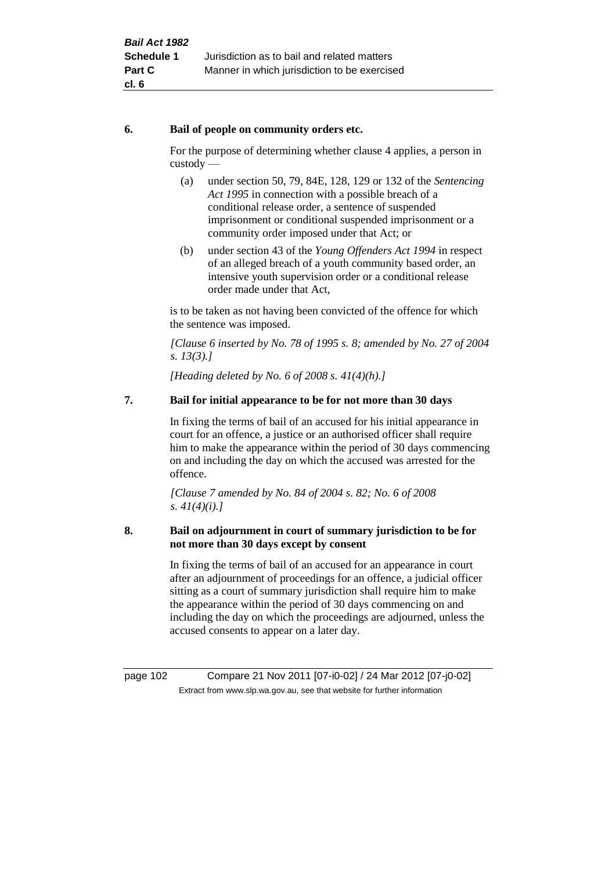# **6. Bail of people on community orders etc.**

For the purpose of determining whether clause 4 applies, a person in custody —

- (a) under section 50, 79, 84E, 128, 129 or 132 of the *Sentencing Act 1995* in connection with a possible breach of a conditional release order, a sentence of suspended imprisonment or conditional suspended imprisonment or a community order imposed under that Act; or
- (b) under section 43 of the *Young Offenders Act 1994* in respect of an alleged breach of a youth community based order, an intensive youth supervision order or a conditional release order made under that Act,

is to be taken as not having been convicted of the offence for which the sentence was imposed.

*[Clause 6 inserted by No. 78 of 1995 s. 8; amended by No. 27 of 2004 s. 13(3).]*

*[Heading deleted by No. 6 of 2008 s. 41(4)(h).]*

# **7. Bail for initial appearance to be for not more than 30 days**

In fixing the terms of bail of an accused for his initial appearance in court for an offence, a justice or an authorised officer shall require him to make the appearance within the period of 30 days commencing on and including the day on which the accused was arrested for the offence.

*[Clause 7 amended by No. 84 of 2004 s. 82; No. 6 of 2008 s. 41(4)(i).]*

# **8. Bail on adjournment in court of summary jurisdiction to be for not more than 30 days except by consent**

In fixing the terms of bail of an accused for an appearance in court after an adjournment of proceedings for an offence, a judicial officer sitting as a court of summary jurisdiction shall require him to make the appearance within the period of 30 days commencing on and including the day on which the proceedings are adjourned, unless the accused consents to appear on a later day.

page 102 Compare 21 Nov 2011 [07-i0-02] / 24 Mar 2012 [07-j0-02] Extract from www.slp.wa.gov.au, see that website for further information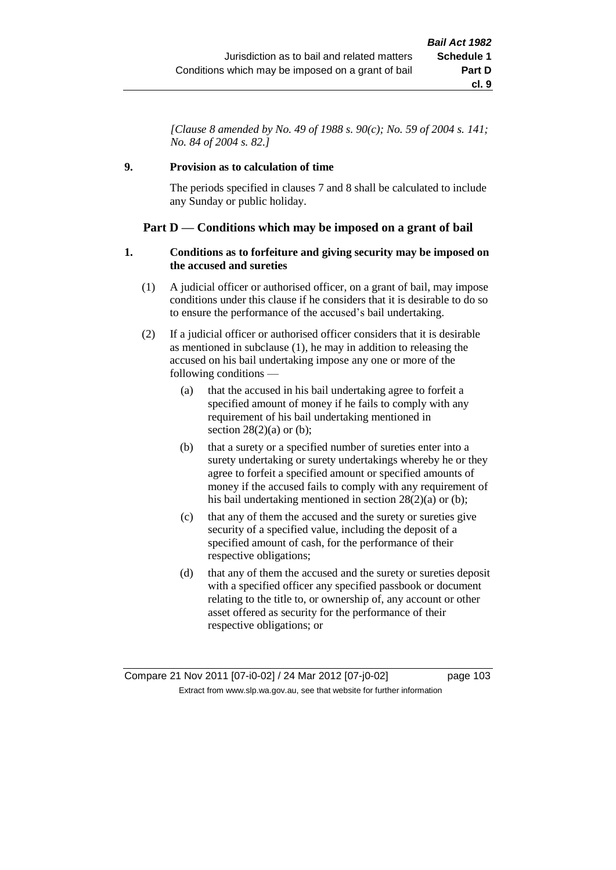*[Clause 8 amended by No. 49 of 1988 s. 90(c); No. 59 of 2004 s. 141; No. 84 of 2004 s. 82.]*

# **9. Provision as to calculation of time**

The periods specified in clauses 7 and 8 shall be calculated to include any Sunday or public holiday.

# **Part D — Conditions which may be imposed on a grant of bail**

### **1. Conditions as to forfeiture and giving security may be imposed on the accused and sureties**

- (1) A judicial officer or authorised officer, on a grant of bail, may impose conditions under this clause if he considers that it is desirable to do so to ensure the performance of the accused's bail undertaking.
- (2) If a judicial officer or authorised officer considers that it is desirable as mentioned in subclause (1), he may in addition to releasing the accused on his bail undertaking impose any one or more of the following conditions —
	- (a) that the accused in his bail undertaking agree to forfeit a specified amount of money if he fails to comply with any requirement of his bail undertaking mentioned in section  $28(2)(a)$  or (b);
	- (b) that a surety or a specified number of sureties enter into a surety undertaking or surety undertakings whereby he or they agree to forfeit a specified amount or specified amounts of money if the accused fails to comply with any requirement of his bail undertaking mentioned in section 28(2)(a) or (b);
	- (c) that any of them the accused and the surety or sureties give security of a specified value, including the deposit of a specified amount of cash, for the performance of their respective obligations;
	- (d) that any of them the accused and the surety or sureties deposit with a specified officer any specified passbook or document relating to the title to, or ownership of, any account or other asset offered as security for the performance of their respective obligations; or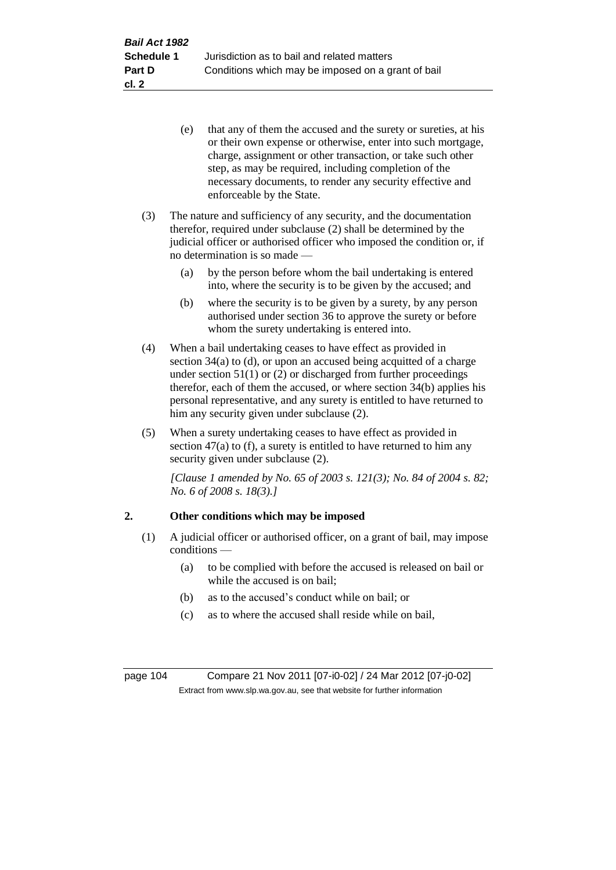- (e) that any of them the accused and the surety or sureties, at his or their own expense or otherwise, enter into such mortgage, charge, assignment or other transaction, or take such other step, as may be required, including completion of the necessary documents, to render any security effective and enforceable by the State.
- (3) The nature and sufficiency of any security, and the documentation therefor, required under subclause (2) shall be determined by the judicial officer or authorised officer who imposed the condition or, if no determination is so made —
	- (a) by the person before whom the bail undertaking is entered into, where the security is to be given by the accused; and
	- (b) where the security is to be given by a surety, by any person authorised under section 36 to approve the surety or before whom the surety undertaking is entered into.
- (4) When a bail undertaking ceases to have effect as provided in section 34(a) to (d), or upon an accused being acquitted of a charge under section  $51(1)$  or (2) or discharged from further proceedings therefor, each of them the accused, or where section 34(b) applies his personal representative, and any surety is entitled to have returned to him any security given under subclause (2).
- (5) When a surety undertaking ceases to have effect as provided in section  $47(a)$  to (f), a surety is entitled to have returned to him any security given under subclause (2).

*[Clause 1 amended by No. 65 of 2003 s. 121(3); No. 84 of 2004 s. 82; No. 6 of 2008 s. 18(3).]*

# **2. Other conditions which may be imposed**

- (1) A judicial officer or authorised officer, on a grant of bail, may impose conditions —
	- (a) to be complied with before the accused is released on bail or while the accused is on bail;
	- (b) as to the accused's conduct while on bail; or
	- (c) as to where the accused shall reside while on bail,

page 104 Compare 21 Nov 2011 [07-i0-02] / 24 Mar 2012 [07-j0-02] Extract from www.slp.wa.gov.au, see that website for further information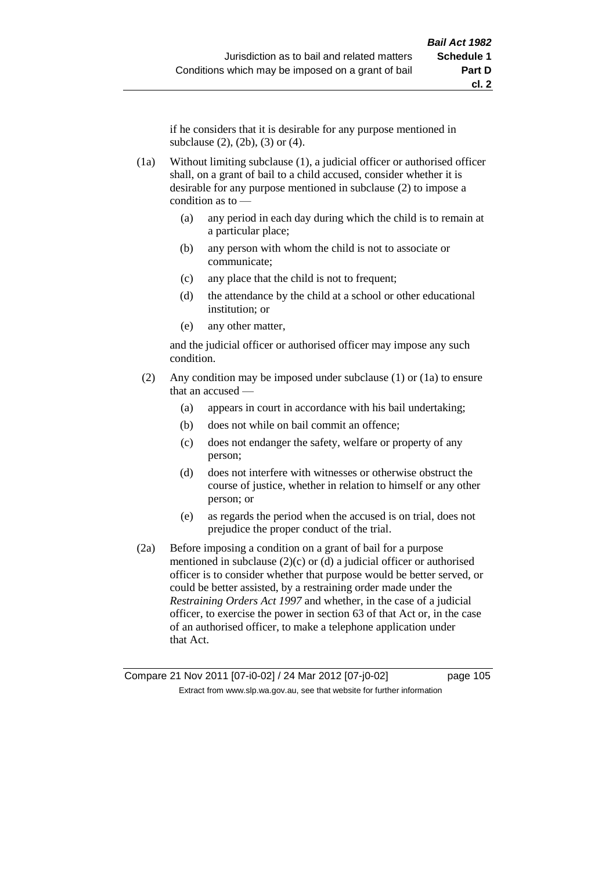if he considers that it is desirable for any purpose mentioned in subclause (2), (2b), (3) or (4).

- (1a) Without limiting subclause (1), a judicial officer or authorised officer shall, on a grant of bail to a child accused, consider whether it is desirable for any purpose mentioned in subclause (2) to impose a condition as to —
	- (a) any period in each day during which the child is to remain at a particular place;
	- (b) any person with whom the child is not to associate or communicate;
	- (c) any place that the child is not to frequent;
	- (d) the attendance by the child at a school or other educational institution; or
	- (e) any other matter,

and the judicial officer or authorised officer may impose any such condition.

- (2) Any condition may be imposed under subclause (1) or (1a) to ensure that an accused —
	- (a) appears in court in accordance with his bail undertaking;
	- (b) does not while on bail commit an offence;
	- (c) does not endanger the safety, welfare or property of any person;
	- (d) does not interfere with witnesses or otherwise obstruct the course of justice, whether in relation to himself or any other person; or
	- (e) as regards the period when the accused is on trial, does not prejudice the proper conduct of the trial.
- (2a) Before imposing a condition on a grant of bail for a purpose mentioned in subclause  $(2)(c)$  or  $(d)$  a judicial officer or authorised officer is to consider whether that purpose would be better served, or could be better assisted, by a restraining order made under the *Restraining Orders Act 1997* and whether, in the case of a judicial officer, to exercise the power in section 63 of that Act or, in the case of an authorised officer, to make a telephone application under that Act.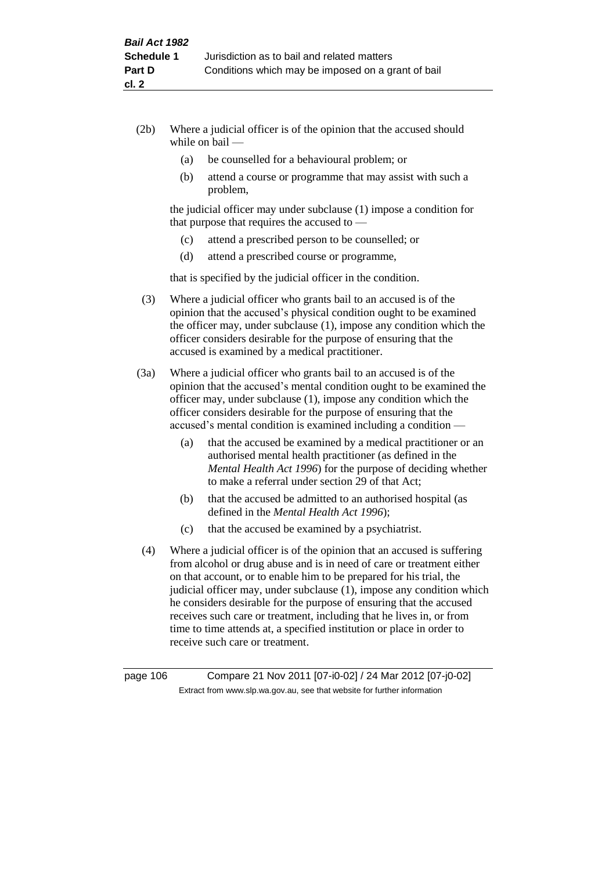- (2b) Where a judicial officer is of the opinion that the accused should while on bail —
	- (a) be counselled for a behavioural problem; or
	- (b) attend a course or programme that may assist with such a problem,

the judicial officer may under subclause (1) impose a condition for that purpose that requires the accused to —

- (c) attend a prescribed person to be counselled; or
- (d) attend a prescribed course or programme,

that is specified by the judicial officer in the condition.

- (3) Where a judicial officer who grants bail to an accused is of the opinion that the accused's physical condition ought to be examined the officer may, under subclause (1), impose any condition which the officer considers desirable for the purpose of ensuring that the accused is examined by a medical practitioner.
- (3a) Where a judicial officer who grants bail to an accused is of the opinion that the accused's mental condition ought to be examined the officer may, under subclause (1), impose any condition which the officer considers desirable for the purpose of ensuring that the accused's mental condition is examined including a condition —
	- (a) that the accused be examined by a medical practitioner or an authorised mental health practitioner (as defined in the *Mental Health Act 1996*) for the purpose of deciding whether to make a referral under section 29 of that Act;
	- (b) that the accused be admitted to an authorised hospital (as defined in the *Mental Health Act 1996*);
	- (c) that the accused be examined by a psychiatrist.
- (4) Where a judicial officer is of the opinion that an accused is suffering from alcohol or drug abuse and is in need of care or treatment either on that account, or to enable him to be prepared for his trial, the judicial officer may, under subclause (1), impose any condition which he considers desirable for the purpose of ensuring that the accused receives such care or treatment, including that he lives in, or from time to time attends at, a specified institution or place in order to receive such care or treatment.

page 106 Compare 21 Nov 2011 [07-i0-02] / 24 Mar 2012 [07-j0-02] Extract from www.slp.wa.gov.au, see that website for further information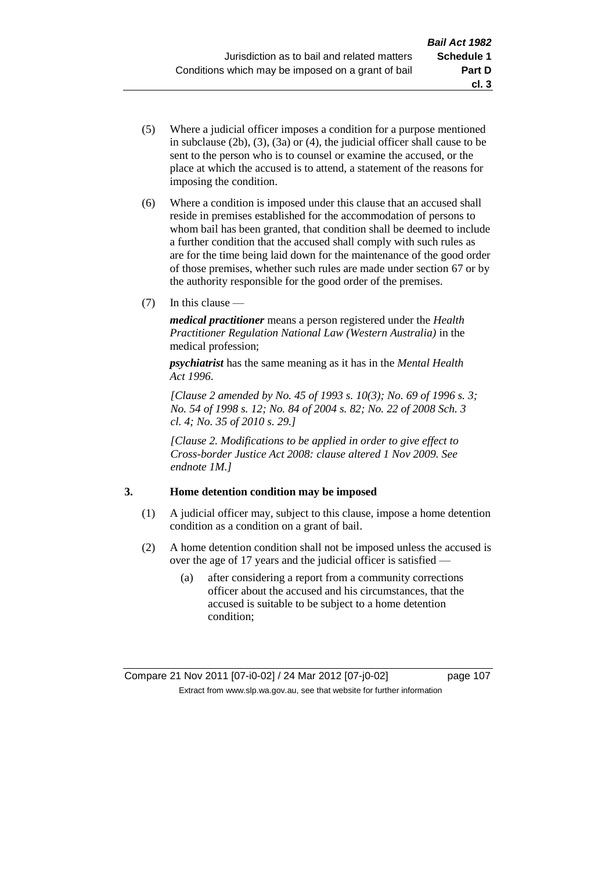- (5) Where a judicial officer imposes a condition for a purpose mentioned in subclause (2b), (3), (3a) or (4), the judicial officer shall cause to be sent to the person who is to counsel or examine the accused, or the place at which the accused is to attend, a statement of the reasons for imposing the condition.
- (6) Where a condition is imposed under this clause that an accused shall reside in premises established for the accommodation of persons to whom bail has been granted, that condition shall be deemed to include a further condition that the accused shall comply with such rules as are for the time being laid down for the maintenance of the good order of those premises, whether such rules are made under section 67 or by the authority responsible for the good order of the premises.
- (7) In this clause —

*medical practitioner* means a person registered under the *Health Practitioner Regulation National Law (Western Australia)* in the medical profession;

*psychiatrist* has the same meaning as it has in the *Mental Health Act 1996*.

*[Clause 2 amended by No. 45 of 1993 s. 10(3); No. 69 of 1996 s. 3; No. 54 of 1998 s. 12; No. 84 of 2004 s. 82; No. 22 of 2008 Sch. 3 cl. 4; No. 35 of 2010 s. 29.]*

*[Clause 2. Modifications to be applied in order to give effect to Cross-border Justice Act 2008: clause altered 1 Nov 2009. See endnote 1M.]*

# **3. Home detention condition may be imposed**

- (1) A judicial officer may, subject to this clause, impose a home detention condition as a condition on a grant of bail.
- (2) A home detention condition shall not be imposed unless the accused is over the age of 17 years and the judicial officer is satisfied —
	- (a) after considering a report from a community corrections officer about the accused and his circumstances, that the accused is suitable to be subject to a home detention condition;

**cl. 3**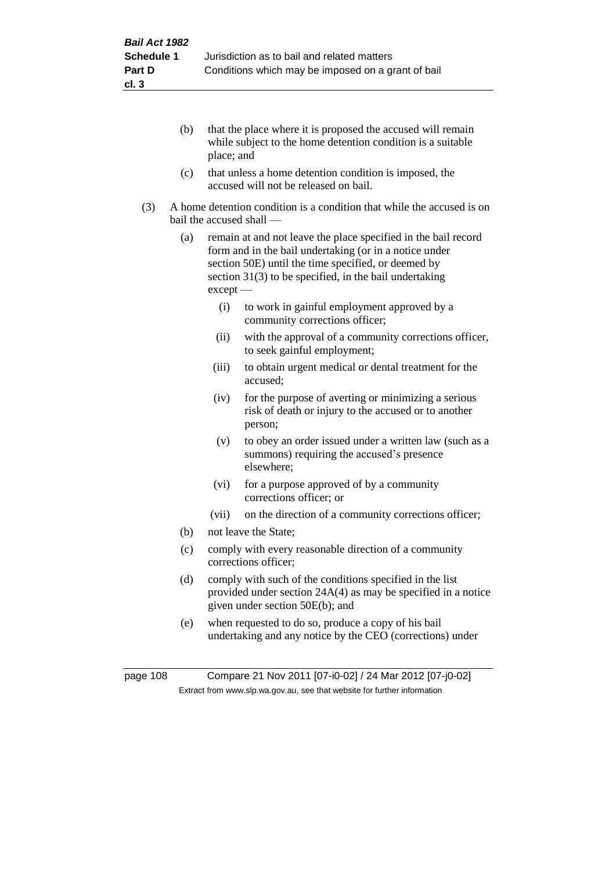- (b) that the place where it is proposed the accused will remain while subject to the home detention condition is a suitable place; and
- (c) that unless a home detention condition is imposed, the accused will not be released on bail.
- (3) A home detention condition is a condition that while the accused is on bail the accused shall —
	- (a) remain at and not leave the place specified in the bail record form and in the bail undertaking (or in a notice under section 50E) until the time specified, or deemed by section 31(3) to be specified, in the bail undertaking except —
		- (i) to work in gainful employment approved by a community corrections officer;
		- (ii) with the approval of a community corrections officer, to seek gainful employment;
		- (iii) to obtain urgent medical or dental treatment for the accused;
		- (iv) for the purpose of averting or minimizing a serious risk of death or injury to the accused or to another person;
		- (v) to obey an order issued under a written law (such as a summons) requiring the accused's presence elsewhere;
		- (vi) for a purpose approved of by a community corrections officer; or
		- (vii) on the direction of a community corrections officer;
	- (b) not leave the State;
	- (c) comply with every reasonable direction of a community corrections officer;
	- (d) comply with such of the conditions specified in the list provided under section 24A(4) as may be specified in a notice given under section 50E(b); and
	- (e) when requested to do so, produce a copy of his bail undertaking and any notice by the CEO (corrections) under

page 108 Compare 21 Nov 2011 [07-i0-02] / 24 Mar 2012 [07-j0-02] Extract from www.slp.wa.gov.au, see that website for further information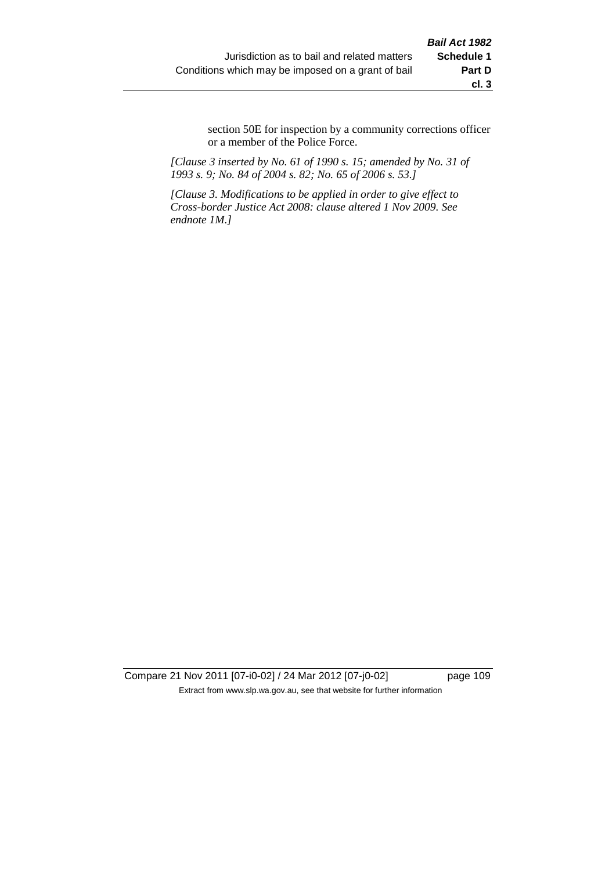section 50E for inspection by a community corrections officer or a member of the Police Force.

*[Clause 3 inserted by No. 61 of 1990 s. 15; amended by No. 31 of 1993 s. 9; No. 84 of 2004 s. 82; No. 65 of 2006 s. 53.]*

*[Clause 3. Modifications to be applied in order to give effect to Cross-border Justice Act 2008: clause altered 1 Nov 2009. See endnote 1M.]*

Compare 21 Nov 2011 [07-i0-02] / 24 Mar 2012 [07-j0-02] page 109 Extract from www.slp.wa.gov.au, see that website for further information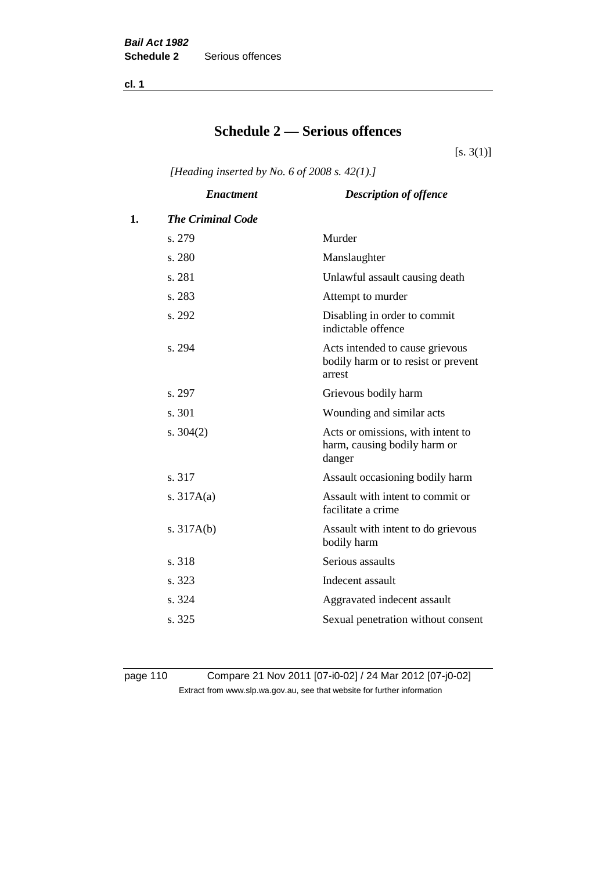**cl. 1**

# **Schedule 2 — Serious offences**

 $[s. 3(1)]$ 

*[Heading inserted by No. 6 of 2008 s. 42(1).]*

|    | <b>Enactment</b>         | <b>Description of offence</b>                                                    |
|----|--------------------------|----------------------------------------------------------------------------------|
| 1. | <b>The Criminal Code</b> |                                                                                  |
|    | s. 279                   | Murder                                                                           |
|    | s. 280                   | Manslaughter                                                                     |
|    | s. 281                   | Unlawful assault causing death                                                   |
|    | s. 283                   | Attempt to murder                                                                |
|    | s. 292                   | Disabling in order to commit<br>indictable offence                               |
|    | s. 294                   | Acts intended to cause grievous<br>bodily harm or to resist or prevent<br>arrest |
|    | s. 297                   | Grievous bodily harm                                                             |
|    | s. 301                   | Wounding and similar acts                                                        |
|    | s. $304(2)$              | Acts or omissions, with intent to<br>harm, causing bodily harm or<br>danger      |
|    | s. 317                   | Assault occasioning bodily harm                                                  |
|    | s. $317A(a)$             | Assault with intent to commit or<br>facilitate a crime                           |
|    | s. $317A(b)$             | Assault with intent to do grievous<br>bodily harm                                |
|    | s. 318                   | Serious assaults                                                                 |
|    | s. 323                   | Indecent assault                                                                 |
|    | s. 324                   | Aggravated indecent assault                                                      |
|    | s. 325                   | Sexual penetration without consent                                               |
|    |                          |                                                                                  |

page 110 Compare 21 Nov 2011 [07-i0-02] / 24 Mar 2012 [07-j0-02] Extract from www.slp.wa.gov.au, see that website for further information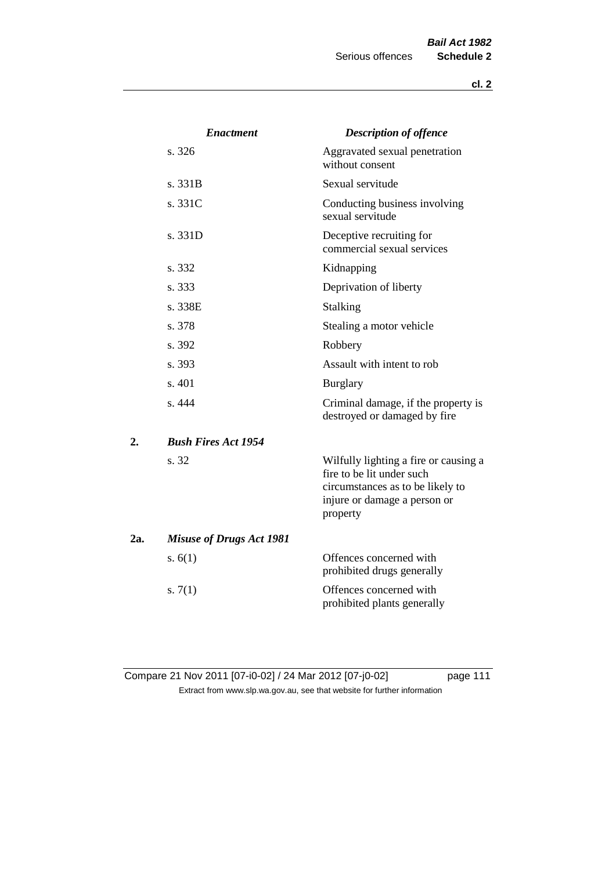|     | <b>Enactment</b>                | <b>Description of offence</b>                                                                                                                      |
|-----|---------------------------------|----------------------------------------------------------------------------------------------------------------------------------------------------|
|     | s. 326                          | Aggravated sexual penetration<br>without consent                                                                                                   |
|     | s.331B                          | Sexual servitude                                                                                                                                   |
|     | s. 331C                         | Conducting business involving<br>sexual servitude                                                                                                  |
|     | s. 331D                         | Deceptive recruiting for<br>commercial sexual services                                                                                             |
|     | s. 332                          | Kidnapping                                                                                                                                         |
|     | s. 333                          | Deprivation of liberty                                                                                                                             |
|     | s. 338E                         | <b>Stalking</b>                                                                                                                                    |
|     | s. 378                          | Stealing a motor vehicle                                                                                                                           |
|     | s. 392                          | Robbery                                                                                                                                            |
|     | s. 393                          | Assault with intent to rob                                                                                                                         |
|     | s. 401                          | <b>Burglary</b>                                                                                                                                    |
|     | s. 444                          | Criminal damage, if the property is<br>destroyed or damaged by fire                                                                                |
| 2.  | <b>Bush Fires Act 1954</b>      |                                                                                                                                                    |
|     | s. 32                           | Wilfully lighting a fire or causing a<br>fire to be lit under such<br>circumstances as to be likely to<br>injure or damage a person or<br>property |
| 2a. | <b>Misuse of Drugs Act 1981</b> |                                                                                                                                                    |
|     | s. $6(1)$                       | Offences concerned with<br>prohibited drugs generally                                                                                              |
|     | s. $7(1)$                       | Offences concerned with<br>prohibited plants generally                                                                                             |

Compare 21 Nov 2011 [07-i0-02] / 24 Mar 2012 [07-j0-02] page 111 Extract from www.slp.wa.gov.au, see that website for further information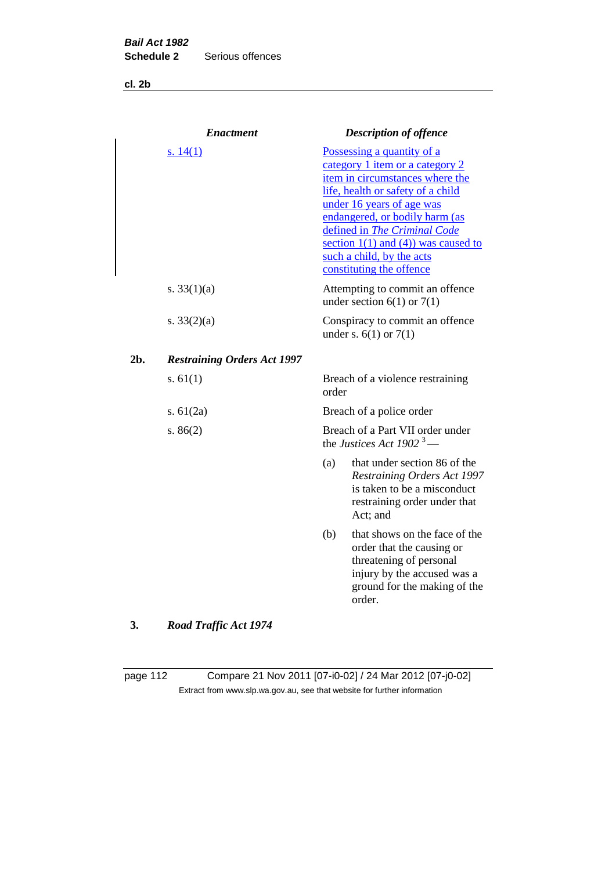**cl. 2b**

|     | <b>Enactment</b>                   |       | <b>Description of offence</b>                                                                                                                                                                                                                                                                                                             |
|-----|------------------------------------|-------|-------------------------------------------------------------------------------------------------------------------------------------------------------------------------------------------------------------------------------------------------------------------------------------------------------------------------------------------|
|     | s. $14(1)$                         |       | Possessing a quantity of a<br>category 1 item or a category 2<br>item in circumstances where the<br>life, health or safety of a child<br>under 16 years of age was<br>endangered, or bodily harm (as<br>defined in The Criminal Code<br>section $1(1)$ and $(4)$ ) was caused to<br>such a child, by the acts<br>constituting the offence |
|     | s. $33(1)(a)$                      |       | Attempting to commit an offence<br>under section $6(1)$ or $7(1)$                                                                                                                                                                                                                                                                         |
|     | s. $33(2)(a)$                      |       | Conspiracy to commit an offence<br>under s. $6(1)$ or $7(1)$                                                                                                                                                                                                                                                                              |
| 2b. | <b>Restraining Orders Act 1997</b> |       |                                                                                                                                                                                                                                                                                                                                           |
|     | s. $61(1)$                         | order | Breach of a violence restraining                                                                                                                                                                                                                                                                                                          |
|     | s. $61(2a)$                        |       | Breach of a police order                                                                                                                                                                                                                                                                                                                  |
|     | s. $86(2)$                         |       | Breach of a Part VII order under<br>the Justices Act 1902 <sup>3</sup> —                                                                                                                                                                                                                                                                  |
|     |                                    | (a)   | that under section 86 of the<br>Restraining Orders Act 1997<br>is taken to be a misconduct<br>restraining order under that<br>Act; and                                                                                                                                                                                                    |
|     |                                    | (b)   | that shows on the face of the<br>order that the causing or<br>threatening of personal<br>injury by the accused was a<br>ground for the making of the<br>order.                                                                                                                                                                            |
|     | $\mathbf{r}$<br>$\overline{a}$     |       |                                                                                                                                                                                                                                                                                                                                           |

# **3.** *Road Traffic Act 1974*

page 112 Compare 21 Nov 2011 [07-i0-02] / 24 Mar 2012 [07-j0-02] Extract from www.slp.wa.gov.au, see that website for further information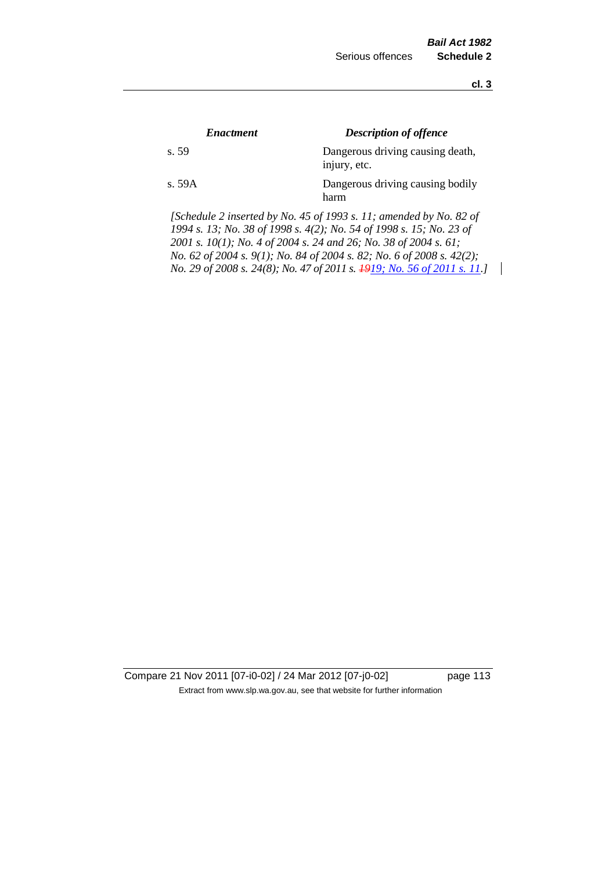**cl. 3**

| <i><b>Enactment</b></i> | <b>Description of offence</b>                    |
|-------------------------|--------------------------------------------------|
| s. 59                   | Dangerous driving causing death,<br>injury, etc. |
| s.59A                   | Dangerous driving causing bodily<br>harm         |

*[Schedule 2 inserted by No. 45 of 1993 s. 11; amended by No. 82 of 1994 s. 13; No. 38 of 1998 s. 4(2); No. 54 of 1998 s. 15; No. 23 of 2001 s. 10(1); No. 4 of 2004 s. 24 and 26; No. 38 of 2004 s. 61; No. 62 of 2004 s. 9(1); No. 84 of 2004 s. 82; No. 6 of 2008 s. 42(2); No. 29 of 2008 s. 24(8); No. 47 of 2011 s. 1919; No. 56 of 2011 s. 11.]* 

Compare 21 Nov 2011 [07-i0-02] / 24 Mar 2012 [07-j0-02] page 113 Extract from www.slp.wa.gov.au, see that website for further information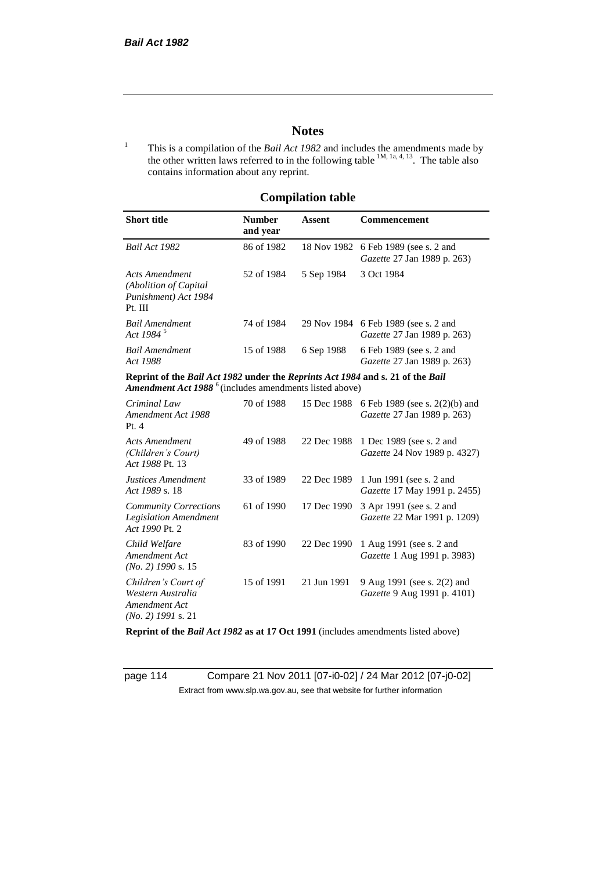# **Notes**

<sup>1</sup> This is a compilation of the *Bail Act 1982* and includes the amendments made by the other written laws referred to in the following table  $1M$ ,  $1a$ ,  $4$ ,  $13$ . The table also contains information about any reprint.

# **Compilation table**

| <b>Short title</b>                                                                                                                                          | <b>Number</b><br>and year | Assent     | <b>Commencement</b>                                                              |
|-------------------------------------------------------------------------------------------------------------------------------------------------------------|---------------------------|------------|----------------------------------------------------------------------------------|
| Bail Act 1982                                                                                                                                               | 86 of 1982                |            | 18 Nov 1982 6 Feb 1989 (see s. 2 and<br><i>Gazette</i> 27 Jan 1989 p. 263)       |
| Acts Amendment<br>(Abolition of Capital)<br>Punishment) Act 1984<br>Pt. III                                                                                 | 52 of 1984                | 5 Sep 1984 | 3 Oct 1984                                                                       |
| Bail Amendment<br>Act 1984 <sup>5</sup>                                                                                                                     | 74 of 1984                |            | 29 Nov 1984 6 Feb 1989 (see s. 2 and<br><i>Gazette</i> 27 Jan 1989 p. 263)       |
| <b>Bail Amendment</b><br>Act 1988                                                                                                                           | 15 of 1988                | 6 Sep 1988 | 6 Feb 1989 (see s. 2 and<br><i>Gazette</i> 27 Jan 1989 p. 263)                   |
| Reprint of the Bail Act 1982 under the Reprints Act 1984 and s. 21 of the Bail<br><b>Amendment Act 1988</b> <sup>6</sup> (includes amendments listed above) |                           |            |                                                                                  |
| Criminal Law<br>Amendment Act 1988                                                                                                                          | 70 of 1988                |            | 15 Dec 1988 6 Feb 1989 (see s. 2(2)(b) and<br><i>Gazette</i> 27 Jan 1989 p. 263) |

| Amendment Act 1988<br>Pt.4                                                        |            |             | Gazette 27 Jan 1989 p. 263)                                       |
|-----------------------------------------------------------------------------------|------------|-------------|-------------------------------------------------------------------|
| Acts Amendment<br>(Children's Court)<br>Act 1988 Pt. 13                           | 49 of 1988 | 22 Dec 1988 | 1 Dec 1989 (see s. 2 and<br><i>Gazette</i> 24 Nov 1989 p. 4327)   |
| Justices Amendment<br>Act 1989 s. 18                                              | 33 of 1989 | 22 Dec 1989 | 1 Jun 1991 (see s. 2 and<br><i>Gazette</i> 17 May 1991 p. 2455)   |
| <b>Community Corrections</b><br><b>Legislation Amendment</b><br>Act 1990 Pt. 2    | 61 of 1990 | 17 Dec 1990 | 3 Apr 1991 (see s. 2 and<br>Gazette 22 Mar 1991 p. 1209)          |
| Child Welfare<br>Amendment Act<br>$(No. 2)$ 1990 s. 15                            | 83 of 1990 | 22 Dec 1990 | 1 Aug 1991 (see s. 2 and<br><i>Gazette</i> 1 Aug 1991 p. 3983)    |
| Children's Court of<br>Western Australia<br>Amendment Act<br>$(No. 2)$ 1991 s. 21 | 15 of 1991 | 21 Jun 1991 | 9 Aug 1991 (see s. 2(2) and<br><i>Gazette</i> 9 Aug 1991 p. 4101) |

**Reprint of the** *Bail Act 1982* **as at 17 Oct 1991** (includes amendments listed above)

page 114 Compare 21 Nov 2011 [07-i0-02] / 24 Mar 2012 [07-j0-02] Extract from www.slp.wa.gov.au, see that website for further information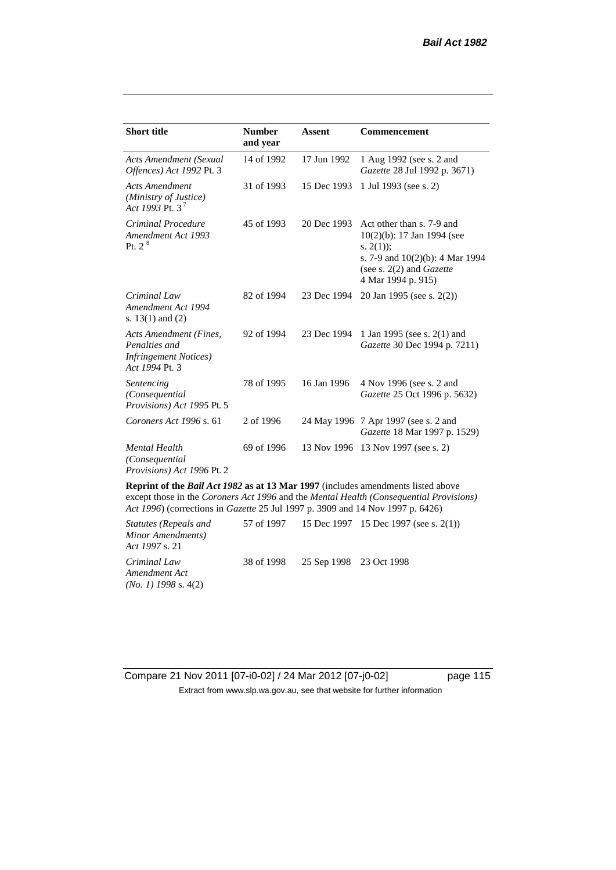| <b>Short title</b>                                                                         | <b>Number</b><br>and year | <b>Assent</b> | Commencement                                                                                                                                                               |
|--------------------------------------------------------------------------------------------|---------------------------|---------------|----------------------------------------------------------------------------------------------------------------------------------------------------------------------------|
| Acts Amendment (Sexual<br>Offences) Act 1992 Pt. 3                                         | 14 of 1992                | 17 Jun 1992   | 1 Aug 1992 (see s. 2 and<br>Gazette 28 Jul 1992 p. 3671)                                                                                                                   |
| <b>Acts Amendment</b><br>(Ministry of Justice)<br>Act 1993 Pt. $3^7$                       | 31 of 1993                | 15 Dec 1993   | 1 Jul 1993 (see s. 2)                                                                                                                                                      |
| Criminal Procedure<br>Amendment Act 1993<br>Pt. 2 <sup>8</sup>                             | 45 of 1993                | 20 Dec 1993   | Act other than s. 7-9 and<br>$10(2)(b)$ : 17 Jan 1994 (see<br>s. $2(1)$ ;<br>s. 7-9 and $10(2)(b)$ : 4 Mar 1994<br>(see s. $2(2)$ and <i>Gazette</i><br>4 Mar 1994 p. 915) |
| Criminal Law<br>Amendment Act 1994<br>s. $13(1)$ and $(2)$                                 | 82 of 1994                | 23 Dec 1994   | 20 Jan 1995 (see s. 2(2))                                                                                                                                                  |
| Acts Amendment (Fines,<br>Penalties and<br><i>Infringement Notices</i> )<br>Act 1994 Pt. 3 | 92 of 1994                | 23 Dec 1994   | 1 Jan 1995 (see s. 2(1) and<br>Gazette 30 Dec 1994 p. 7211)                                                                                                                |
| Sentencing<br>(Consequential<br>Provisions) Act 1995 Pt. 5                                 | 78 of 1995                | 16 Jan 1996   | 4 Nov 1996 (see s. 2 and<br>Gazette 25 Oct 1996 p. 5632)                                                                                                                   |
| Coroners Act 1996 s. 61                                                                    | 2 of 1996                 |               | 24 May 1996 7 Apr 1997 (see s. 2 and<br>Gazette 18 Mar 1997 p. 1529)                                                                                                       |
| <b>Mental Health</b><br>(Consequential<br>Provisions) Act 1996 Pt. 2                       | 69 of 1996                |               | 13 Nov 1996 13 Nov 1997 (see s. 2)                                                                                                                                         |

**Reprint of the** *Bail Act 1982* **as at 13 Mar 1997** (includes amendments listed above except those in the *Coroners Act 1996* and the *Mental Health (Consequential Provisions) Act 1996*) (corrections in *Gazette* 25 Jul 1997 p. 3909 and 14 Nov 1997 p. 6426)

*Statutes (Repeals and Minor Amendments) Act 1997* s. 21 57 of 1997 15 Dec 1997 15 Dec 1997 (see s. 2(1)) *Criminal Law Amendment Act (No. 1) 1998* s. 4(2) 38 of 1998 25 Sep 1998 23 Oct 1998

Compare 21 Nov 2011 [07-i0-02] / 24 Mar 2012 [07-j0-02] page 115 Extract from www.slp.wa.gov.au, see that website for further information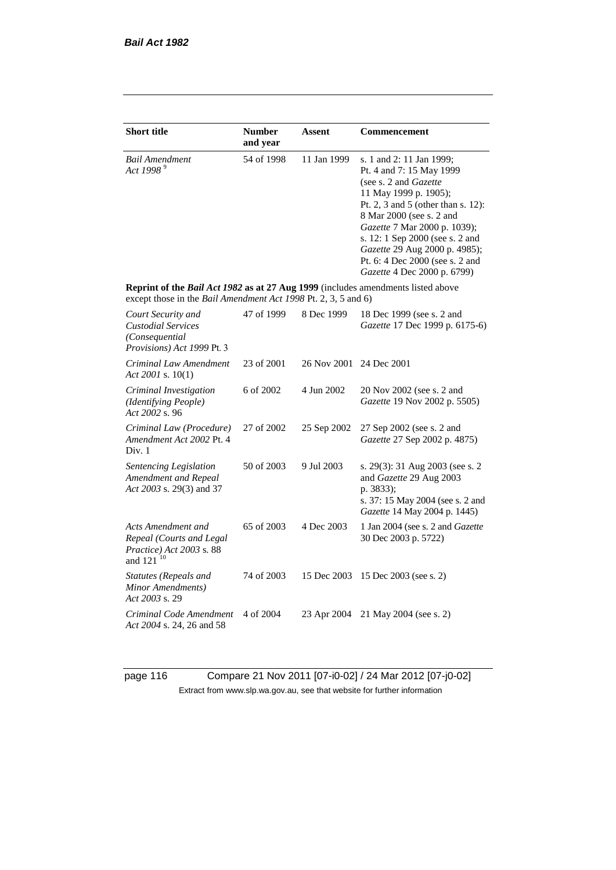| <b>Short title</b>                                                                                                                                 | <b>Number</b><br>and year | <b>Assent</b> | Commencement                                                                                                                                                                                                                                                                                                                                            |
|----------------------------------------------------------------------------------------------------------------------------------------------------|---------------------------|---------------|---------------------------------------------------------------------------------------------------------------------------------------------------------------------------------------------------------------------------------------------------------------------------------------------------------------------------------------------------------|
| <b>Bail Amendment</b><br>Act 1998 <sup>9</sup>                                                                                                     | 54 of 1998                | 11 Jan 1999   | s. 1 and 2: 11 Jan 1999;<br>Pt. 4 and 7: 15 May 1999<br>(see s. 2 and <i>Gazette</i> )<br>11 May 1999 p. 1905);<br>Pt. 2, 3 and 5 (other than s. 12):<br>8 Mar 2000 (see s. 2 and<br>Gazette 7 Mar 2000 p. 1039);<br>s. 12: 1 Sep 2000 (see s. 2 and<br>Gazette 29 Aug 2000 p. 4985);<br>Pt. 6: 4 Dec 2000 (see s. 2 and<br>Gazette 4 Dec 2000 p. 6799) |
| Reprint of the Bail Act 1982 as at 27 Aug 1999 (includes amendments listed above<br>except those in the Bail Amendment Act 1998 Pt. 2, 3, 5 and 6) |                           |               |                                                                                                                                                                                                                                                                                                                                                         |
| Court Security and<br><b>Custodial Services</b><br>(Consequential<br>Provisions) Act 1999 Pt. 3                                                    | 47 of 1999                | 8 Dec 1999    | 18 Dec 1999 (see s. 2 and<br>Gazette 17 Dec 1999 p. 6175-6)                                                                                                                                                                                                                                                                                             |
| Criminal Law Amendment<br>Act 2001 s. $10(1)$                                                                                                      | 23 of 2001                | 26 Nov 2001   | 24 Dec 2001                                                                                                                                                                                                                                                                                                                                             |
| Criminal Investigation<br>(Identifying People)<br>Act 2002 s. 96                                                                                   | 6 of 2002                 | 4 Jun 2002    | 20 Nov 2002 (see s. 2 and<br>Gazette 19 Nov 2002 p. 5505)                                                                                                                                                                                                                                                                                               |
| Criminal Law (Procedure)<br>Amendment Act 2002 Pt. 4<br>Div. 1                                                                                     | 27 of 2002                | 25 Sep 2002   | 27 Sep 2002 (see s. 2 and<br>Gazette 27 Sep 2002 p. 4875)                                                                                                                                                                                                                                                                                               |
| Sentencing Legislation<br>Amendment and Repeal<br>Act 2003 s. 29(3) and 37                                                                         | 50 of 2003                | 9 Jul 2003    | s. 29(3): 31 Aug 2003 (see s. 2)<br>and Gazette 29 Aug 2003<br>p. 3833);<br>s. 37: 15 May 2004 (see s. 2 and<br>Gazette 14 May 2004 p. 1445)                                                                                                                                                                                                            |
| Acts Amendment and<br>Repeal (Courts and Legal<br>Practice) Act 2003 s. 88<br>and 121 <sup>10</sup>                                                | 65 of 2003                | 4 Dec 2003    | 1 Jan 2004 (see s. 2 and <i>Gazette</i><br>30 Dec 2003 p. 5722)                                                                                                                                                                                                                                                                                         |
| Statutes (Repeals and<br>Minor Amendments)<br>Act 2003 s. 29                                                                                       | 74 of 2003                | 15 Dec 2003   | 15 Dec 2003 (see s. 2)                                                                                                                                                                                                                                                                                                                                  |
| Criminal Code Amendment<br>Act 2004 s. 24, 26 and 58                                                                                               | 4 of 2004                 | 23 Apr 2004   | 21 May 2004 (see s. 2)                                                                                                                                                                                                                                                                                                                                  |

page 116 Compare 21 Nov 2011 [07-i0-02] / 24 Mar 2012 [07-j0-02] Extract from www.slp.wa.gov.au, see that website for further information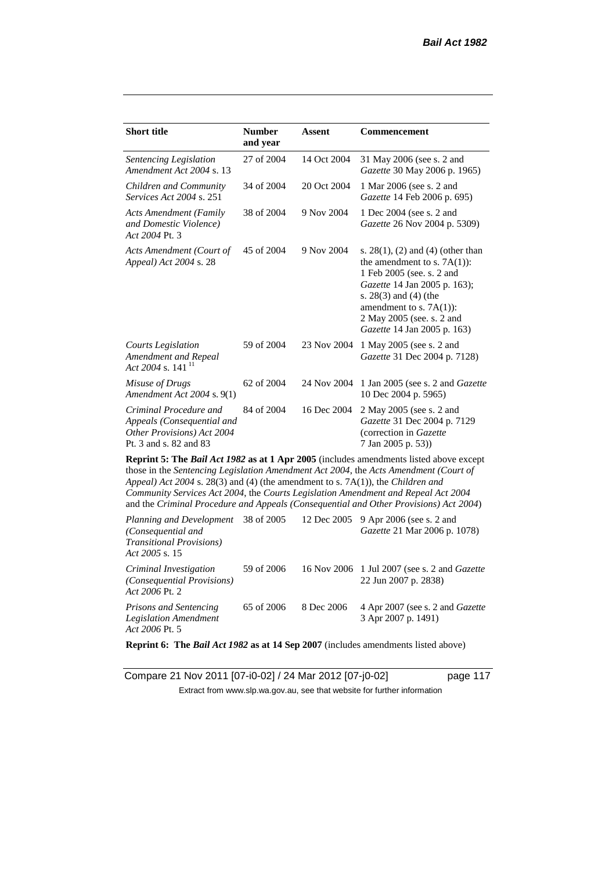| <b>Short title</b>                                                                                                                                                                                                                                                                                                                                                                                                                                     | <b>Number</b><br>and year | <b>Assent</b> | Commencement                                                                                                                                                                                                                                             |  |  |
|--------------------------------------------------------------------------------------------------------------------------------------------------------------------------------------------------------------------------------------------------------------------------------------------------------------------------------------------------------------------------------------------------------------------------------------------------------|---------------------------|---------------|----------------------------------------------------------------------------------------------------------------------------------------------------------------------------------------------------------------------------------------------------------|--|--|
| Sentencing Legislation<br>Amendment Act 2004 s. 13                                                                                                                                                                                                                                                                                                                                                                                                     | 27 of 2004                | 14 Oct 2004   | 31 May 2006 (see s. 2 and<br>Gazette 30 May 2006 p. 1965)                                                                                                                                                                                                |  |  |
| Children and Community<br><i>Services Act 2004 s. 251</i>                                                                                                                                                                                                                                                                                                                                                                                              | 34 of 2004                | 20 Oct 2004   | 1 Mar 2006 (see s. 2 and<br>Gazette 14 Feb 2006 p. 695)                                                                                                                                                                                                  |  |  |
| <b>Acts Amendment (Family</b><br>and Domestic Violence)<br>Act 2004 Pt. 3                                                                                                                                                                                                                                                                                                                                                                              | 38 of 2004                | 9 Nov 2004    | 1 Dec 2004 (see s. 2 and<br>Gazette 26 Nov 2004 p. 5309)                                                                                                                                                                                                 |  |  |
| Acts Amendment (Court of<br>Appeal) Act 2004 s. 28                                                                                                                                                                                                                                                                                                                                                                                                     | 45 of 2004                | 9 Nov 2004    | s. $28(1)$ , (2) and (4) (other than<br>the amendment to s. $7A(1)$ :<br>1 Feb 2005 (see. s. 2 and<br>Gazette 14 Jan 2005 p. 163);<br>s. $28(3)$ and $(4)$ (the<br>amendment to s. $7A(1)$ :<br>2 May 2005 (see. s. 2 and<br>Gazette 14 Jan 2005 p. 163) |  |  |
| <b>Courts Legislation</b><br>Amendment and Repeal<br>Act 2004 s. 141 <sup>11</sup>                                                                                                                                                                                                                                                                                                                                                                     | 59 of 2004                | 23 Nov 2004   | 1 May 2005 (see s. 2 and<br>Gazette 31 Dec 2004 p. 7128)                                                                                                                                                                                                 |  |  |
| Misuse of Drugs<br>Amendment Act 2004 s. 9(1)                                                                                                                                                                                                                                                                                                                                                                                                          | 62 of 2004                | 24 Nov 2004   | 1 Jan 2005 (see s. 2 and <i>Gazette</i><br>10 Dec 2004 p. 5965)                                                                                                                                                                                          |  |  |
| Criminal Procedure and<br>Appeals (Consequential and<br>Other Provisions) Act 2004<br>Pt. 3 and s. 82 and 83                                                                                                                                                                                                                                                                                                                                           | 84 of 2004                | 16 Dec 2004   | 2 May 2005 (see s. 2 and<br>Gazette 31 Dec 2004 p. 7129<br>(correction in Gazette<br>7 Jan 2005 p. 53))                                                                                                                                                  |  |  |
| <b>Reprint 5: The Bail Act 1982 as at 1 Apr 2005</b> (includes amendments listed above except<br>those in the Sentencing Legislation Amendment Act 2004, the Acts Amendment (Court of<br>Appeal) Act 2004 s. 28(3) and (4) (the amendment to s. 7A(1)), the Children and<br>Community Services Act 2004, the Courts Legislation Amendment and Repeal Act 2004<br>and the Criminal Procedure and Appeals (Consequential and Other Provisions) Act 2004) |                           |               |                                                                                                                                                                                                                                                          |  |  |

*Planning and Development (Consequential and Transitional Provisions) Act 2005* s. 15 12 Dec 2005 9 Apr 2006 (see s. 2 and *Gazette* 21 Mar 2006 p. 1078) *Criminal Investigation (Consequential Provisions) Act 2006* Pt. 2 59 of 2006 16 Nov 2006 1 Jul 2007 (see s. 2 and *Gazette* 22 Jun 2007 p. 2838) *Prisons and Sentencing Legislation Amendment Act 2006* Pt. 5 65 of 2006 8 Dec 2006 4 Apr 2007 (see s. 2 and *Gazette* 3 Apr 2007 p. 1491)

**Reprint 6: The** *Bail Act 1982* **as at 14 Sep 2007** (includes amendments listed above)

Compare 21 Nov 2011 [07-i0-02] / 24 Mar 2012 [07-j0-02] page 117 Extract from www.slp.wa.gov.au, see that website for further information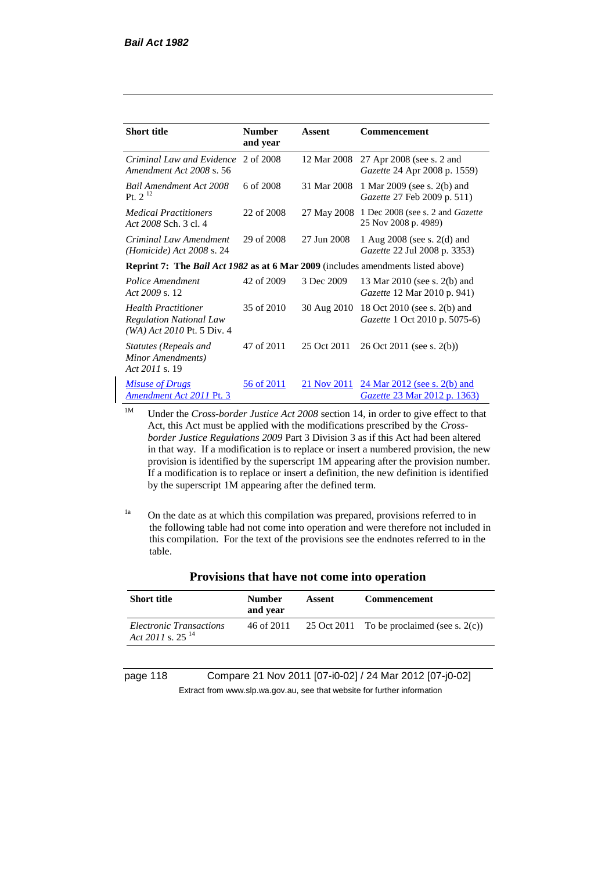| <b>Short title</b>                                                                             | <b>Number</b><br>and year | Assent      | Commencement                                                          |
|------------------------------------------------------------------------------------------------|---------------------------|-------------|-----------------------------------------------------------------------|
| Criminal Law and Evidence<br>Amendment Act 2008 s. 56                                          | 2 of 2008                 | 12 Mar 2008 | 27 Apr 2008 (see s. 2 and<br><i>Gazette</i> 24 Apr 2008 p. 1559)      |
| <b>Bail Amendment Act 2008</b><br>Pt. $2^{12}$                                                 | 6 of 2008                 | 31 Mar 2008 | 1 Mar 2009 (see s. 2(b) and<br>Gazette 27 Feb 2009 p. 511)            |
| <b>Medical Practitioners</b><br>Act 2008 Sch. 3 cl. 4                                          | 22 of 2008                | 27 May 2008 | 1 Dec 2008 (see s. 2 and <i>Gazette</i><br>25 Nov 2008 p. 4989)       |
| Criminal Law Amendment<br><i>(Homicide)</i> Act 2008 s. 24                                     | 29 of 2008                | 27 Jun 2008 | 1 Aug 2008 (see s. 2(d) and<br>Gazette 22 Jul 2008 p. 3353)           |
| <b>Reprint 7:</b> The <i>Bail Act 1982</i> as at 6 Mar 2009 (includes amendments listed above) |                           |             |                                                                       |
| Police Amendment<br>Act 2009 s. 12                                                             | 42 of 2009                | 3 Dec 2009  | 13 Mar 2010 (see s. 2(b) and<br><i>Gazette</i> 12 Mar 2010 p. 941)    |
| <b>Health Practitioner</b><br><b>Regulation National Law</b><br>(WA) Act 2010 Pt. 5 Div. 4     | 35 of 2010                | 30 Aug 2010 | 18 Oct 2010 (see s. 2(b) and<br><i>Gazette</i> 1 Oct 2010 p. 5075-6)  |
| Statutes (Repeals and<br>Minor Amendments)<br>Act 2011 s. 19                                   | 47 of 2011                | 25 Oct 2011 | 26 Oct 2011 (see s. 2(b))                                             |
| <b>Misuse of Drugs</b><br>Amendment Act 2011 Pt. 3                                             | 56 of 2011                | 21 Nov 2011 | $24$ Mar 2012 (see s. 2(b) and<br><i>Gazette</i> 23 Mar 2012 p. 1363) |

<sup>1M</sup> Under the *Cross-border Justice Act 2008* section 14, in order to give effect to that Act, this Act must be applied with the modifications prescribed by the *Crossborder Justice Regulations 2009* Part 3 Division 3 as if this Act had been altered in that way. If a modification is to replace or insert a numbered provision, the new provision is identified by the superscript 1M appearing after the provision number. If a modification is to replace or insert a definition, the new definition is identified by the superscript 1M appearing after the defined term.

 $1a$  On the date as at which this compilation was prepared, provisions referred to in the following table had not come into operation and were therefore not included in this compilation. For the text of the provisions see the endnotes referred to in the table.

| <b>Short title</b>                                      | <b>Number</b><br>and year | Assent | <b>Commencement</b>                           |
|---------------------------------------------------------|---------------------------|--------|-----------------------------------------------|
| Electronic Transactions<br>Act 2011 s. 25 <sup>14</sup> | 46 of 2011                |        | 25 Oct 2011 To be proclaimed (see s. $2(c)$ ) |

#### **Provisions that have not come into operation**

page 118 Compare 21 Nov 2011 [07-i0-02] / 24 Mar 2012 [07-j0-02] Extract from www.slp.wa.gov.au, see that website for further information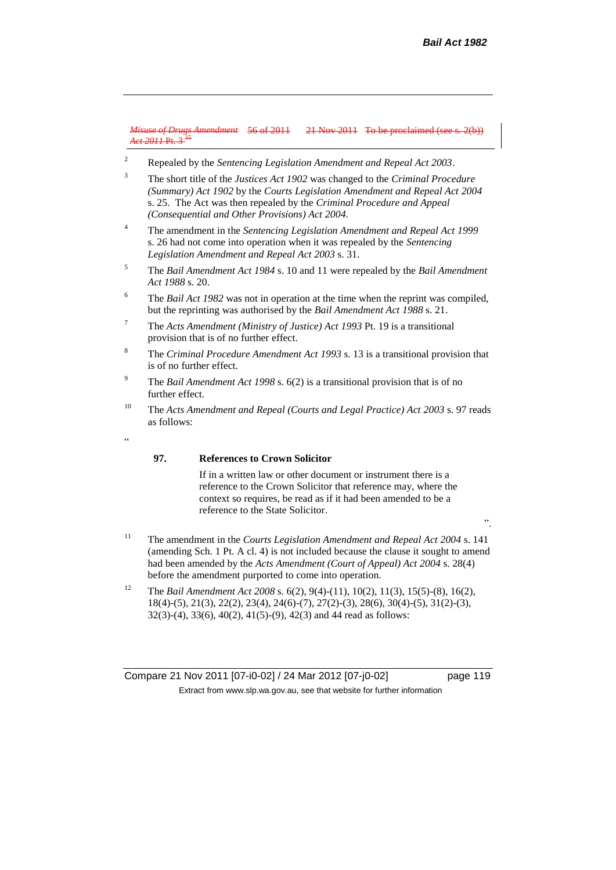*Misuse of Drugs Amendment Act 2011* Pt. 3 <sup>15</sup> 21 Nov 2011 To be proclaimed (see

- <sup>2</sup> Repealed by the *Sentencing Legislation Amendment and Repeal Act 2003*.
- <sup>3</sup> The short title of the *Justices Act 1902* was changed to the *Criminal Procedure (Summary) Act 1902* by the *Courts Legislation Amendment and Repeal Act 2004*  s. 25. The Act was then repealed by the *Criminal Procedure and Appeal (Consequential and Other Provisions) Act 2004.*
- <sup>4</sup> The amendment in the *Sentencing Legislation Amendment and Repeal Act 1999* s. 26 had not come into operation when it was repealed by the *Sentencing Legislation Amendment and Repeal Act 2003* s. 31.
- <sup>5</sup> The *Bail Amendment Act 1984* s. 10 and 11 were repealed by the *Bail Amendment Act 1988* s. 20.
- <sup>6</sup> The *Bail Act 1982* was not in operation at the time when the reprint was compiled, but the reprinting was authorised by the *Bail Amendment Act 1988* s. 21.
- <sup>7</sup> The *Acts Amendment (Ministry of Justice) Act 1993* Pt. 19 is a transitional provision that is of no further effect.
- <sup>8</sup> The *Criminal Procedure Amendment Act 1993* s. 13 is a transitional provision that is of no further effect.
- <sup>9</sup> The *Bail Amendment Act 1998* s. 6(2) is a transitional provision that is of no further effect.
- <sup>10</sup> The *Acts Amendment and Repeal (Courts and Legal Practice) Act 2003* s. 97 reads as follows:
- .<br>د د

#### **97. References to Crown Solicitor**

If in a written law or other document or instrument there is a reference to the Crown Solicitor that reference may, where the context so requires, be read as if it had been amended to be a reference to the State Solicitor.

- <sup>11</sup> The amendment in the *Courts Legislation Amendment and Repeal Act 2004* s. 141 (amending Sch. 1 Pt. A cl. 4) is not included because the clause it sought to amend had been amended by the *Acts Amendment (Court of Appeal) Act 2004* s. 28(4) before the amendment purported to come into operation.
- <sup>12</sup> The *Bail Amendment Act 2008* s. 6(2), 9(4)-(11), 10(2), 11(3), 15(5)-(8), 16(2), 18(4)-(5), 21(3), 22(2), 23(4), 24(6)-(7), 27(2)-(3), 28(6), 30(4)-(5), 31(2)-(3), 32(3)-(4), 33(6), 40(2), 41(5)-(9), 42(3) and 44 read as follows:

Compare 21 Nov 2011 [07-i0-02] / 24 Mar 2012 [07-j0-02] page 119 Extract from www.slp.wa.gov.au, see that website for further information

".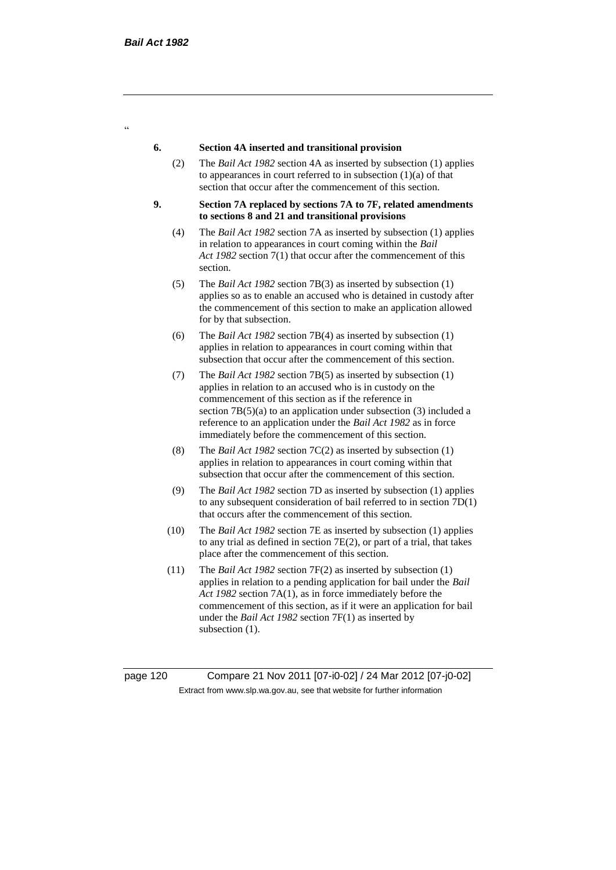$\alpha$ 

#### **6. Section 4A inserted and transitional provision**

- (2) The *Bail Act 1982* section 4A as inserted by subsection (1) applies to appearances in court referred to in subsection  $(1)(a)$  of that section that occur after the commencement of this section.
- **9. Section 7A replaced by sections 7A to 7F, related amendments to sections 8 and 21 and transitional provisions**
	- (4) The *Bail Act 1982* section 7A as inserted by subsection (1) applies in relation to appearances in court coming within the *Bail Act 1982* section 7(1) that occur after the commencement of this section.
	- (5) The *Bail Act 1982* section 7B(3) as inserted by subsection (1) applies so as to enable an accused who is detained in custody after the commencement of this section to make an application allowed for by that subsection.
	- (6) The *Bail Act 1982* section 7B(4) as inserted by subsection (1) applies in relation to appearances in court coming within that subsection that occur after the commencement of this section.
	- (7) The *Bail Act 1982* section 7B(5) as inserted by subsection (1) applies in relation to an accused who is in custody on the commencement of this section as if the reference in section 7B(5)(a) to an application under subsection (3) included a reference to an application under the *Bail Act 1982* as in force immediately before the commencement of this section.
	- (8) The *Bail Act 1982* section 7C(2) as inserted by subsection (1) applies in relation to appearances in court coming within that subsection that occur after the commencement of this section.
	- (9) The *Bail Act 1982* section 7D as inserted by subsection (1) applies to any subsequent consideration of bail referred to in section 7D(1) that occurs after the commencement of this section.
	- (10) The *Bail Act 1982* section 7E as inserted by subsection (1) applies to any trial as defined in section 7E(2), or part of a trial, that takes place after the commencement of this section.
	- (11) The *Bail Act 1982* section 7F(2) as inserted by subsection (1) applies in relation to a pending application for bail under the *Bail Act 1982* section 7A(1), as in force immediately before the commencement of this section, as if it were an application for bail under the *Bail Act 1982* section 7F(1) as inserted by subsection  $(1)$ .

page 120 Compare 21 Nov 2011 [07-i0-02] / 24 Mar 2012 [07-j0-02] Extract from www.slp.wa.gov.au, see that website for further information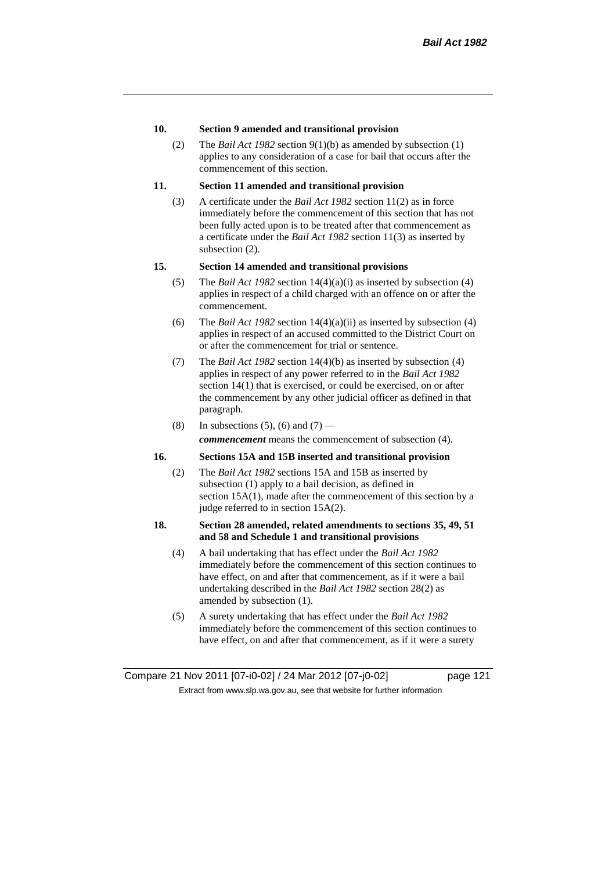### **10. Section 9 amended and transitional provision**

(2) The *Bail Act 1982* section 9(1)(b) as amended by subsection (1) applies to any consideration of a case for bail that occurs after the commencement of this section.

# **11. Section 11 amended and transitional provision**

(3) A certificate under the *Bail Act 1982* section 11(2) as in force immediately before the commencement of this section that has not been fully acted upon is to be treated after that commencement as a certificate under the *Bail Act 1982* section 11(3) as inserted by subsection (2).

## **15. Section 14 amended and transitional provisions**

- (5) The *Bail Act 1982* section 14(4)(a)(i) as inserted by subsection (4) applies in respect of a child charged with an offence on or after the commencement.
- (6) The *Bail Act 1982* section 14(4)(a)(ii) as inserted by subsection (4) applies in respect of an accused committed to the District Court on or after the commencement for trial or sentence.
- (7) The *Bail Act 1982* section 14(4)(b) as inserted by subsection (4) applies in respect of any power referred to in the *Bail Act 1982* section 14(1) that is exercised, or could be exercised, on or after the commencement by any other judicial officer as defined in that paragraph.
- (8) In subsections (5), (6) and (7) *commencement* means the commencement of subsection (4).

# **16. Sections 15A and 15B inserted and transitional provision**

- (2) The *Bail Act 1982* sections 15A and 15B as inserted by subsection (1) apply to a bail decision, as defined in section 15A(1), made after the commencement of this section by a judge referred to in section 15A(2).
- **18. Section 28 amended, related amendments to sections 35, 49, 51 and 58 and Schedule 1 and transitional provisions**
	- (4) A bail undertaking that has effect under the *Bail Act 1982* immediately before the commencement of this section continues to have effect, on and after that commencement, as if it were a bail undertaking described in the *Bail Act 1982* section 28(2) as amended by subsection (1).
	- (5) A surety undertaking that has effect under the *Bail Act 1982* immediately before the commencement of this section continues to have effect, on and after that commencement, as if it were a surety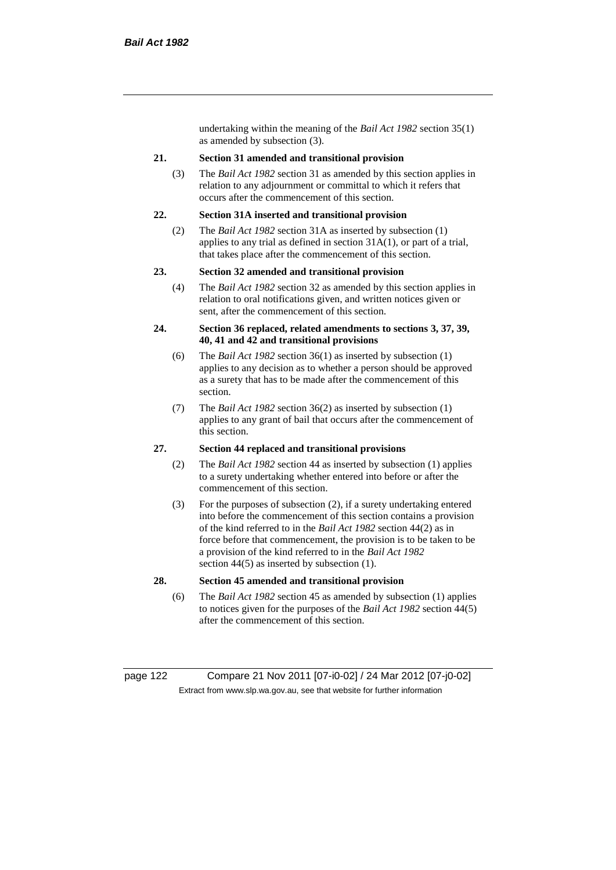undertaking within the meaning of the *Bail Act 1982* section 35(1) as amended by subsection (3).

#### **21. Section 31 amended and transitional provision**

(3) The *Bail Act 1982* section 31 as amended by this section applies in relation to any adjournment or committal to which it refers that occurs after the commencement of this section.

#### **22. Section 31A inserted and transitional provision**

(2) The *Bail Act 1982* section 31A as inserted by subsection (1) applies to any trial as defined in section 31A(1), or part of a trial, that takes place after the commencement of this section.

#### **23. Section 32 amended and transitional provision**

(4) The *Bail Act 1982* section 32 as amended by this section applies in relation to oral notifications given, and written notices given or sent, after the commencement of this section.

#### **24. Section 36 replaced, related amendments to sections 3, 37, 39, 40, 41 and 42 and transitional provisions**

- (6) The *Bail Act 1982* section 36(1) as inserted by subsection (1) applies to any decision as to whether a person should be approved as a surety that has to be made after the commencement of this section.
- (7) The *Bail Act 1982* section 36(2) as inserted by subsection (1) applies to any grant of bail that occurs after the commencement of this section.

## **27. Section 44 replaced and transitional provisions**

- (2) The *Bail Act 1982* section 44 as inserted by subsection (1) applies to a surety undertaking whether entered into before or after the commencement of this section.
- (3) For the purposes of subsection (2), if a surety undertaking entered into before the commencement of this section contains a provision of the kind referred to in the *Bail Act 1982* section 44(2) as in force before that commencement, the provision is to be taken to be a provision of the kind referred to in the *Bail Act 1982*  section 44(5) as inserted by subsection (1).

# **28. Section 45 amended and transitional provision**

(6) The *Bail Act 1982* section 45 as amended by subsection (1) applies to notices given for the purposes of the *Bail Act 1982* section 44(5) after the commencement of this section.

page 122 Compare 21 Nov 2011 [07-i0-02] / 24 Mar 2012 [07-j0-02] Extract from www.slp.wa.gov.au, see that website for further information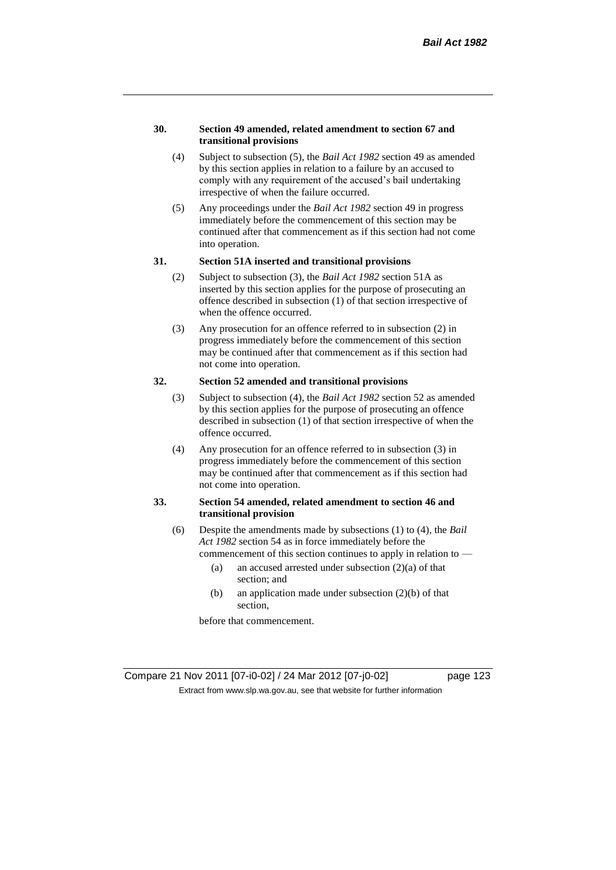#### **30. Section 49 amended, related amendment to section 67 and transitional provisions**

- (4) Subject to subsection (5), the *Bail Act 1982* section 49 as amended by this section applies in relation to a failure by an accused to comply with any requirement of the accused's bail undertaking irrespective of when the failure occurred.
- (5) Any proceedings under the *Bail Act 1982* section 49 in progress immediately before the commencement of this section may be continued after that commencement as if this section had not come into operation.

#### **31. Section 51A inserted and transitional provisions**

- (2) Subject to subsection (3), the *Bail Act 1982* section 51A as inserted by this section applies for the purpose of prosecuting an offence described in subsection (1) of that section irrespective of when the offence occurred.
- (3) Any prosecution for an offence referred to in subsection (2) in progress immediately before the commencement of this section may be continued after that commencement as if this section had not come into operation.

# **32. Section 52 amended and transitional provisions**

- (3) Subject to subsection (4), the *Bail Act 1982* section 52 as amended by this section applies for the purpose of prosecuting an offence described in subsection (1) of that section irrespective of when the offence occurred.
- (4) Any prosecution for an offence referred to in subsection (3) in progress immediately before the commencement of this section may be continued after that commencement as if this section had not come into operation.

## **33. Section 54 amended, related amendment to section 46 and transitional provision**

- (6) Despite the amendments made by subsections (1) to (4), the *Bail Act 1982* section 54 as in force immediately before the
	- commencement of this section continues to apply in relation to
		- (a) an accused arrested under subsection  $(2)(a)$  of that section; and
		- (b) an application made under subsection (2)(b) of that section,

before that commencement.

Compare 21 Nov 2011 [07-i0-02] / 24 Mar 2012 [07-j0-02] page 123 Extract from www.slp.wa.gov.au, see that website for further information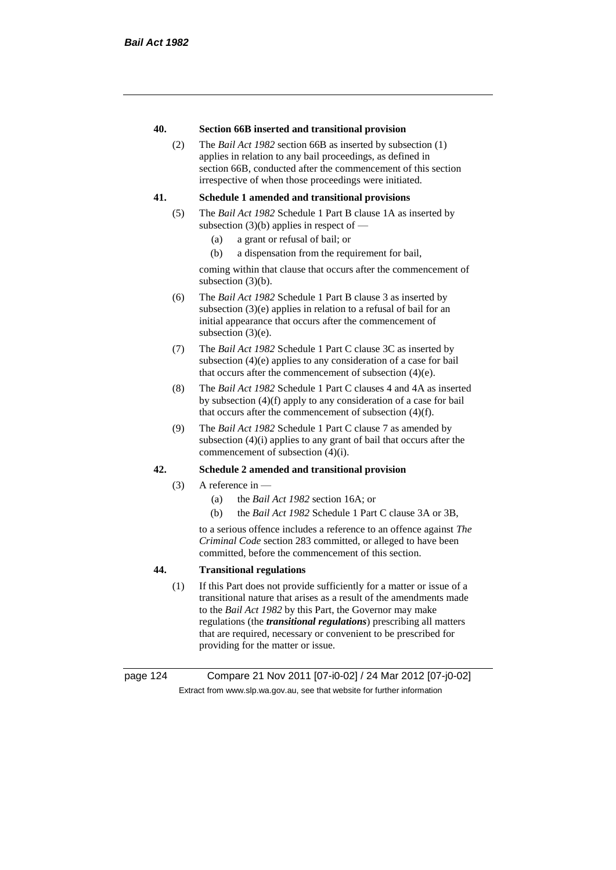## **40. Section 66B inserted and transitional provision**

(2) The *Bail Act 1982* section 66B as inserted by subsection (1) applies in relation to any bail proceedings, as defined in section 66B, conducted after the commencement of this section irrespective of when those proceedings were initiated.

## **41. Schedule 1 amended and transitional provisions**

- (5) The *Bail Act 1982* Schedule 1 Part B clause 1A as inserted by subsection  $(3)(b)$  applies in respect of  $-$ 
	- (a) a grant or refusal of bail; or
	- (b) a dispensation from the requirement for bail,

coming within that clause that occurs after the commencement of subsection (3)(b).

- (6) The *Bail Act 1982* Schedule 1 Part B clause 3 as inserted by subsection (3)(e) applies in relation to a refusal of bail for an initial appearance that occurs after the commencement of subsection (3)(e).
- (7) The *Bail Act 1982* Schedule 1 Part C clause 3C as inserted by subsection (4)(e) applies to any consideration of a case for bail that occurs after the commencement of subsection (4)(e).
- (8) The *Bail Act 1982* Schedule 1 Part C clauses 4 and 4A as inserted by subsection (4)(f) apply to any consideration of a case for bail that occurs after the commencement of subsection (4)(f).
- (9) The *Bail Act 1982* Schedule 1 Part C clause 7 as amended by subsection (4)(i) applies to any grant of bail that occurs after the commencement of subsection (4)(i).

## **42. Schedule 2 amended and transitional provision**

- $(3)$  A reference in
	- (a) the *Bail Act 1982* section 16A; or
	- (b) the *Bail Act 1982* Schedule 1 Part C clause 3A or 3B,

to a serious offence includes a reference to an offence against *The Criminal Code* section 283 committed, or alleged to have been committed, before the commencement of this section.

# **44. Transitional regulations**

(1) If this Part does not provide sufficiently for a matter or issue of a transitional nature that arises as a result of the amendments made to the *Bail Act 1982* by this Part, the Governor may make regulations (the *transitional regulations*) prescribing all matters that are required, necessary or convenient to be prescribed for providing for the matter or issue.

page 124 Compare 21 Nov 2011 [07-i0-02] / 24 Mar 2012 [07-j0-02] Extract from www.slp.wa.gov.au, see that website for further information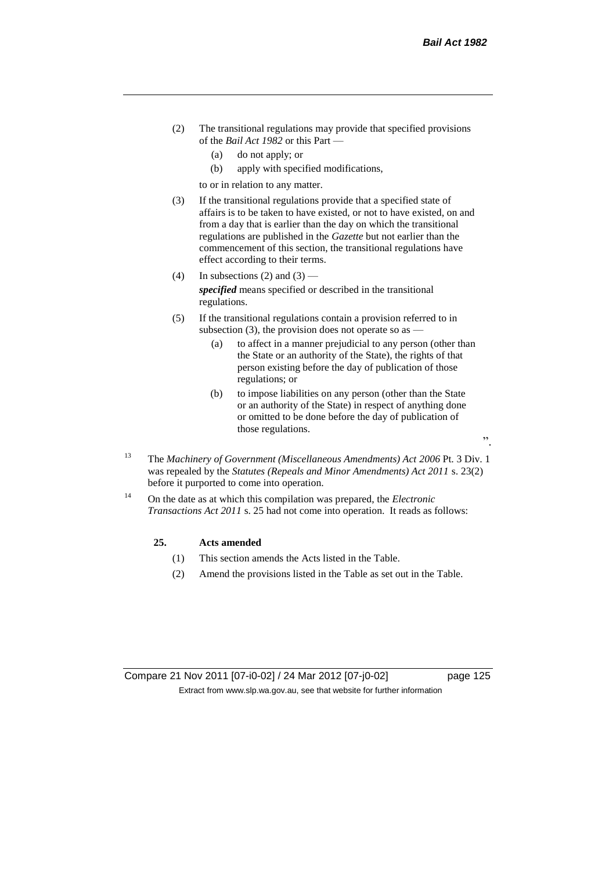- (2) The transitional regulations may provide that specified provisions of the *Bail Act 1982* or this Part —
	- (a) do not apply; or
	- (b) apply with specified modifications,

to or in relation to any matter.

- (3) If the transitional regulations provide that a specified state of affairs is to be taken to have existed, or not to have existed, on and from a day that is earlier than the day on which the transitional regulations are published in the *Gazette* but not earlier than the commencement of this section, the transitional regulations have effect according to their terms.
- (4) In subsections (2) and  $(3)$  *specified* means specified or described in the transitional regulations.
- (5) If the transitional regulations contain a provision referred to in subsection (3), the provision does not operate so as  $-$ 
	- (a) to affect in a manner prejudicial to any person (other than the State or an authority of the State), the rights of that person existing before the day of publication of those regulations; or
	- (b) to impose liabilities on any person (other than the State or an authority of the State) in respect of anything done or omitted to be done before the day of publication of those regulations.
- <sup>13</sup> The *Machinery of Government (Miscellaneous Amendments) Act 2006* Pt. 3 Div. 1 was repealed by the *Statutes (Repeals and Minor Amendments) Act 2011* s. 23(2) before it purported to come into operation.
- <sup>14</sup> On the date as at which this compilation was prepared, the *Electronic Transactions Act 2011* s. 25 had not come into operation. It reads as follows:

#### **25. Acts amended**

- (1) This section amends the Acts listed in the Table.
- (2) Amend the provisions listed in the Table as set out in the Table.

".